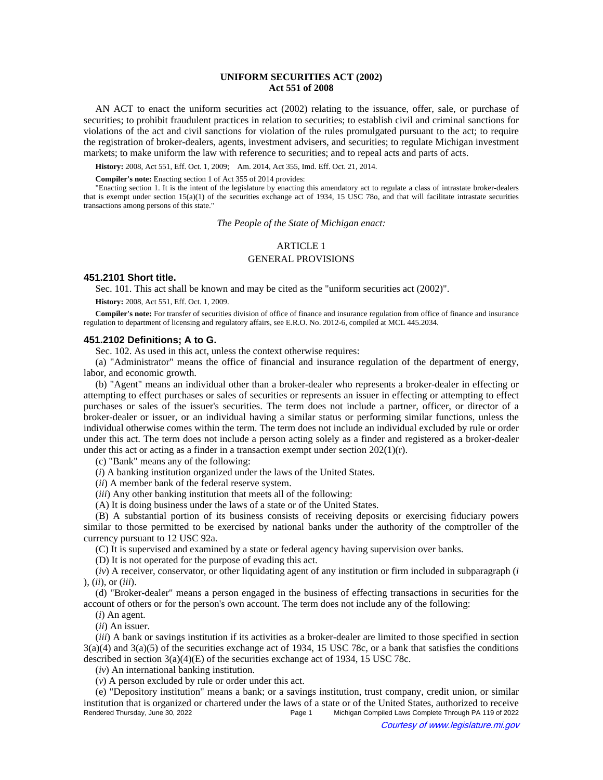# **UNIFORM SECURITIES ACT (2002) Act 551 of 2008**

AN ACT to enact the uniform securities act (2002) relating to the issuance, offer, sale, or purchase of securities; to prohibit fraudulent practices in relation to securities; to establish civil and criminal sanctions for violations of the act and civil sanctions for violation of the rules promulgated pursuant to the act; to require the registration of broker-dealers, agents, investment advisers, and securities; to regulate Michigan investment markets; to make uniform the law with reference to securities; and to repeal acts and parts of acts.

History: 2008, Act 551, Eff. Oct. 1, 2009;—Am. 2014, Act 355, Imd. Eff. Oct. 21, 2014.

**Compiler's note:** Enacting section 1 of Act 355 of 2014 provides:

"Enacting section 1. It is the intent of the legislature by enacting this amendatory act to regulate a class of intrastate broker-dealers that is exempt under section  $15(a)(1)$  of the securities exchange act of 1934, 15 USC 78o, and that will facilitate intrastate securities transactions among persons of this state."

*The People of the State of Michigan enact:*

# ARTICLE 1 GENERAL PROVISIONS

# **451.2101 Short title.**

Sec. 101. This act shall be known and may be cited as the "uniform securities act (2002)".

**History:** 2008, Act 551, Eff. Oct. 1, 2009.

**Compiler's note:** For transfer of securities division of office of finance and insurance regulation from office of finance and insurance regulation to department of licensing and regulatory affairs, see E.R.O. No. 2012-6, compiled at MCL 445.2034.

### **451.2102 Definitions; A to G.**

Sec. 102. As used in this act, unless the context otherwise requires:

(a) "Administrator" means the office of financial and insurance regulation of the department of energy, labor, and economic growth.

(b) "Agent" means an individual other than a broker-dealer who represents a broker-dealer in effecting or attempting to effect purchases or sales of securities or represents an issuer in effecting or attempting to effect purchases or sales of the issuer's securities. The term does not include a partner, officer, or director of a broker-dealer or issuer, or an individual having a similar status or performing similar functions, unless the individual otherwise comes within the term. The term does not include an individual excluded by rule or order under this act. The term does not include a person acting solely as a finder and registered as a broker-dealer under this act or acting as a finder in a transaction exempt under section  $202(1)(r)$ .

(c) "Bank" means any of the following:

(*i*) A banking institution organized under the laws of the United States.

(*ii*) A member bank of the federal reserve system.

(*iii*) Any other banking institution that meets all of the following:

(A) It is doing business under the laws of a state or of the United States.

(B) A substantial portion of its business consists of receiving deposits or exercising fiduciary powers similar to those permitted to be exercised by national banks under the authority of the comptroller of the currency pursuant to 12 USC 92a.

(C) It is supervised and examined by a state or federal agency having supervision over banks.

(D) It is not operated for the purpose of evading this act.

(*iv*) A receiver, conservator, or other liquidating agent of any institution or firm included in subparagraph (*i* ), (*ii*), or (*iii*).

(d) "Broker-dealer" means a person engaged in the business of effecting transactions in securities for the account of others or for the person's own account. The term does not include any of the following:

(*i*) An agent.

(*ii*) An issuer.

(*iii*) A bank or savings institution if its activities as a broker-dealer are limited to those specified in section  $3(a)(4)$  and  $3(a)(5)$  of the securities exchange act of 1934, 15 USC 78c, or a bank that satisfies the conditions described in section  $3(a)(4)(E)$  of the securities exchange act of 1934, 15 USC 78c.

(*iv*) An international banking institution.

(*v*) A person excluded by rule or order under this act.

(e) "Depository institution" means a bank; or a savings institution, trust company, credit union, or similar institution that is organized or chartered under the laws of a state or of the United States, authorized to receive<br>Page 1 Michigan Compiled Laws Complete Through PA 119 of 2022 Michigan Compiled Laws Complete Through PA 119 of 2022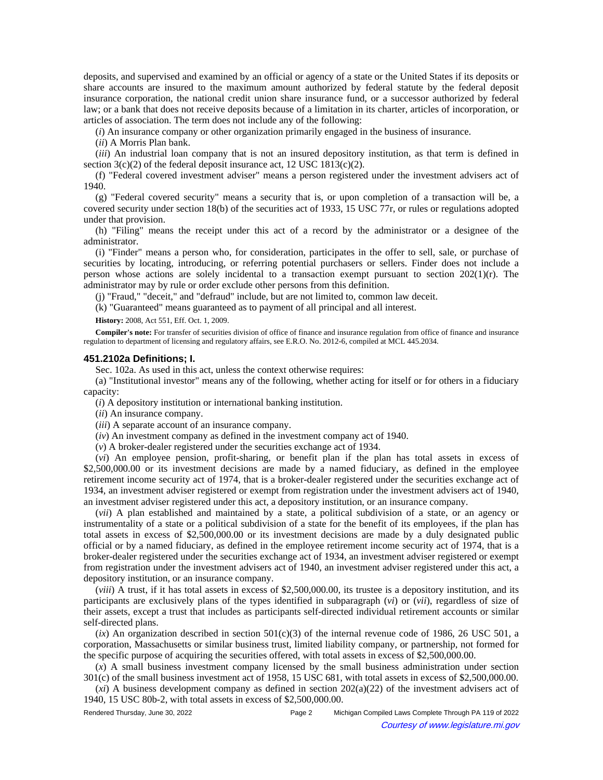deposits, and supervised and examined by an official or agency of a state or the United States if its deposits or share accounts are insured to the maximum amount authorized by federal statute by the federal deposit insurance corporation, the national credit union share insurance fund, or a successor authorized by federal law; or a bank that does not receive deposits because of a limitation in its charter, articles of incorporation, or articles of association. The term does not include any of the following:

(*i*) An insurance company or other organization primarily engaged in the business of insurance.

(*ii*) A Morris Plan bank.

(*iii*) An industrial loan company that is not an insured depository institution, as that term is defined in section  $3(c)(2)$  of the federal deposit insurance act, 12 USC 1813(c)(2).

(f) "Federal covered investment adviser" means a person registered under the investment advisers act of 1940.

(g) "Federal covered security" means a security that is, or upon completion of a transaction will be, a covered security under section 18(b) of the securities act of 1933, 15 USC 77r, or rules or regulations adopted under that provision.

(h) "Filing" means the receipt under this act of a record by the administrator or a designee of the administrator.

(i) "Finder" means a person who, for consideration, participates in the offer to sell, sale, or purchase of securities by locating, introducing, or referring potential purchasers or sellers. Finder does not include a person whose actions are solely incidental to a transaction exempt pursuant to section  $202(1)(r)$ . The administrator may by rule or order exclude other persons from this definition.

(j) "Fraud," "deceit," and "defraud" include, but are not limited to, common law deceit.

(k) "Guaranteed" means guaranteed as to payment of all principal and all interest.

**History:** 2008, Act 551, Eff. Oct. 1, 2009.

**Compiler's note:** For transfer of securities division of office of finance and insurance regulation from office of finance and insurance regulation to department of licensing and regulatory affairs, see E.R.O. No. 2012-6, compiled at MCL 445.2034.

### **451.2102a Definitions; I.**

Sec. 102a. As used in this act, unless the context otherwise requires:

(a) "Institutional investor" means any of the following, whether acting for itself or for others in a fiduciary capacity:

(*i*) A depository institution or international banking institution.

(*ii*) An insurance company.

(*iii*) A separate account of an insurance company.

(*iv*) An investment company as defined in the investment company act of 1940.

(*v*) A broker-dealer registered under the securities exchange act of 1934.

(*vi*) An employee pension, profit-sharing, or benefit plan if the plan has total assets in excess of \$2,500,000.00 or its investment decisions are made by a named fiduciary, as defined in the employee retirement income security act of 1974, that is a broker-dealer registered under the securities exchange act of 1934, an investment adviser registered or exempt from registration under the investment advisers act of 1940, an investment adviser registered under this act, a depository institution, or an insurance company.

(*vii*) A plan established and maintained by a state, a political subdivision of a state, or an agency or instrumentality of a state or a political subdivision of a state for the benefit of its employees, if the plan has total assets in excess of \$2,500,000.00 or its investment decisions are made by a duly designated public official or by a named fiduciary, as defined in the employee retirement income security act of 1974, that is a broker-dealer registered under the securities exchange act of 1934, an investment adviser registered or exempt from registration under the investment advisers act of 1940, an investment adviser registered under this act, a depository institution, or an insurance company.

(*viii*) A trust, if it has total assets in excess of \$2,500,000.00, its trustee is a depository institution, and its participants are exclusively plans of the types identified in subparagraph (*vi*) or (*vii*), regardless of size of their assets, except a trust that includes as participants self-directed individual retirement accounts or similar self-directed plans.

 $(ix)$  An organization described in section  $501(c)(3)$  of the internal revenue code of 1986, 26 USC 501, a corporation, Massachusetts or similar business trust, limited liability company, or partnership, not formed for the specific purpose of acquiring the securities offered, with total assets in excess of \$2,500,000.00.

(*x*) A small business investment company licensed by the small business administration under section 301(c) of the small business investment act of 1958, 15 USC 681, with total assets in excess of \$2,500,000.00.

(*xi*) A business development company as defined in section 202(a)(22) of the investment advisers act of 1940, 15 USC 80b-2, with total assets in excess of \$2,500,000.00.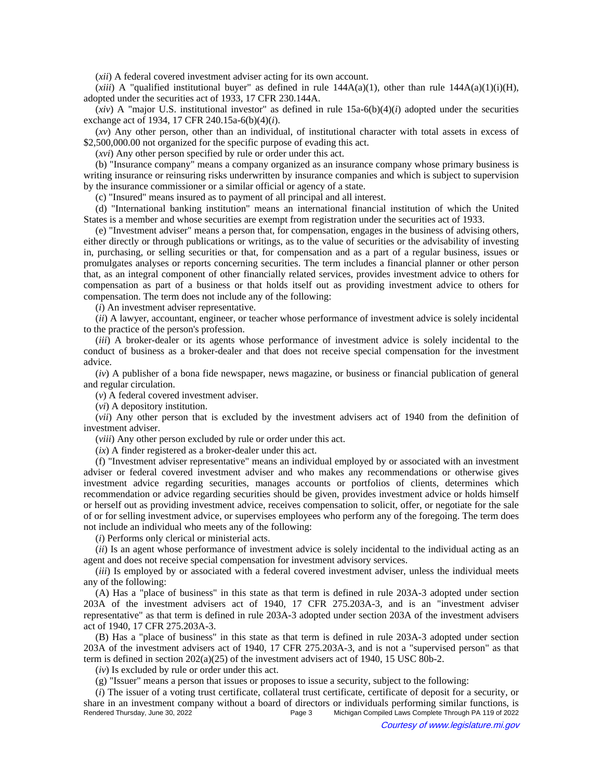(*xii*) A federal covered investment adviser acting for its own account.

(*xiii*) A "qualified institutional buyer" as defined in rule  $144A(a)(1)$ , other than rule  $144A(a)(1)(i)(H)$ , adopted under the securities act of 1933, 17 CFR 230.144A.

 $(xiv)$  A "major U.S. institutional investor" as defined in rule  $15a-6(b)(4)(i)$  adopted under the securities exchange act of 1934, 17 CFR 240.15a-6(b)(4)(*i*).

(*xv*) Any other person, other than an individual, of institutional character with total assets in excess of \$2,500,000.00 not organized for the specific purpose of evading this act.

(*xvi*) Any other person specified by rule or order under this act.

(b) "Insurance company" means a company organized as an insurance company whose primary business is writing insurance or reinsuring risks underwritten by insurance companies and which is subject to supervision by the insurance commissioner or a similar official or agency of a state.

(c) "Insured" means insured as to payment of all principal and all interest.

(d) "International banking institution" means an international financial institution of which the United States is a member and whose securities are exempt from registration under the securities act of 1933.

(e) "Investment adviser" means a person that, for compensation, engages in the business of advising others, either directly or through publications or writings, as to the value of securities or the advisability of investing in, purchasing, or selling securities or that, for compensation and as a part of a regular business, issues or promulgates analyses or reports concerning securities. The term includes a financial planner or other person that, as an integral component of other financially related services, provides investment advice to others for compensation as part of a business or that holds itself out as providing investment advice to others for compensation. The term does not include any of the following:

(*i*) An investment adviser representative.

(*ii*) A lawyer, accountant, engineer, or teacher whose performance of investment advice is solely incidental to the practice of the person's profession.

(*iii*) A broker-dealer or its agents whose performance of investment advice is solely incidental to the conduct of business as a broker-dealer and that does not receive special compensation for the investment advice.

(*iv*) A publisher of a bona fide newspaper, news magazine, or business or financial publication of general and regular circulation.

(*v*) A federal covered investment adviser.

(*vi*) A depository institution.

(*vii*) Any other person that is excluded by the investment advisers act of 1940 from the definition of investment adviser.

(*viii*) Any other person excluded by rule or order under this act.

(*ix*) A finder registered as a broker-dealer under this act.

(f) "Investment adviser representative" means an individual employed by or associated with an investment adviser or federal covered investment adviser and who makes any recommendations or otherwise gives investment advice regarding securities, manages accounts or portfolios of clients, determines which recommendation or advice regarding securities should be given, provides investment advice or holds himself or herself out as providing investment advice, receives compensation to solicit, offer, or negotiate for the sale of or for selling investment advice, or supervises employees who perform any of the foregoing. The term does not include an individual who meets any of the following:

(*i*) Performs only clerical or ministerial acts.

(*ii*) Is an agent whose performance of investment advice is solely incidental to the individual acting as an agent and does not receive special compensation for investment advisory services.

(*iii*) Is employed by or associated with a federal covered investment adviser, unless the individual meets any of the following:

(A) Has a "place of business" in this state as that term is defined in rule 203A-3 adopted under section 203A of the investment advisers act of 1940, 17 CFR 275.203A-3, and is an "investment adviser representative" as that term is defined in rule 203A-3 adopted under section 203A of the investment advisers act of 1940, 17 CFR 275.203A-3.

(B) Has a "place of business" in this state as that term is defined in rule 203A-3 adopted under section 203A of the investment advisers act of 1940, 17 CFR 275.203A-3, and is not a "supervised person" as that term is defined in section 202(a)(25) of the investment advisers act of 1940, 15 USC 80b-2.

(*iv*) Is excluded by rule or order under this act.

(g) "Issuer" means a person that issues or proposes to issue a security, subject to the following:

(*i*) The issuer of a voting trust certificate, collateral trust certificate, certificate of deposit for a security, or share in an investment company without a board of directors or individuals performing similar functions, is<br>Page 3 Michigan Compiled Laws Complete Through PA 119 of 2022 Michigan Compiled Laws Complete Through PA 119 of 2022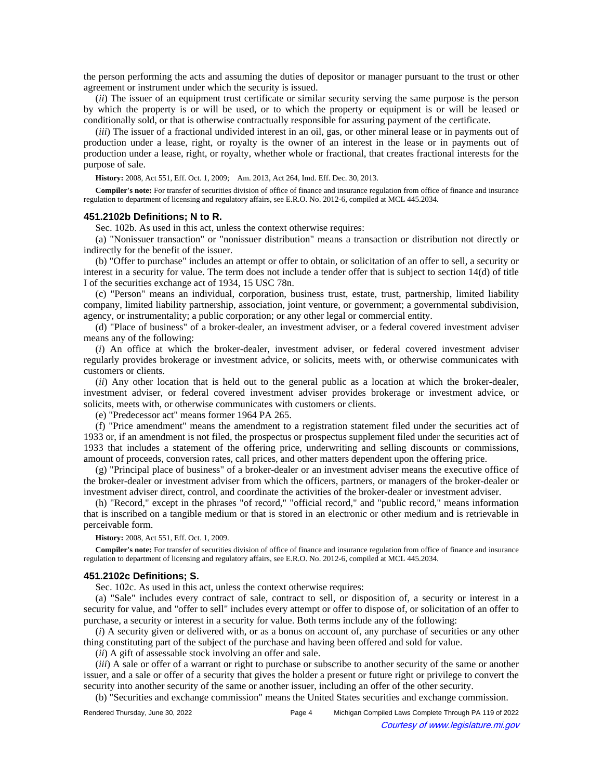the person performing the acts and assuming the duties of depositor or manager pursuant to the trust or other agreement or instrument under which the security is issued.

(*ii*) The issuer of an equipment trust certificate or similar security serving the same purpose is the person by which the property is or will be used, or to which the property or equipment is or will be leased or conditionally sold, or that is otherwise contractually responsible for assuring payment of the certificate.

(*iii*) The issuer of a fractional undivided interest in an oil, gas, or other mineral lease or in payments out of production under a lease, right, or royalty is the owner of an interest in the lease or in payments out of production under a lease, right, or royalty, whether whole or fractional, that creates fractional interests for the purpose of sale.

History: 2008, Act 551, Eff. Oct. 1, 2009; Am. 2013, Act 264, Imd. Eff. Dec. 30, 2013.

**Compiler's note:** For transfer of securities division of office of finance and insurance regulation from office of finance and insurance regulation to department of licensing and regulatory affairs, see E.R.O. No. 2012-6, compiled at MCL 445.2034.

### **451.2102b Definitions; N to R.**

Sec. 102b. As used in this act, unless the context otherwise requires:

(a) "Nonissuer transaction" or "nonissuer distribution" means a transaction or distribution not directly or indirectly for the benefit of the issuer.

(b) "Offer to purchase" includes an attempt or offer to obtain, or solicitation of an offer to sell, a security or interest in a security for value. The term does not include a tender offer that is subject to section 14(d) of title I of the securities exchange act of 1934, 15 USC 78n.

(c) "Person" means an individual, corporation, business trust, estate, trust, partnership, limited liability company, limited liability partnership, association, joint venture, or government; a governmental subdivision, agency, or instrumentality; a public corporation; or any other legal or commercial entity.

(d) "Place of business" of a broker-dealer, an investment adviser, or a federal covered investment adviser means any of the following:

(*i*) An office at which the broker-dealer, investment adviser, or federal covered investment adviser regularly provides brokerage or investment advice, or solicits, meets with, or otherwise communicates with customers or clients.

(*ii*) Any other location that is held out to the general public as a location at which the broker-dealer, investment adviser, or federal covered investment adviser provides brokerage or investment advice, or solicits, meets with, or otherwise communicates with customers or clients.

(e) "Predecessor act" means former 1964 PA 265.

(f) "Price amendment" means the amendment to a registration statement filed under the securities act of 1933 or, if an amendment is not filed, the prospectus or prospectus supplement filed under the securities act of 1933 that includes a statement of the offering price, underwriting and selling discounts or commissions, amount of proceeds, conversion rates, call prices, and other matters dependent upon the offering price.

(g) "Principal place of business" of a broker-dealer or an investment adviser means the executive office of the broker-dealer or investment adviser from which the officers, partners, or managers of the broker-dealer or investment adviser direct, control, and coordinate the activities of the broker-dealer or investment adviser.

(h) "Record," except in the phrases "of record," "official record," and "public record," means information that is inscribed on a tangible medium or that is stored in an electronic or other medium and is retrievable in perceivable form.

**History:** 2008, Act 551, Eff. Oct. 1, 2009.

**Compiler's note:** For transfer of securities division of office of finance and insurance regulation from office of finance and insurance regulation to department of licensing and regulatory affairs, see E.R.O. No. 2012-6, compiled at MCL 445.2034.

#### **451.2102c Definitions; S.**

Sec. 102c. As used in this act, unless the context otherwise requires:

(a) "Sale" includes every contract of sale, contract to sell, or disposition of, a security or interest in a security for value, and "offer to sell" includes every attempt or offer to dispose of, or solicitation of an offer to purchase, a security or interest in a security for value. Both terms include any of the following:

(*i*) A security given or delivered with, or as a bonus on account of, any purchase of securities or any other thing constituting part of the subject of the purchase and having been offered and sold for value.

(*ii*) A gift of assessable stock involving an offer and sale.

(*iii*) A sale or offer of a warrant or right to purchase or subscribe to another security of the same or another issuer, and a sale or offer of a security that gives the holder a present or future right or privilege to convert the security into another security of the same or another issuer, including an offer of the other security.

(b) "Securities and exchange commission" means the United States securities and exchange commission.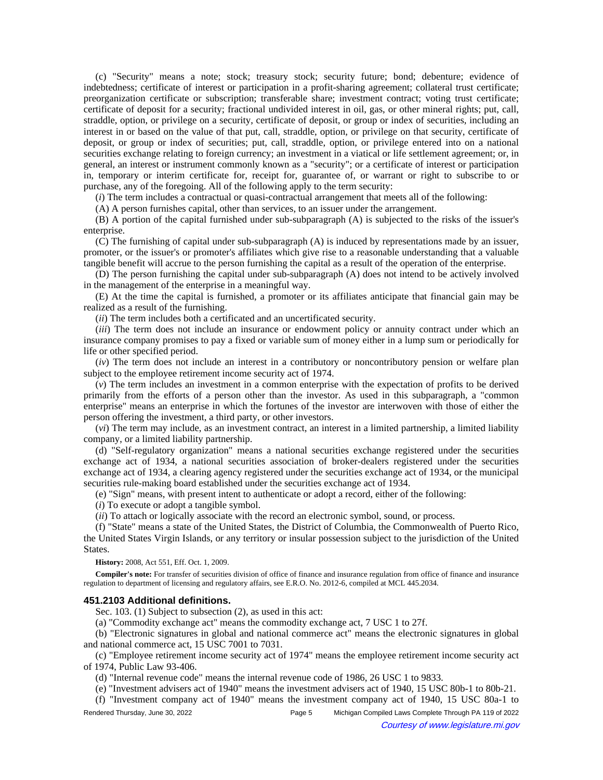(c) "Security" means a note; stock; treasury stock; security future; bond; debenture; evidence of indebtedness; certificate of interest or participation in a profit-sharing agreement; collateral trust certificate; preorganization certificate or subscription; transferable share; investment contract; voting trust certificate; certificate of deposit for a security; fractional undivided interest in oil, gas, or other mineral rights; put, call, straddle, option, or privilege on a security, certificate of deposit, or group or index of securities, including an interest in or based on the value of that put, call, straddle, option, or privilege on that security, certificate of deposit, or group or index of securities; put, call, straddle, option, or privilege entered into on a national securities exchange relating to foreign currency; an investment in a viatical or life settlement agreement; or, in general, an interest or instrument commonly known as a "security"; or a certificate of interest or participation in, temporary or interim certificate for, receipt for, guarantee of, or warrant or right to subscribe to or purchase, any of the foregoing. All of the following apply to the term security:

(*i*) The term includes a contractual or quasi-contractual arrangement that meets all of the following:

(A) A person furnishes capital, other than services, to an issuer under the arrangement.

(B) A portion of the capital furnished under sub-subparagraph (A) is subjected to the risks of the issuer's enterprise.

(C) The furnishing of capital under sub-subparagraph (A) is induced by representations made by an issuer, promoter, or the issuer's or promoter's affiliates which give rise to a reasonable understanding that a valuable tangible benefit will accrue to the person furnishing the capital as a result of the operation of the enterprise.

(D) The person furnishing the capital under sub-subparagraph (A) does not intend to be actively involved in the management of the enterprise in a meaningful way.

(E) At the time the capital is furnished, a promoter or its affiliates anticipate that financial gain may be realized as a result of the furnishing.

(*ii*) The term includes both a certificated and an uncertificated security.

(*iii*) The term does not include an insurance or endowment policy or annuity contract under which an insurance company promises to pay a fixed or variable sum of money either in a lump sum or periodically for life or other specified period.

(*iv*) The term does not include an interest in a contributory or noncontributory pension or welfare plan subject to the employee retirement income security act of 1974.

(*v*) The term includes an investment in a common enterprise with the expectation of profits to be derived primarily from the efforts of a person other than the investor. As used in this subparagraph, a "common enterprise" means an enterprise in which the fortunes of the investor are interwoven with those of either the person offering the investment, a third party, or other investors.

(*vi*) The term may include, as an investment contract, an interest in a limited partnership, a limited liability company, or a limited liability partnership.

(d) "Self-regulatory organization" means a national securities exchange registered under the securities exchange act of 1934, a national securities association of broker-dealers registered under the securities exchange act of 1934, a clearing agency registered under the securities exchange act of 1934, or the municipal securities rule-making board established under the securities exchange act of 1934.

(e) "Sign" means, with present intent to authenticate or adopt a record, either of the following:

(*i*) To execute or adopt a tangible symbol.

(*ii*) To attach or logically associate with the record an electronic symbol, sound, or process.

(f) "State" means a state of the United States, the District of Columbia, the Commonwealth of Puerto Rico, the United States Virgin Islands, or any territory or insular possession subject to the jurisdiction of the United States.

**History:** 2008, Act 551, Eff. Oct. 1, 2009.

**Compiler's note:** For transfer of securities division of office of finance and insurance regulation from office of finance and insurance regulation to department of licensing and regulatory affairs, see E.R.O. No. 2012-6, compiled at MCL 445.2034.

## **451.2103 Additional definitions.**

Sec. 103. (1) Subject to subsection (2), as used in this act:

(a) "Commodity exchange act" means the commodity exchange act, 7 USC 1 to 27f.

(b) "Electronic signatures in global and national commerce act" means the electronic signatures in global and national commerce act, 15 USC 7001 to 7031.

(c) "Employee retirement income security act of 1974" means the employee retirement income security act of 1974, Public Law 93-406.

(d) "Internal revenue code" means the internal revenue code of 1986, 26 USC 1 to 9833.

(e) "Investment advisers act of 1940" means the investment advisers act of 1940, 15 USC 80b-1 to 80b-21.

(f) "Investment company act of 1940" means the investment company act of 1940, 15 USC 80a-1 to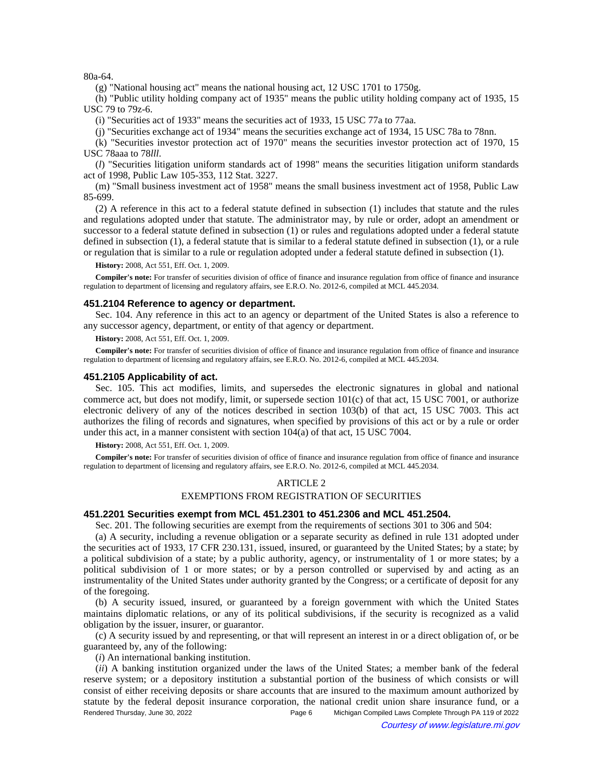80a-64.

(g) "National housing act" means the national housing act, 12 USC 1701 to 1750g.

(h) "Public utility holding company act of 1935" means the public utility holding company act of 1935, 15 USC 79 to 79z-6.

(i) "Securities act of 1933" means the securities act of 1933, 15 USC 77a to 77aa.

(j) "Securities exchange act of 1934" means the securities exchange act of 1934, 15 USC 78a to 78nn.

(k) "Securities investor protection act of 1970" means the securities investor protection act of 1970, 15 USC 78aaa to 78*lll*.

(*l*) "Securities litigation uniform standards act of 1998" means the securities litigation uniform standards act of 1998, Public Law 105-353, 112 Stat. 3227.

(m) "Small business investment act of 1958" means the small business investment act of 1958, Public Law 85-699.

(2) A reference in this act to a federal statute defined in subsection (1) includes that statute and the rules and regulations adopted under that statute. The administrator may, by rule or order, adopt an amendment or successor to a federal statute defined in subsection (1) or rules and regulations adopted under a federal statute defined in subsection (1), a federal statute that is similar to a federal statute defined in subsection (1), or a rule or regulation that is similar to a rule or regulation adopted under a federal statute defined in subsection (1).

**History:** 2008, Act 551, Eff. Oct. 1, 2009.

**Compiler's note:** For transfer of securities division of office of finance and insurance regulation from office of finance and insurance regulation to department of licensing and regulatory affairs, see E.R.O. No. 2012-6, compiled at MCL 445.2034.

## **451.2104 Reference to agency or department.**

Sec. 104. Any reference in this act to an agency or department of the United States is also a reference to any successor agency, department, or entity of that agency or department.

**History:** 2008, Act 551, Eff. Oct. 1, 2009.

**Compiler's note:** For transfer of securities division of office of finance and insurance regulation from office of finance and insurance regulation to department of licensing and regulatory affairs, see E.R.O. No. 2012-6, compiled at MCL 445.2034.

#### **451.2105 Applicability of act.**

Sec. 105. This act modifies, limits, and supersedes the electronic signatures in global and national commerce act, but does not modify, limit, or supersede section 101(c) of that act, 15 USC 7001, or authorize electronic delivery of any of the notices described in section 103(b) of that act, 15 USC 7003. This act authorizes the filing of records and signatures, when specified by provisions of this act or by a rule or order under this act, in a manner consistent with section 104(a) of that act, 15 USC 7004.

**History:** 2008, Act 551, Eff. Oct. 1, 2009.

**Compiler's note:** For transfer of securities division of office of finance and insurance regulation from office of finance and insurance regulation to department of licensing and regulatory affairs, see E.R.O. No. 2012-6, compiled at MCL 445.2034.

#### ARTICLE 2

### EXEMPTIONS FROM REGISTRATION OF SECURITIES

## **451.2201 Securities exempt from MCL 451.2301 to 451.2306 and MCL 451.2504.**

Sec. 201. The following securities are exempt from the requirements of sections 301 to 306 and 504:

(a) A security, including a revenue obligation or a separate security as defined in rule 131 adopted under the securities act of 1933, 17 CFR 230.131, issued, insured, or guaranteed by the United States; by a state; by a political subdivision of a state; by a public authority, agency, or instrumentality of 1 or more states; by a political subdivision of 1 or more states; or by a person controlled or supervised by and acting as an instrumentality of the United States under authority granted by the Congress; or a certificate of deposit for any of the foregoing.

(b) A security issued, insured, or guaranteed by a foreign government with which the United States maintains diplomatic relations, or any of its political subdivisions, if the security is recognized as a valid obligation by the issuer, insurer, or guarantor.

(c) A security issued by and representing, or that will represent an interest in or a direct obligation of, or be guaranteed by, any of the following:

(*i*) An international banking institution.

(*ii*) A banking institution organized under the laws of the United States; a member bank of the federal reserve system; or a depository institution a substantial portion of the business of which consists or will consist of either receiving deposits or share accounts that are insured to the maximum amount authorized by statute by the federal deposit insurance corporation, the national credit union share insurance fund, or a Rendered Thursday, June 30, 2022 Page 6 Michigan Compiled Laws Complete Through PA 119 of 2022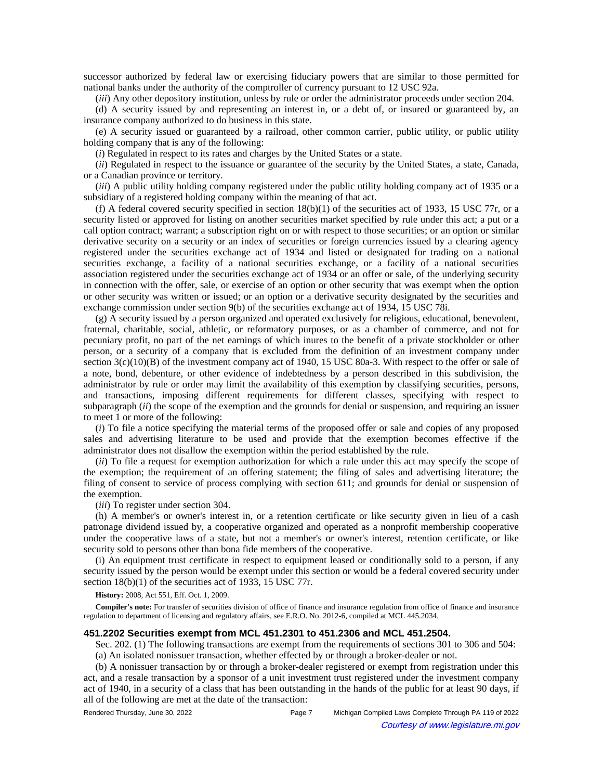successor authorized by federal law or exercising fiduciary powers that are similar to those permitted for national banks under the authority of the comptroller of currency pursuant to 12 USC 92a.

(*iii*) Any other depository institution, unless by rule or order the administrator proceeds under section 204.

(d) A security issued by and representing an interest in, or a debt of, or insured or guaranteed by, an insurance company authorized to do business in this state.

(e) A security issued or guaranteed by a railroad, other common carrier, public utility, or public utility holding company that is any of the following:

(*i*) Regulated in respect to its rates and charges by the United States or a state.

(*ii*) Regulated in respect to the issuance or guarantee of the security by the United States, a state, Canada, or a Canadian province or territory.

(*iii*) A public utility holding company registered under the public utility holding company act of 1935 or a subsidiary of a registered holding company within the meaning of that act.

(f) A federal covered security specified in section  $18(b)(1)$  of the securities act of 1933, 15 USC 77r, or a security listed or approved for listing on another securities market specified by rule under this act; a put or a call option contract; warrant; a subscription right on or with respect to those securities; or an option or similar derivative security on a security or an index of securities or foreign currencies issued by a clearing agency registered under the securities exchange act of 1934 and listed or designated for trading on a national securities exchange, a facility of a national securities exchange, or a facility of a national securities association registered under the securities exchange act of 1934 or an offer or sale, of the underlying security in connection with the offer, sale, or exercise of an option or other security that was exempt when the option or other security was written or issued; or an option or a derivative security designated by the securities and exchange commission under section 9(b) of the securities exchange act of 1934, 15 USC 78i.

(g) A security issued by a person organized and operated exclusively for religious, educational, benevolent, fraternal, charitable, social, athletic, or reformatory purposes, or as a chamber of commerce, and not for pecuniary profit, no part of the net earnings of which inures to the benefit of a private stockholder or other person, or a security of a company that is excluded from the definition of an investment company under section 3(c)(10)(B) of the investment company act of 1940, 15 USC 80a-3. With respect to the offer or sale of a note, bond, debenture, or other evidence of indebtedness by a person described in this subdivision, the administrator by rule or order may limit the availability of this exemption by classifying securities, persons, and transactions, imposing different requirements for different classes, specifying with respect to subparagraph *(ii)* the scope of the exemption and the grounds for denial or suspension, and requiring an issuer to meet 1 or more of the following:

(*i*) To file a notice specifying the material terms of the proposed offer or sale and copies of any proposed sales and advertising literature to be used and provide that the exemption becomes effective if the administrator does not disallow the exemption within the period established by the rule.

(*ii*) To file a request for exemption authorization for which a rule under this act may specify the scope of the exemption; the requirement of an offering statement; the filing of sales and advertising literature; the filing of consent to service of process complying with section 611; and grounds for denial or suspension of the exemption.

(*iii*) To register under section 304.

(h) A member's or owner's interest in, or a retention certificate or like security given in lieu of a cash patronage dividend issued by, a cooperative organized and operated as a nonprofit membership cooperative under the cooperative laws of a state, but not a member's or owner's interest, retention certificate, or like security sold to persons other than bona fide members of the cooperative.

(i) An equipment trust certificate in respect to equipment leased or conditionally sold to a person, if any security issued by the person would be exempt under this section or would be a federal covered security under section 18(b)(1) of the securities act of 1933, 15 USC 77r.

**History:** 2008, Act 551, Eff. Oct. 1, 2009.

**Compiler's note:** For transfer of securities division of office of finance and insurance regulation from office of finance and insurance regulation to department of licensing and regulatory affairs, see E.R.O. No. 2012-6, compiled at MCL 445.2034.

### **451.2202 Securities exempt from MCL 451.2301 to 451.2306 and MCL 451.2504.**

Sec. 202. (1) The following transactions are exempt from the requirements of sections 301 to 306 and 504: (a) An isolated nonissuer transaction, whether effected by or through a broker-dealer or not.

(b) A nonissuer transaction by or through a broker-dealer registered or exempt from registration under this act, and a resale transaction by a sponsor of a unit investment trust registered under the investment company act of 1940, in a security of a class that has been outstanding in the hands of the public for at least 90 days, if all of the following are met at the date of the transaction:

Rendered Thursday, June 30, 2022 Page 7 Michigan Compiled Laws Complete Through PA 119 of 2022 Courtesy of www.legislature.mi.gov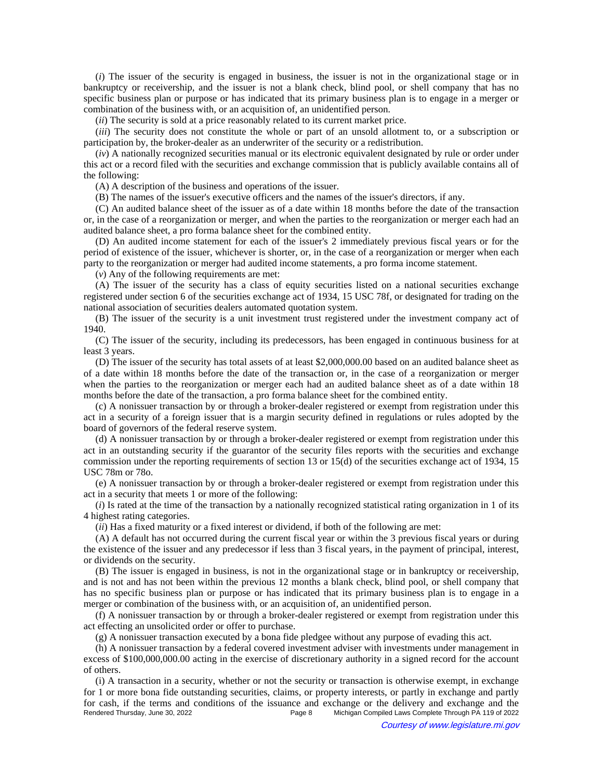(*i*) The issuer of the security is engaged in business, the issuer is not in the organizational stage or in bankruptcy or receivership, and the issuer is not a blank check, blind pool, or shell company that has no specific business plan or purpose or has indicated that its primary business plan is to engage in a merger or combination of the business with, or an acquisition of, an unidentified person.

(*ii*) The security is sold at a price reasonably related to its current market price.

(*iii*) The security does not constitute the whole or part of an unsold allotment to, or a subscription or participation by, the broker-dealer as an underwriter of the security or a redistribution.

(*iv*) A nationally recognized securities manual or its electronic equivalent designated by rule or order under this act or a record filed with the securities and exchange commission that is publicly available contains all of the following:

(A) A description of the business and operations of the issuer.

(B) The names of the issuer's executive officers and the names of the issuer's directors, if any.

(C) An audited balance sheet of the issuer as of a date within 18 months before the date of the transaction or, in the case of a reorganization or merger, and when the parties to the reorganization or merger each had an audited balance sheet, a pro forma balance sheet for the combined entity.

(D) An audited income statement for each of the issuer's 2 immediately previous fiscal years or for the period of existence of the issuer, whichever is shorter, or, in the case of a reorganization or merger when each party to the reorganization or merger had audited income statements, a pro forma income statement.

(*v*) Any of the following requirements are met:

(A) The issuer of the security has a class of equity securities listed on a national securities exchange registered under section 6 of the securities exchange act of 1934, 15 USC 78f, or designated for trading on the national association of securities dealers automated quotation system.

(B) The issuer of the security is a unit investment trust registered under the investment company act of 1940.

(C) The issuer of the security, including its predecessors, has been engaged in continuous business for at least 3 years.

(D) The issuer of the security has total assets of at least \$2,000,000.00 based on an audited balance sheet as of a date within 18 months before the date of the transaction or, in the case of a reorganization or merger when the parties to the reorganization or merger each had an audited balance sheet as of a date within 18 months before the date of the transaction, a pro forma balance sheet for the combined entity.

(c) A nonissuer transaction by or through a broker-dealer registered or exempt from registration under this act in a security of a foreign issuer that is a margin security defined in regulations or rules adopted by the board of governors of the federal reserve system.

(d) A nonissuer transaction by or through a broker-dealer registered or exempt from registration under this act in an outstanding security if the guarantor of the security files reports with the securities and exchange commission under the reporting requirements of section 13 or 15(d) of the securities exchange act of 1934, 15 USC 78m or 78o.

(e) A nonissuer transaction by or through a broker-dealer registered or exempt from registration under this act in a security that meets 1 or more of the following:

(*i*) Is rated at the time of the transaction by a nationally recognized statistical rating organization in 1 of its 4 highest rating categories.

(*ii*) Has a fixed maturity or a fixed interest or dividend, if both of the following are met:

(A) A default has not occurred during the current fiscal year or within the 3 previous fiscal years or during the existence of the issuer and any predecessor if less than 3 fiscal years, in the payment of principal, interest, or dividends on the security.

(B) The issuer is engaged in business, is not in the organizational stage or in bankruptcy or receivership, and is not and has not been within the previous 12 months a blank check, blind pool, or shell company that has no specific business plan or purpose or has indicated that its primary business plan is to engage in a merger or combination of the business with, or an acquisition of, an unidentified person.

(f) A nonissuer transaction by or through a broker-dealer registered or exempt from registration under this act effecting an unsolicited order or offer to purchase.

(g) A nonissuer transaction executed by a bona fide pledgee without any purpose of evading this act.

(h) A nonissuer transaction by a federal covered investment adviser with investments under management in excess of \$100,000,000.00 acting in the exercise of discretionary authority in a signed record for the account of others.

(i) A transaction in a security, whether or not the security or transaction is otherwise exempt, in exchange for 1 or more bona fide outstanding securities, claims, or property interests, or partly in exchange and partly for cash, if the terms and conditions of the issuance and exchange or the delivery and exchange and the Rendered Thursday, June 30, 2022<br>Page 8 Michigan Compiled Laws Complete Through PA 119 of 2022 Michigan Compiled Laws Complete Through PA 119 of 2022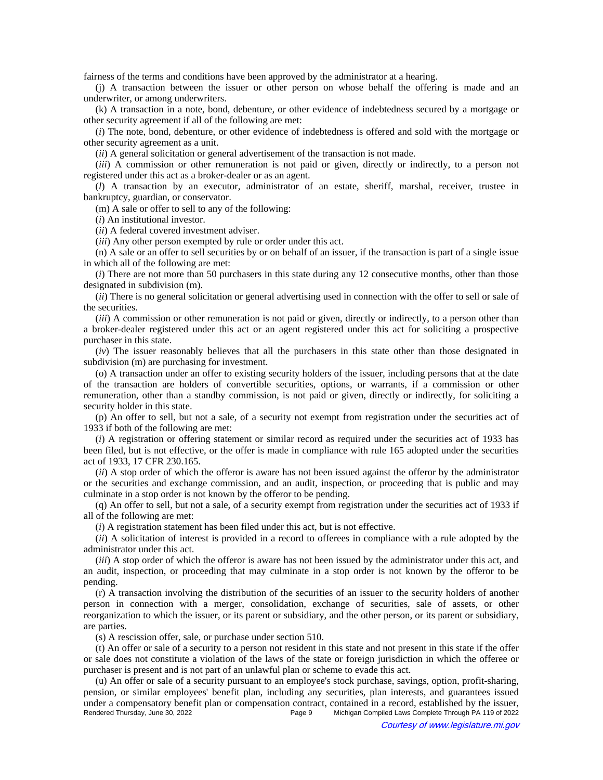fairness of the terms and conditions have been approved by the administrator at a hearing.

(j) A transaction between the issuer or other person on whose behalf the offering is made and an underwriter, or among underwriters.

(k) A transaction in a note, bond, debenture, or other evidence of indebtedness secured by a mortgage or other security agreement if all of the following are met:

(*i*) The note, bond, debenture, or other evidence of indebtedness is offered and sold with the mortgage or other security agreement as a unit.

(*ii*) A general solicitation or general advertisement of the transaction is not made.

(*iii*) A commission or other remuneration is not paid or given, directly or indirectly, to a person not registered under this act as a broker-dealer or as an agent.

(*l*) A transaction by an executor, administrator of an estate, sheriff, marshal, receiver, trustee in bankruptcy, guardian, or conservator.

(m) A sale or offer to sell to any of the following:

(*i*) An institutional investor.

(*ii*) A federal covered investment adviser.

(*iii*) Any other person exempted by rule or order under this act.

(n) A sale or an offer to sell securities by or on behalf of an issuer, if the transaction is part of a single issue in which all of the following are met:

(*i*) There are not more than 50 purchasers in this state during any 12 consecutive months, other than those designated in subdivision (m).

(*ii*) There is no general solicitation or general advertising used in connection with the offer to sell or sale of the securities.

(*iii*) A commission or other remuneration is not paid or given, directly or indirectly, to a person other than a broker-dealer registered under this act or an agent registered under this act for soliciting a prospective purchaser in this state.

(*iv*) The issuer reasonably believes that all the purchasers in this state other than those designated in subdivision (m) are purchasing for investment.

(o) A transaction under an offer to existing security holders of the issuer, including persons that at the date of the transaction are holders of convertible securities, options, or warrants, if a commission or other remuneration, other than a standby commission, is not paid or given, directly or indirectly, for soliciting a security holder in this state.

(p) An offer to sell, but not a sale, of a security not exempt from registration under the securities act of 1933 if both of the following are met:

(*i*) A registration or offering statement or similar record as required under the securities act of 1933 has been filed, but is not effective, or the offer is made in compliance with rule 165 adopted under the securities act of 1933, 17 CFR 230.165.

(*ii*) A stop order of which the offeror is aware has not been issued against the offeror by the administrator or the securities and exchange commission, and an audit, inspection, or proceeding that is public and may culminate in a stop order is not known by the offeror to be pending.

(q) An offer to sell, but not a sale, of a security exempt from registration under the securities act of 1933 if all of the following are met:

(*i*) A registration statement has been filed under this act, but is not effective.

(*ii*) A solicitation of interest is provided in a record to offerees in compliance with a rule adopted by the administrator under this act.

(*iii*) A stop order of which the offeror is aware has not been issued by the administrator under this act, and an audit, inspection, or proceeding that may culminate in a stop order is not known by the offeror to be pending.

(r) A transaction involving the distribution of the securities of an issuer to the security holders of another person in connection with a merger, consolidation, exchange of securities, sale of assets, or other reorganization to which the issuer, or its parent or subsidiary, and the other person, or its parent or subsidiary, are parties.

(s) A rescission offer, sale, or purchase under section 510.

(t) An offer or sale of a security to a person not resident in this state and not present in this state if the offer or sale does not constitute a violation of the laws of the state or foreign jurisdiction in which the offeree or purchaser is present and is not part of an unlawful plan or scheme to evade this act.

(u) An offer or sale of a security pursuant to an employee's stock purchase, savings, option, profit-sharing, pension, or similar employees' benefit plan, including any securities, plan interests, and guarantees issued under a compensatory benefit plan or compensation contract, contained in a record, established by the issuer,<br>Rendered Thursday, June 30, 2022<br>Page 9 Michigan Compiled Laws Complete Through PA 119 of 2022 Michigan Compiled Laws Complete Through PA 119 of 2022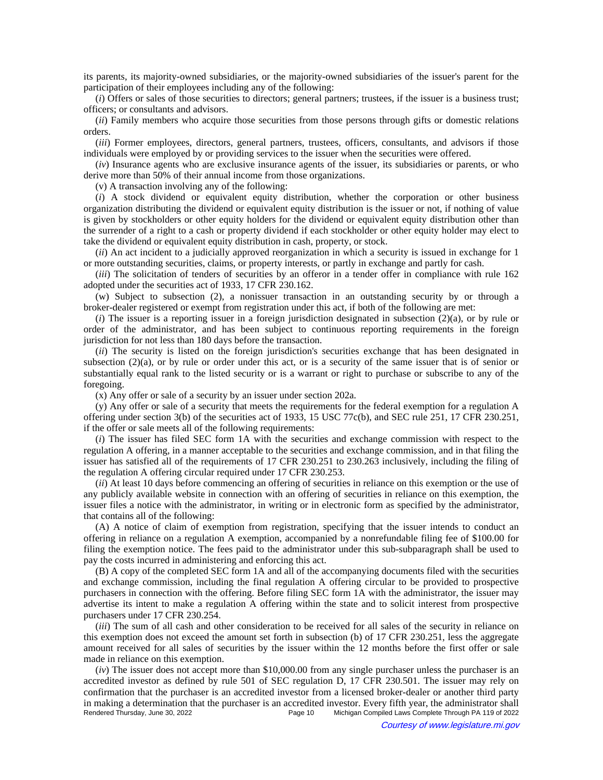its parents, its majority-owned subsidiaries, or the majority-owned subsidiaries of the issuer's parent for the participation of their employees including any of the following:

(*i*) Offers or sales of those securities to directors; general partners; trustees, if the issuer is a business trust; officers; or consultants and advisors.

(*ii*) Family members who acquire those securities from those persons through gifts or domestic relations orders.

(*iii*) Former employees, directors, general partners, trustees, officers, consultants, and advisors if those individuals were employed by or providing services to the issuer when the securities were offered.

(*iv*) Insurance agents who are exclusive insurance agents of the issuer, its subsidiaries or parents, or who derive more than 50% of their annual income from those organizations.

(v) A transaction involving any of the following:

(*i*) A stock dividend or equivalent equity distribution, whether the corporation or other business organization distributing the dividend or equivalent equity distribution is the issuer or not, if nothing of value is given by stockholders or other equity holders for the dividend or equivalent equity distribution other than the surrender of a right to a cash or property dividend if each stockholder or other equity holder may elect to take the dividend or equivalent equity distribution in cash, property, or stock.

(*ii*) An act incident to a judicially approved reorganization in which a security is issued in exchange for 1 or more outstanding securities, claims, or property interests, or partly in exchange and partly for cash.

(*iii*) The solicitation of tenders of securities by an offeror in a tender offer in compliance with rule 162 adopted under the securities act of 1933, 17 CFR 230.162.

(w) Subject to subsection (2), a nonissuer transaction in an outstanding security by or through a broker-dealer registered or exempt from registration under this act, if both of the following are met:

(*i*) The issuer is a reporting issuer in a foreign jurisdiction designated in subsection (2)(a), or by rule or order of the administrator, and has been subject to continuous reporting requirements in the foreign jurisdiction for not less than 180 days before the transaction.

(*ii*) The security is listed on the foreign jurisdiction's securities exchange that has been designated in subsection (2)(a), or by rule or order under this act, or is a security of the same issuer that is of senior or substantially equal rank to the listed security or is a warrant or right to purchase or subscribe to any of the foregoing.

(x) Any offer or sale of a security by an issuer under section 202a.

(y) Any offer or sale of a security that meets the requirements for the federal exemption for a regulation A offering under section 3(b) of the securities act of 1933, 15 USC 77c(b), and SEC rule 251, 17 CFR 230.251, if the offer or sale meets all of the following requirements:

(*i*) The issuer has filed SEC form 1A with the securities and exchange commission with respect to the regulation A offering, in a manner acceptable to the securities and exchange commission, and in that filing the issuer has satisfied all of the requirements of 17 CFR 230.251 to 230.263 inclusively, including the filing of the regulation A offering circular required under 17 CFR 230.253.

(*ii*) At least 10 days before commencing an offering of securities in reliance on this exemption or the use of any publicly available website in connection with an offering of securities in reliance on this exemption, the issuer files a notice with the administrator, in writing or in electronic form as specified by the administrator, that contains all of the following:

(A) A notice of claim of exemption from registration, specifying that the issuer intends to conduct an offering in reliance on a regulation A exemption, accompanied by a nonrefundable filing fee of \$100.00 for filing the exemption notice. The fees paid to the administrator under this sub-subparagraph shall be used to pay the costs incurred in administering and enforcing this act.

(B) A copy of the completed SEC form 1A and all of the accompanying documents filed with the securities and exchange commission, including the final regulation A offering circular to be provided to prospective purchasers in connection with the offering. Before filing SEC form 1A with the administrator, the issuer may advertise its intent to make a regulation A offering within the state and to solicit interest from prospective purchasers under 17 CFR 230.254.

(*iii*) The sum of all cash and other consideration to be received for all sales of the security in reliance on this exemption does not exceed the amount set forth in subsection (b) of 17 CFR 230.251, less the aggregate amount received for all sales of securities by the issuer within the 12 months before the first offer or sale made in reliance on this exemption.

(*iv*) The issuer does not accept more than \$10,000.00 from any single purchaser unless the purchaser is an accredited investor as defined by rule 501 of SEC regulation D, 17 CFR 230.501. The issuer may rely on confirmation that the purchaser is an accredited investor from a licensed broker-dealer or another third party in making a determination that the purchaser is an accredited investor. Every fifth year, the administrator shall<br>Page 10 Michigan Compiled Laws Complete Through PA 119 of 2022 Michigan Compiled Laws Complete Through PA 119 of 2022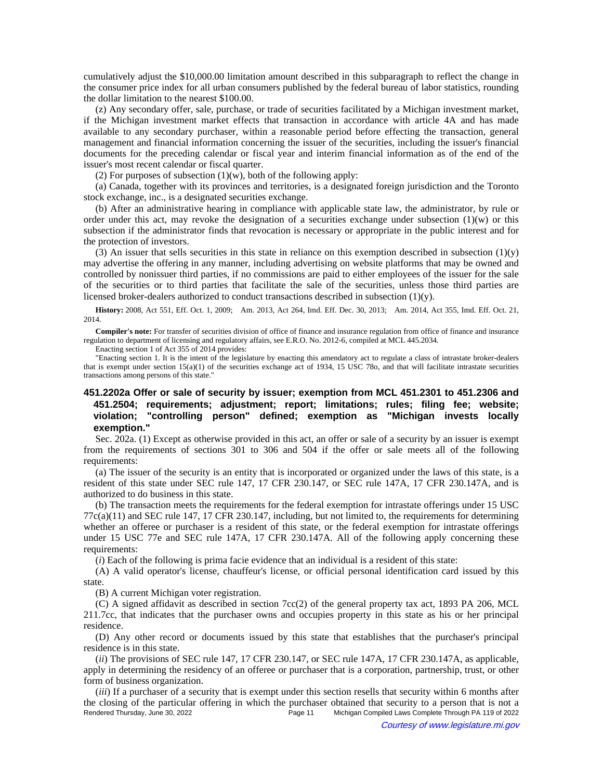cumulatively adjust the \$10,000.00 limitation amount described in this subparagraph to reflect the change in the consumer price index for all urban consumers published by the federal bureau of labor statistics, rounding the dollar limitation to the nearest \$100.00.

(z) Any secondary offer, sale, purchase, or trade of securities facilitated by a Michigan investment market, if the Michigan investment market effects that transaction in accordance with article 4A and has made available to any secondary purchaser, within a reasonable period before effecting the transaction, general management and financial information concerning the issuer of the securities, including the issuer's financial documents for the preceding calendar or fiscal year and interim financial information as of the end of the issuer's most recent calendar or fiscal quarter.

(2) For purposes of subsection  $(1)(w)$ , both of the following apply:

(a) Canada, together with its provinces and territories, is a designated foreign jurisdiction and the Toronto stock exchange, inc., is a designated securities exchange.

(b) After an administrative hearing in compliance with applicable state law, the administrator, by rule or order under this act, may revoke the designation of a securities exchange under subsection  $(1)(w)$  or this subsection if the administrator finds that revocation is necessary or appropriate in the public interest and for the protection of investors.

(3) An issuer that sells securities in this state in reliance on this exemption described in subsection  $(1)(y)$ may advertise the offering in any manner, including advertising on website platforms that may be owned and controlled by nonissuer third parties, if no commissions are paid to either employees of the issuer for the sale of the securities or to third parties that facilitate the sale of the securities, unless those third parties are licensed broker-dealers authorized to conduct transactions described in subsection (1)(y).

History: 2008, Act 551, Eff. Oct. 1, 2009;—Am. 2013, Act 264, Imd. Eff. Dec. 30, 2013;—Am. 2014, Act 355, Imd. Eff. Oct. 21, 2014.

**Compiler's note:** For transfer of securities division of office of finance and insurance regulation from office of finance and insurance regulation to department of licensing and regulatory affairs, see E.R.O. No. 2012-6, compiled at MCL 445.2034.

Enacting section 1 of Act 355 of 2014 provides:

"Enacting section 1. It is the intent of the legislature by enacting this amendatory act to regulate a class of intrastate broker-dealers that is exempt under section 15(a)(1) of the securities exchange act of 1934, 15 USC 78o, and that will facilitate intrastate securities transactions among persons of this state."

# **451.2202a Offer or sale of security by issuer; exemption from MCL 451.2301 to 451.2306 and 451.2504; requirements; adjustment; report; limitations; rules; filing fee; website; violation; "controlling person" defined; exemption as "Michigan invests locally exemption."**

Sec. 202a. (1) Except as otherwise provided in this act, an offer or sale of a security by an issuer is exempt from the requirements of sections 301 to 306 and 504 if the offer or sale meets all of the following requirements:

(a) The issuer of the security is an entity that is incorporated or organized under the laws of this state, is a resident of this state under SEC rule 147, 17 CFR 230.147, or SEC rule 147A, 17 CFR 230.147A, and is authorized to do business in this state.

(b) The transaction meets the requirements for the federal exemption for intrastate offerings under 15 USC 77c(a)(11) and SEC rule 147, 17 CFR 230.147, including, but not limited to, the requirements for determining whether an offeree or purchaser is a resident of this state, or the federal exemption for intrastate offerings under 15 USC 77e and SEC rule 147A, 17 CFR 230.147A. All of the following apply concerning these requirements:

(*i*) Each of the following is prima facie evidence that an individual is a resident of this state:

(A) A valid operator's license, chauffeur's license, or official personal identification card issued by this state.

(B) A current Michigan voter registration.

(C) A signed affidavit as described in section 7cc(2) of the general property tax act, 1893 PA 206, MCL 211.7cc, that indicates that the purchaser owns and occupies property in this state as his or her principal residence.

(D) Any other record or documents issued by this state that establishes that the purchaser's principal residence is in this state.

(*ii*) The provisions of SEC rule 147, 17 CFR 230.147, or SEC rule 147A, 17 CFR 230.147A, as applicable, apply in determining the residency of an offeree or purchaser that is a corporation, partnership, trust, or other form of business organization.

(*iii*) If a purchaser of a security that is exempt under this section resells that security within 6 months after the closing of the particular offering in which the purchaser obtained that security to a person that is not a Rendered Thursday, June 30, 2022 Page 11 Michigan Compiled Laws Complete Through PA 119 of 2022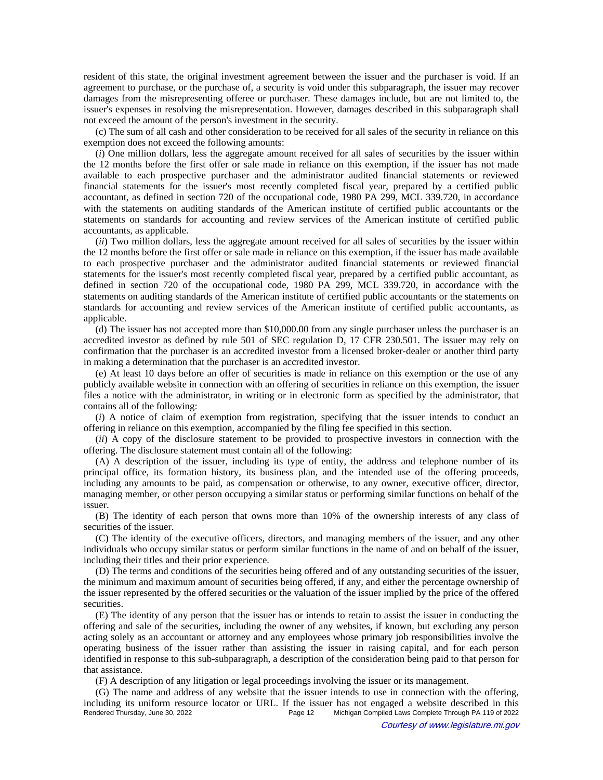resident of this state, the original investment agreement between the issuer and the purchaser is void. If an agreement to purchase, or the purchase of, a security is void under this subparagraph, the issuer may recover damages from the misrepresenting offeree or purchaser. These damages include, but are not limited to, the issuer's expenses in resolving the misrepresentation. However, damages described in this subparagraph shall not exceed the amount of the person's investment in the security.

(c) The sum of all cash and other consideration to be received for all sales of the security in reliance on this exemption does not exceed the following amounts:

(*i*) One million dollars, less the aggregate amount received for all sales of securities by the issuer within the 12 months before the first offer or sale made in reliance on this exemption, if the issuer has not made available to each prospective purchaser and the administrator audited financial statements or reviewed financial statements for the issuer's most recently completed fiscal year, prepared by a certified public accountant, as defined in section 720 of the occupational code, 1980 PA 299, MCL 339.720, in accordance with the statements on auditing standards of the American institute of certified public accountants or the statements on standards for accounting and review services of the American institute of certified public accountants, as applicable.

(*ii*) Two million dollars, less the aggregate amount received for all sales of securities by the issuer within the 12 months before the first offer or sale made in reliance on this exemption, if the issuer has made available to each prospective purchaser and the administrator audited financial statements or reviewed financial statements for the issuer's most recently completed fiscal year, prepared by a certified public accountant, as defined in section 720 of the occupational code, 1980 PA 299, MCL 339.720, in accordance with the statements on auditing standards of the American institute of certified public accountants or the statements on standards for accounting and review services of the American institute of certified public accountants, as applicable.

(d) The issuer has not accepted more than \$10,000.00 from any single purchaser unless the purchaser is an accredited investor as defined by rule 501 of SEC regulation D, 17 CFR 230.501. The issuer may rely on confirmation that the purchaser is an accredited investor from a licensed broker-dealer or another third party in making a determination that the purchaser is an accredited investor.

(e) At least 10 days before an offer of securities is made in reliance on this exemption or the use of any publicly available website in connection with an offering of securities in reliance on this exemption, the issuer files a notice with the administrator, in writing or in electronic form as specified by the administrator, that contains all of the following:

(*i*) A notice of claim of exemption from registration, specifying that the issuer intends to conduct an offering in reliance on this exemption, accompanied by the filing fee specified in this section.

(*ii*) A copy of the disclosure statement to be provided to prospective investors in connection with the offering. The disclosure statement must contain all of the following:

(A) A description of the issuer, including its type of entity, the address and telephone number of its principal office, its formation history, its business plan, and the intended use of the offering proceeds, including any amounts to be paid, as compensation or otherwise, to any owner, executive officer, director, managing member, or other person occupying a similar status or performing similar functions on behalf of the issuer.

(B) The identity of each person that owns more than 10% of the ownership interests of any class of securities of the issuer.

(C) The identity of the executive officers, directors, and managing members of the issuer, and any other individuals who occupy similar status or perform similar functions in the name of and on behalf of the issuer, including their titles and their prior experience.

(D) The terms and conditions of the securities being offered and of any outstanding securities of the issuer, the minimum and maximum amount of securities being offered, if any, and either the percentage ownership of the issuer represented by the offered securities or the valuation of the issuer implied by the price of the offered securities.

(E) The identity of any person that the issuer has or intends to retain to assist the issuer in conducting the offering and sale of the securities, including the owner of any websites, if known, but excluding any person acting solely as an accountant or attorney and any employees whose primary job responsibilities involve the operating business of the issuer rather than assisting the issuer in raising capital, and for each person identified in response to this sub-subparagraph, a description of the consideration being paid to that person for that assistance.

(F) A description of any litigation or legal proceedings involving the issuer or its management.

(G) The name and address of any website that the issuer intends to use in connection with the offering, including its uniform resource locator or URL. If the issuer has not engaged a website described in this<br>Page 12 Michigan Compiled Laws Complete Through PA 119 of 2022 Michigan Compiled Laws Complete Through PA 119 of 2022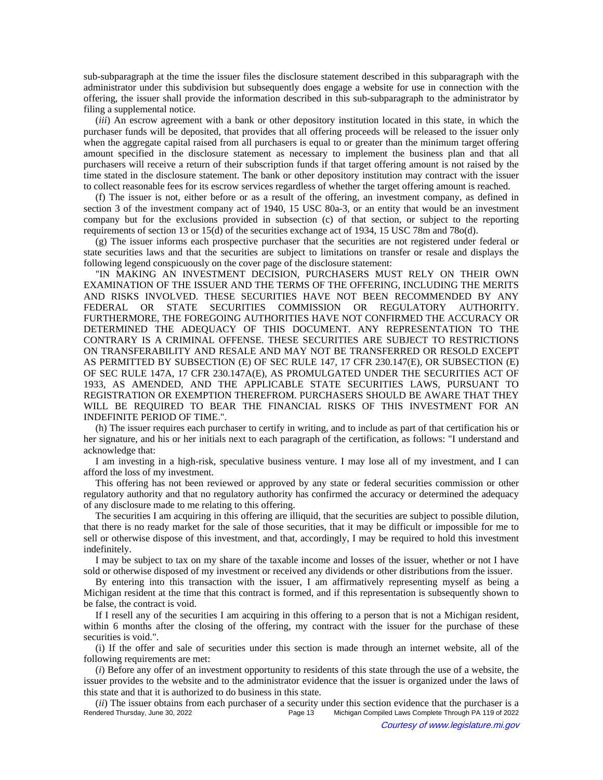sub-subparagraph at the time the issuer files the disclosure statement described in this subparagraph with the administrator under this subdivision but subsequently does engage a website for use in connection with the offering, the issuer shall provide the information described in this sub-subparagraph to the administrator by filing a supplemental notice.

(*iii*) An escrow agreement with a bank or other depository institution located in this state, in which the purchaser funds will be deposited, that provides that all offering proceeds will be released to the issuer only when the aggregate capital raised from all purchasers is equal to or greater than the minimum target offering amount specified in the disclosure statement as necessary to implement the business plan and that all purchasers will receive a return of their subscription funds if that target offering amount is not raised by the time stated in the disclosure statement. The bank or other depository institution may contract with the issuer to collect reasonable fees for its escrow services regardless of whether the target offering amount is reached.

(f) The issuer is not, either before or as a result of the offering, an investment company, as defined in section 3 of the investment company act of 1940, 15 USC 80a-3, or an entity that would be an investment company but for the exclusions provided in subsection (c) of that section, or subject to the reporting requirements of section 13 or 15(d) of the securities exchange act of 1934, 15 USC 78m and 78o(d).

(g) The issuer informs each prospective purchaser that the securities are not registered under federal or state securities laws and that the securities are subject to limitations on transfer or resale and displays the following legend conspicuously on the cover page of the disclosure statement:

"IN MAKING AN INVESTMENT DECISION, PURCHASERS MUST RELY ON THEIR OWN EXAMINATION OF THE ISSUER AND THE TERMS OF THE OFFERING, INCLUDING THE MERITS AND RISKS INVOLVED. THESE SECURITIES HAVE NOT BEEN RECOMMENDED BY ANY FEDERAL OR STATE SECURITIES COMMISSION OR REGULATORY AUTHORITY. FURTHERMORE, THE FOREGOING AUTHORITIES HAVE NOT CONFIRMED THE ACCURACY OR DETERMINED THE ADEQUACY OF THIS DOCUMENT. ANY REPRESENTATION TO THE CONTRARY IS A CRIMINAL OFFENSE. THESE SECURITIES ARE SUBJECT TO RESTRICTIONS ON TRANSFERABILITY AND RESALE AND MAY NOT BE TRANSFERRED OR RESOLD EXCEPT AS PERMITTED BY SUBSECTION (E) OF SEC RULE 147, 17 CFR 230.147(E), OR SUBSECTION (E) OF SEC RULE 147A, 17 CFR 230.147A(E), AS PROMULGATED UNDER THE SECURITIES ACT OF 1933, AS AMENDED, AND THE APPLICABLE STATE SECURITIES LAWS, PURSUANT TO REGISTRATION OR EXEMPTION THEREFROM. PURCHASERS SHOULD BE AWARE THAT THEY WILL BE REQUIRED TO BEAR THE FINANCIAL RISKS OF THIS INVESTMENT FOR AN INDEFINITE PERIOD OF TIME.".

(h) The issuer requires each purchaser to certify in writing, and to include as part of that certification his or her signature, and his or her initials next to each paragraph of the certification, as follows: "I understand and acknowledge that:

I am investing in a high-risk, speculative business venture. I may lose all of my investment, and I can afford the loss of my investment.

This offering has not been reviewed or approved by any state or federal securities commission or other regulatory authority and that no regulatory authority has confirmed the accuracy or determined the adequacy of any disclosure made to me relating to this offering.

The securities I am acquiring in this offering are illiquid, that the securities are subject to possible dilution, that there is no ready market for the sale of those securities, that it may be difficult or impossible for me to sell or otherwise dispose of this investment, and that, accordingly, I may be required to hold this investment indefinitely.

I may be subject to tax on my share of the taxable income and losses of the issuer, whether or not I have sold or otherwise disposed of my investment or received any dividends or other distributions from the issuer.

By entering into this transaction with the issuer, I am affirmatively representing myself as being a Michigan resident at the time that this contract is formed, and if this representation is subsequently shown to be false, the contract is void.

If I resell any of the securities I am acquiring in this offering to a person that is not a Michigan resident, within 6 months after the closing of the offering, my contract with the issuer for the purchase of these securities is void.".

(i) If the offer and sale of securities under this section is made through an internet website, all of the following requirements are met:

(*i*) Before any offer of an investment opportunity to residents of this state through the use of a website, the issuer provides to the website and to the administrator evidence that the issuer is organized under the laws of this state and that it is authorized to do business in this state.

(*ii*) The issuer obtains from each purchaser of a security under this section evidence that the purchaser is a<br>Rendered Thursday, June 30, 2022<br>Rege 13 Michigan Compiled Laws Complete Through PA 119 of 2022 Michigan Compiled Laws Complete Through PA 119 of 2022 Courtesy of www.legislature.mi.gov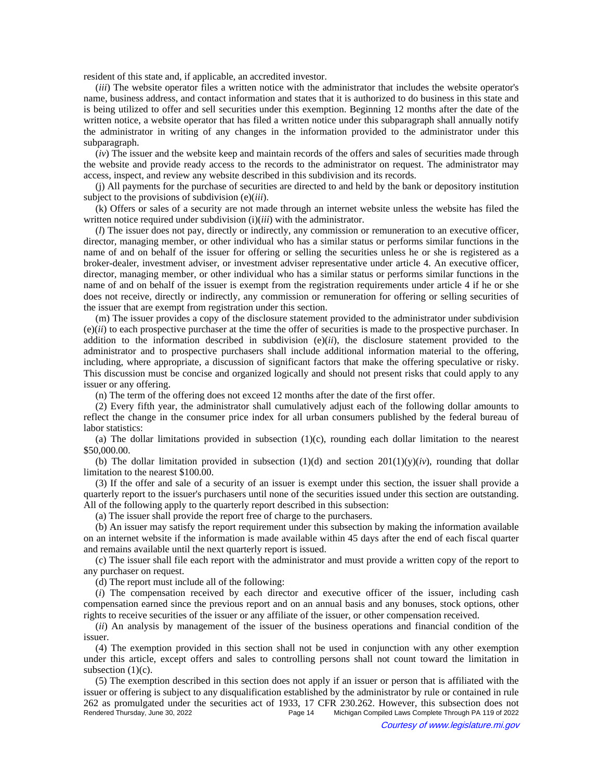resident of this state and, if applicable, an accredited investor.

(*iii*) The website operator files a written notice with the administrator that includes the website operator's name, business address, and contact information and states that it is authorized to do business in this state and is being utilized to offer and sell securities under this exemption. Beginning 12 months after the date of the written notice, a website operator that has filed a written notice under this subparagraph shall annually notify the administrator in writing of any changes in the information provided to the administrator under this subparagraph.

(*iv*) The issuer and the website keep and maintain records of the offers and sales of securities made through the website and provide ready access to the records to the administrator on request. The administrator may access, inspect, and review any website described in this subdivision and its records.

(j) All payments for the purchase of securities are directed to and held by the bank or depository institution subject to the provisions of subdivision (e)(*iii*).

(k) Offers or sales of a security are not made through an internet website unless the website has filed the written notice required under subdivision (i)(*iii*) with the administrator.

(*l*) The issuer does not pay, directly or indirectly, any commission or remuneration to an executive officer, director, managing member, or other individual who has a similar status or performs similar functions in the name of and on behalf of the issuer for offering or selling the securities unless he or she is registered as a broker-dealer, investment adviser, or investment adviser representative under article 4. An executive officer, director, managing member, or other individual who has a similar status or performs similar functions in the name of and on behalf of the issuer is exempt from the registration requirements under article 4 if he or she does not receive, directly or indirectly, any commission or remuneration for offering or selling securities of the issuer that are exempt from registration under this section.

(m) The issuer provides a copy of the disclosure statement provided to the administrator under subdivision  $(e)(ii)$  to each prospective purchaser at the time the offer of securities is made to the prospective purchaser. In addition to the information described in subdivision (e)(*ii*), the disclosure statement provided to the administrator and to prospective purchasers shall include additional information material to the offering, including, where appropriate, a discussion of significant factors that make the offering speculative or risky. This discussion must be concise and organized logically and should not present risks that could apply to any issuer or any offering.

(n) The term of the offering does not exceed 12 months after the date of the first offer.

(2) Every fifth year, the administrator shall cumulatively adjust each of the following dollar amounts to reflect the change in the consumer price index for all urban consumers published by the federal bureau of labor statistics:

(a) The dollar limitations provided in subsection  $(1)(c)$ , rounding each dollar limitation to the nearest \$50,000.00.

(b) The dollar limitation provided in subsection  $(1)(d)$  and section  $201(1)(y)(iv)$ , rounding that dollar limitation to the nearest \$100.00.

(3) If the offer and sale of a security of an issuer is exempt under this section, the issuer shall provide a quarterly report to the issuer's purchasers until none of the securities issued under this section are outstanding. All of the following apply to the quarterly report described in this subsection:

(a) The issuer shall provide the report free of charge to the purchasers.

(b) An issuer may satisfy the report requirement under this subsection by making the information available on an internet website if the information is made available within 45 days after the end of each fiscal quarter and remains available until the next quarterly report is issued.

(c) The issuer shall file each report with the administrator and must provide a written copy of the report to any purchaser on request.

(d) The report must include all of the following:

(*i*) The compensation received by each director and executive officer of the issuer, including cash compensation earned since the previous report and on an annual basis and any bonuses, stock options, other rights to receive securities of the issuer or any affiliate of the issuer, or other compensation received.

(*ii*) An analysis by management of the issuer of the business operations and financial condition of the issuer.

(4) The exemption provided in this section shall not be used in conjunction with any other exemption under this article, except offers and sales to controlling persons shall not count toward the limitation in subsection  $(1)(c)$ .

(5) The exemption described in this section does not apply if an issuer or person that is affiliated with the issuer or offering is subject to any disqualification established by the administrator by rule or contained in rule 262 as promulgated under the securities act of 1933, 17 CFR 230.262. However, this subsection does not Michigan Compiled Laws Complete Through PA 119 of 2022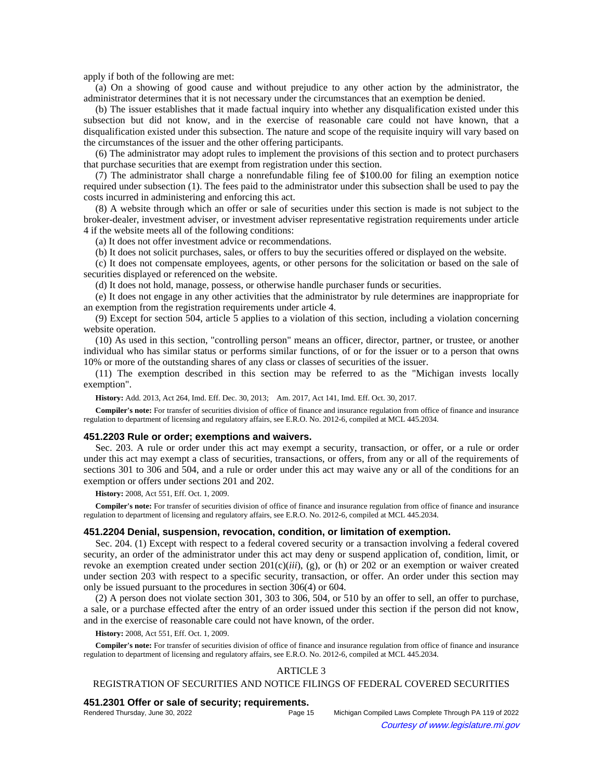apply if both of the following are met:

(a) On a showing of good cause and without prejudice to any other action by the administrator, the administrator determines that it is not necessary under the circumstances that an exemption be denied.

(b) The issuer establishes that it made factual inquiry into whether any disqualification existed under this subsection but did not know, and in the exercise of reasonable care could not have known, that a disqualification existed under this subsection. The nature and scope of the requisite inquiry will vary based on the circumstances of the issuer and the other offering participants.

(6) The administrator may adopt rules to implement the provisions of this section and to protect purchasers that purchase securities that are exempt from registration under this section.

(7) The administrator shall charge a nonrefundable filing fee of \$100.00 for filing an exemption notice required under subsection (1). The fees paid to the administrator under this subsection shall be used to pay the costs incurred in administering and enforcing this act.

(8) A website through which an offer or sale of securities under this section is made is not subject to the broker-dealer, investment adviser, or investment adviser representative registration requirements under article 4 if the website meets all of the following conditions:

(a) It does not offer investment advice or recommendations.

(b) It does not solicit purchases, sales, or offers to buy the securities offered or displayed on the website.

(c) It does not compensate employees, agents, or other persons for the solicitation or based on the sale of securities displayed or referenced on the website.

(d) It does not hold, manage, possess, or otherwise handle purchaser funds or securities.

(e) It does not engage in any other activities that the administrator by rule determines are inappropriate for an exemption from the registration requirements under article 4.

(9) Except for section 504, article 5 applies to a violation of this section, including a violation concerning website operation.

(10) As used in this section, "controlling person" means an officer, director, partner, or trustee, or another individual who has similar status or performs similar functions, of or for the issuer or to a person that owns 10% or more of the outstanding shares of any class or classes of securities of the issuer.

(11) The exemption described in this section may be referred to as the "Michigan invests locally exemption".

History: Add. 2013, Act 264, Imd. Eff. Dec. 30, 2013;—Am. 2017, Act 141, Imd. Eff. Oct. 30, 2017.

**Compiler's note:** For transfer of securities division of office of finance and insurance regulation from office of finance and insurance regulation to department of licensing and regulatory affairs, see E.R.O. No. 2012-6, compiled at MCL 445.2034.

### **451.2203 Rule or order; exemptions and waivers.**

Sec. 203. A rule or order under this act may exempt a security, transaction, or offer, or a rule or order under this act may exempt a class of securities, transactions, or offers, from any or all of the requirements of sections 301 to 306 and 504, and a rule or order under this act may waive any or all of the conditions for an exemption or offers under sections 201 and 202.

**History:** 2008, Act 551, Eff. Oct. 1, 2009.

**Compiler's note:** For transfer of securities division of office of finance and insurance regulation from office of finance and insurance regulation to department of licensing and regulatory affairs, see E.R.O. No. 2012-6, compiled at MCL 445.2034.

## **451.2204 Denial, suspension, revocation, condition, or limitation of exemption.**

Sec. 204. (1) Except with respect to a federal covered security or a transaction involving a federal covered security, an order of the administrator under this act may deny or suspend application of, condition, limit, or revoke an exemption created under section 201(c)(*iii*), (g), or (h) or 202 or an exemption or waiver created under section 203 with respect to a specific security, transaction, or offer. An order under this section may only be issued pursuant to the procedures in section 306(4) or 604.

(2) A person does not violate section 301, 303 to 306, 504, or 510 by an offer to sell, an offer to purchase, a sale, or a purchase effected after the entry of an order issued under this section if the person did not know, and in the exercise of reasonable care could not have known, of the order.

**History:** 2008, Act 551, Eff. Oct. 1, 2009.

**Compiler's note:** For transfer of securities division of office of finance and insurance regulation from office of finance and insurance regulation to department of licensing and regulatory affairs, see E.R.O. No. 2012-6, compiled at MCL 445.2034.

# ARTICLE 3

### REGISTRATION OF SECURITIES AND NOTICE FILINGS OF FEDERAL COVERED SECURITIES

### **451.2301 Offer or sale of security; requirements.**

| Rendered Thursday, June 30, 2022 | Page 15 | Michigan Compiled Laws Complete Through PA 119 of 2022 |
|----------------------------------|---------|--------------------------------------------------------|
| $\odot$                          |         | Courtesy of www.legislature.mi.gov                     |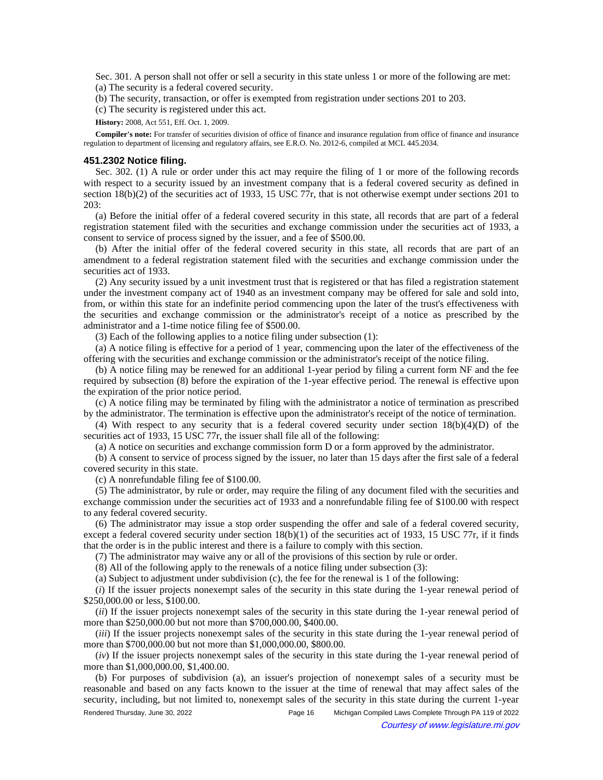Sec. 301. A person shall not offer or sell a security in this state unless 1 or more of the following are met: (a) The security is a federal covered security.

(b) The security, transaction, or offer is exempted from registration under sections 201 to 203.

(c) The security is registered under this act.

**History:** 2008, Act 551, Eff. Oct. 1, 2009.

**Compiler's note:** For transfer of securities division of office of finance and insurance regulation from office of finance and insurance regulation to department of licensing and regulatory affairs, see E.R.O. No. 2012-6, compiled at MCL 445.2034.

## **451.2302 Notice filing.**

Sec. 302. (1) A rule or order under this act may require the filing of 1 or more of the following records with respect to a security issued by an investment company that is a federal covered security as defined in section 18(b)(2) of the securities act of 1933, 15 USC 77r, that is not otherwise exempt under sections 201 to 203:

(a) Before the initial offer of a federal covered security in this state, all records that are part of a federal registration statement filed with the securities and exchange commission under the securities act of 1933, a consent to service of process signed by the issuer, and a fee of \$500.00.

(b) After the initial offer of the federal covered security in this state, all records that are part of an amendment to a federal registration statement filed with the securities and exchange commission under the securities act of 1933.

(2) Any security issued by a unit investment trust that is registered or that has filed a registration statement under the investment company act of 1940 as an investment company may be offered for sale and sold into, from, or within this state for an indefinite period commencing upon the later of the trust's effectiveness with the securities and exchange commission or the administrator's receipt of a notice as prescribed by the administrator and a 1-time notice filing fee of \$500.00.

(3) Each of the following applies to a notice filing under subsection (1):

(a) A notice filing is effective for a period of 1 year, commencing upon the later of the effectiveness of the offering with the securities and exchange commission or the administrator's receipt of the notice filing.

(b) A notice filing may be renewed for an additional 1-year period by filing a current form NF and the fee required by subsection (8) before the expiration of the 1-year effective period. The renewal is effective upon the expiration of the prior notice period.

(c) A notice filing may be terminated by filing with the administrator a notice of termination as prescribed by the administrator. The termination is effective upon the administrator's receipt of the notice of termination.

(4) With respect to any security that is a federal covered security under section  $18(b)(4)(D)$  of the securities act of 1933, 15 USC 77r, the issuer shall file all of the following:

(a) A notice on securities and exchange commission form D or a form approved by the administrator.

(b) A consent to service of process signed by the issuer, no later than 15 days after the first sale of a federal covered security in this state.

(c) A nonrefundable filing fee of \$100.00.

(5) The administrator, by rule or order, may require the filing of any document filed with the securities and exchange commission under the securities act of 1933 and a nonrefundable filing fee of \$100.00 with respect to any federal covered security.

(6) The administrator may issue a stop order suspending the offer and sale of a federal covered security, except a federal covered security under section  $18(b)(1)$  of the securities act of 1933, 15 USC 77r, if it finds that the order is in the public interest and there is a failure to comply with this section.

(7) The administrator may waive any or all of the provisions of this section by rule or order.

(8) All of the following apply to the renewals of a notice filing under subsection (3):

(a) Subject to adjustment under subdivision (c), the fee for the renewal is 1 of the following:

(*i*) If the issuer projects nonexempt sales of the security in this state during the 1-year renewal period of \$250,000.00 or less, \$100.00.

(*ii*) If the issuer projects nonexempt sales of the security in this state during the 1-year renewal period of more than \$250,000.00 but not more than \$700,000.00, \$400.00.

*(iii)* If the issuer projects nonexempt sales of the security in this state during the 1-year renewal period of more than \$700,000.00 but not more than \$1,000,000.00, \$800.00.

(*iv*) If the issuer projects nonexempt sales of the security in this state during the 1-year renewal period of more than \$1,000,000.00, \$1,400.00.

(b) For purposes of subdivision (a), an issuer's projection of nonexempt sales of a security must be reasonable and based on any facts known to the issuer at the time of renewal that may affect sales of the security, including, but not limited to, nonexempt sales of the security in this state during the current 1-year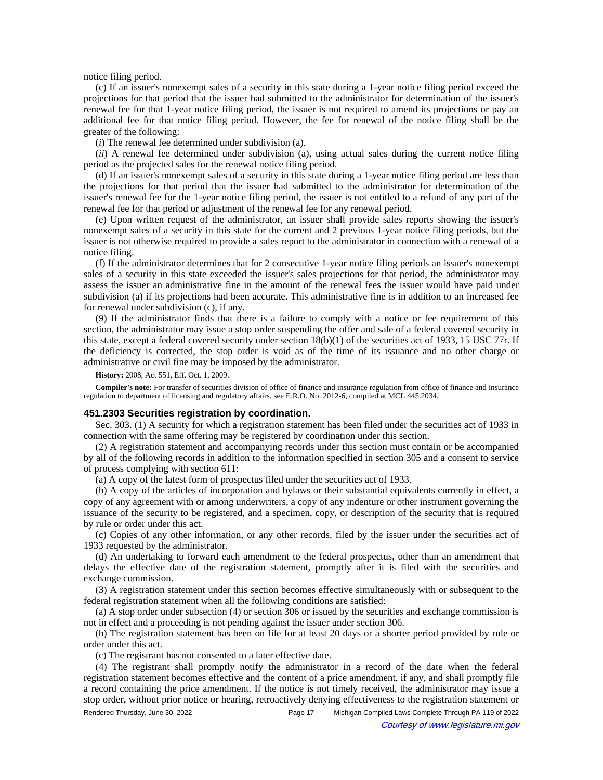notice filing period.

(c) If an issuer's nonexempt sales of a security in this state during a 1-year notice filing period exceed the projections for that period that the issuer had submitted to the administrator for determination of the issuer's renewal fee for that 1-year notice filing period, the issuer is not required to amend its projections or pay an additional fee for that notice filing period. However, the fee for renewal of the notice filing shall be the greater of the following:

(*i*) The renewal fee determined under subdivision (a).

(*ii*) A renewal fee determined under subdivision (a), using actual sales during the current notice filing period as the projected sales for the renewal notice filing period.

(d) If an issuer's nonexempt sales of a security in this state during a 1-year notice filing period are less than the projections for that period that the issuer had submitted to the administrator for determination of the issuer's renewal fee for the 1-year notice filing period, the issuer is not entitled to a refund of any part of the renewal fee for that period or adjustment of the renewal fee for any renewal period.

(e) Upon written request of the administrator, an issuer shall provide sales reports showing the issuer's nonexempt sales of a security in this state for the current and 2 previous 1-year notice filing periods, but the issuer is not otherwise required to provide a sales report to the administrator in connection with a renewal of a notice filing.

(f) If the administrator determines that for 2 consecutive 1-year notice filing periods an issuer's nonexempt sales of a security in this state exceeded the issuer's sales projections for that period, the administrator may assess the issuer an administrative fine in the amount of the renewal fees the issuer would have paid under subdivision (a) if its projections had been accurate. This administrative fine is in addition to an increased fee for renewal under subdivision (c), if any.

(9) If the administrator finds that there is a failure to comply with a notice or fee requirement of this section, the administrator may issue a stop order suspending the offer and sale of a federal covered security in this state, except a federal covered security under section  $18(b)(1)$  of the securities act of 1933, 15 USC 77r. If the deficiency is corrected, the stop order is void as of the time of its issuance and no other charge or administrative or civil fine may be imposed by the administrator.

#### **History:** 2008, Act 551, Eff. Oct. 1, 2009.

**Compiler's note:** For transfer of securities division of office of finance and insurance regulation from office of finance and insurance regulation to department of licensing and regulatory affairs, see E.R.O. No. 2012-6, compiled at MCL 445.2034.

#### **451.2303 Securities registration by coordination.**

Sec. 303. (1) A security for which a registration statement has been filed under the securities act of 1933 in connection with the same offering may be registered by coordination under this section.

(2) A registration statement and accompanying records under this section must contain or be accompanied by all of the following records in addition to the information specified in section 305 and a consent to service of process complying with section 611:

(a) A copy of the latest form of prospectus filed under the securities act of 1933.

(b) A copy of the articles of incorporation and bylaws or their substantial equivalents currently in effect, a copy of any agreement with or among underwriters, a copy of any indenture or other instrument governing the issuance of the security to be registered, and a specimen, copy, or description of the security that is required by rule or order under this act.

(c) Copies of any other information, or any other records, filed by the issuer under the securities act of 1933 requested by the administrator.

(d) An undertaking to forward each amendment to the federal prospectus, other than an amendment that delays the effective date of the registration statement, promptly after it is filed with the securities and exchange commission.

(3) A registration statement under this section becomes effective simultaneously with or subsequent to the federal registration statement when all the following conditions are satisfied:

(a) A stop order under subsection (4) or section 306 or issued by the securities and exchange commission is not in effect and a proceeding is not pending against the issuer under section 306.

(b) The registration statement has been on file for at least 20 days or a shorter period provided by rule or order under this act.

(c) The registrant has not consented to a later effective date.

(4) The registrant shall promptly notify the administrator in a record of the date when the federal registration statement becomes effective and the content of a price amendment, if any, and shall promptly file a record containing the price amendment. If the notice is not timely received, the administrator may issue a stop order, without prior notice or hearing, retroactively denying effectiveness to the registration statement or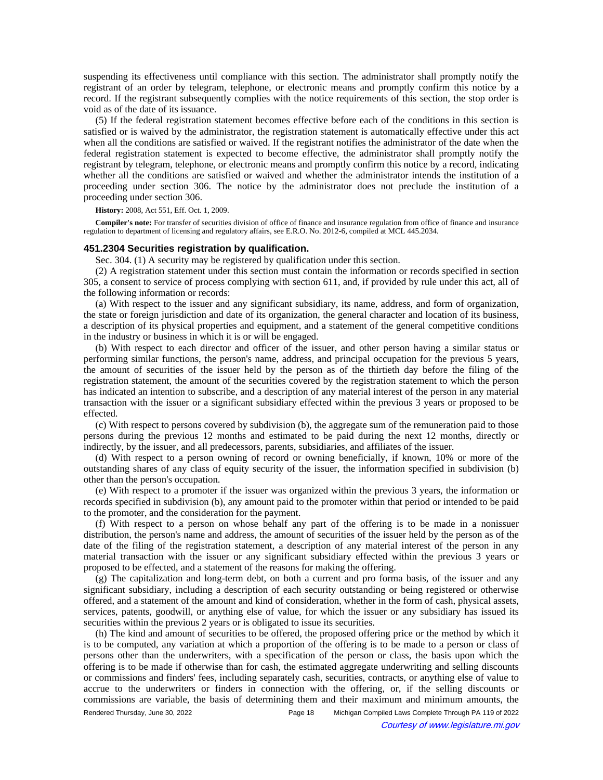suspending its effectiveness until compliance with this section. The administrator shall promptly notify the registrant of an order by telegram, telephone, or electronic means and promptly confirm this notice by a record. If the registrant subsequently complies with the notice requirements of this section, the stop order is void as of the date of its issuance.

(5) If the federal registration statement becomes effective before each of the conditions in this section is satisfied or is waived by the administrator, the registration statement is automatically effective under this act when all the conditions are satisfied or waived. If the registrant notifies the administrator of the date when the federal registration statement is expected to become effective, the administrator shall promptly notify the registrant by telegram, telephone, or electronic means and promptly confirm this notice by a record, indicating whether all the conditions are satisfied or waived and whether the administrator intends the institution of a proceeding under section 306. The notice by the administrator does not preclude the institution of a proceeding under section 306.

**History:** 2008, Act 551, Eff. Oct. 1, 2009.

**Compiler's note:** For transfer of securities division of office of finance and insurance regulation from office of finance and insurance regulation to department of licensing and regulatory affairs, see E.R.O. No. 2012-6, compiled at MCL 445.2034.

### **451.2304 Securities registration by qualification.**

Sec. 304. (1) A security may be registered by qualification under this section.

(2) A registration statement under this section must contain the information or records specified in section 305, a consent to service of process complying with section 611, and, if provided by rule under this act, all of the following information or records:

(a) With respect to the issuer and any significant subsidiary, its name, address, and form of organization, the state or foreign jurisdiction and date of its organization, the general character and location of its business, a description of its physical properties and equipment, and a statement of the general competitive conditions in the industry or business in which it is or will be engaged.

(b) With respect to each director and officer of the issuer, and other person having a similar status or performing similar functions, the person's name, address, and principal occupation for the previous 5 years, the amount of securities of the issuer held by the person as of the thirtieth day before the filing of the registration statement, the amount of the securities covered by the registration statement to which the person has indicated an intention to subscribe, and a description of any material interest of the person in any material transaction with the issuer or a significant subsidiary effected within the previous 3 years or proposed to be effected.

(c) With respect to persons covered by subdivision (b), the aggregate sum of the remuneration paid to those persons during the previous 12 months and estimated to be paid during the next 12 months, directly or indirectly, by the issuer, and all predecessors, parents, subsidiaries, and affiliates of the issuer.

(d) With respect to a person owning of record or owning beneficially, if known, 10% or more of the outstanding shares of any class of equity security of the issuer, the information specified in subdivision (b) other than the person's occupation.

(e) With respect to a promoter if the issuer was organized within the previous 3 years, the information or records specified in subdivision (b), any amount paid to the promoter within that period or intended to be paid to the promoter, and the consideration for the payment.

(f) With respect to a person on whose behalf any part of the offering is to be made in a nonissuer distribution, the person's name and address, the amount of securities of the issuer held by the person as of the date of the filing of the registration statement, a description of any material interest of the person in any material transaction with the issuer or any significant subsidiary effected within the previous 3 years or proposed to be effected, and a statement of the reasons for making the offering.

(g) The capitalization and long-term debt, on both a current and pro forma basis, of the issuer and any significant subsidiary, including a description of each security outstanding or being registered or otherwise offered, and a statement of the amount and kind of consideration, whether in the form of cash, physical assets, services, patents, goodwill, or anything else of value, for which the issuer or any subsidiary has issued its securities within the previous 2 years or is obligated to issue its securities.

(h) The kind and amount of securities to be offered, the proposed offering price or the method by which it is to be computed, any variation at which a proportion of the offering is to be made to a person or class of persons other than the underwriters, with a specification of the person or class, the basis upon which the offering is to be made if otherwise than for cash, the estimated aggregate underwriting and selling discounts or commissions and finders' fees, including separately cash, securities, contracts, or anything else of value to accrue to the underwriters or finders in connection with the offering, or, if the selling discounts or commissions are variable, the basis of determining them and their maximum and minimum amounts, the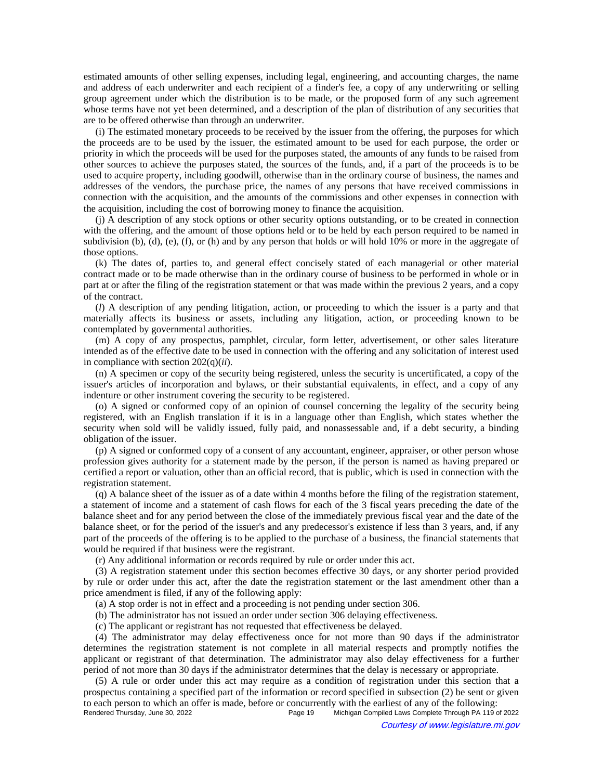estimated amounts of other selling expenses, including legal, engineering, and accounting charges, the name and address of each underwriter and each recipient of a finder's fee, a copy of any underwriting or selling group agreement under which the distribution is to be made, or the proposed form of any such agreement whose terms have not yet been determined, and a description of the plan of distribution of any securities that are to be offered otherwise than through an underwriter.

(i) The estimated monetary proceeds to be received by the issuer from the offering, the purposes for which the proceeds are to be used by the issuer, the estimated amount to be used for each purpose, the order or priority in which the proceeds will be used for the purposes stated, the amounts of any funds to be raised from other sources to achieve the purposes stated, the sources of the funds, and, if a part of the proceeds is to be used to acquire property, including goodwill, otherwise than in the ordinary course of business, the names and addresses of the vendors, the purchase price, the names of any persons that have received commissions in connection with the acquisition, and the amounts of the commissions and other expenses in connection with the acquisition, including the cost of borrowing money to finance the acquisition.

(j) A description of any stock options or other security options outstanding, or to be created in connection with the offering, and the amount of those options held or to be held by each person required to be named in subdivision (b), (d), (e), (f), or (h) and by any person that holds or will hold 10% or more in the aggregate of those options.

(k) The dates of, parties to, and general effect concisely stated of each managerial or other material contract made or to be made otherwise than in the ordinary course of business to be performed in whole or in part at or after the filing of the registration statement or that was made within the previous 2 years, and a copy of the contract.

(*l*) A description of any pending litigation, action, or proceeding to which the issuer is a party and that materially affects its business or assets, including any litigation, action, or proceeding known to be contemplated by governmental authorities.

(m) A copy of any prospectus, pamphlet, circular, form letter, advertisement, or other sales literature intended as of the effective date to be used in connection with the offering and any solicitation of interest used in compliance with section 202(q)(*ii*).

(n) A specimen or copy of the security being registered, unless the security is uncertificated, a copy of the issuer's articles of incorporation and bylaws, or their substantial equivalents, in effect, and a copy of any indenture or other instrument covering the security to be registered.

(o) A signed or conformed copy of an opinion of counsel concerning the legality of the security being registered, with an English translation if it is in a language other than English, which states whether the security when sold will be validly issued, fully paid, and nonassessable and, if a debt security, a binding obligation of the issuer.

(p) A signed or conformed copy of a consent of any accountant, engineer, appraiser, or other person whose profession gives authority for a statement made by the person, if the person is named as having prepared or certified a report or valuation, other than an official record, that is public, which is used in connection with the registration statement.

(q) A balance sheet of the issuer as of a date within 4 months before the filing of the registration statement, a statement of income and a statement of cash flows for each of the 3 fiscal years preceding the date of the balance sheet and for any period between the close of the immediately previous fiscal year and the date of the balance sheet, or for the period of the issuer's and any predecessor's existence if less than 3 years, and, if any part of the proceeds of the offering is to be applied to the purchase of a business, the financial statements that would be required if that business were the registrant.

(r) Any additional information or records required by rule or order under this act.

(3) A registration statement under this section becomes effective 30 days, or any shorter period provided by rule or order under this act, after the date the registration statement or the last amendment other than a price amendment is filed, if any of the following apply:

(a) A stop order is not in effect and a proceeding is not pending under section 306.

(b) The administrator has not issued an order under section 306 delaying effectiveness.

(c) The applicant or registrant has not requested that effectiveness be delayed.

(4) The administrator may delay effectiveness once for not more than 90 days if the administrator determines the registration statement is not complete in all material respects and promptly notifies the applicant or registrant of that determination. The administrator may also delay effectiveness for a further period of not more than 30 days if the administrator determines that the delay is necessary or appropriate.

(5) A rule or order under this act may require as a condition of registration under this section that a prospectus containing a specified part of the information or record specified in subsection (2) be sent or given to each person to which an offer is made, before or concurrently with the earliest of any of the following:<br>Rendered Thursday, June 30, 2022<br>Rege 19 Michigan Compiled Laws Complete Through PA 119 c Michigan Compiled Laws Complete Through PA 119 of 2022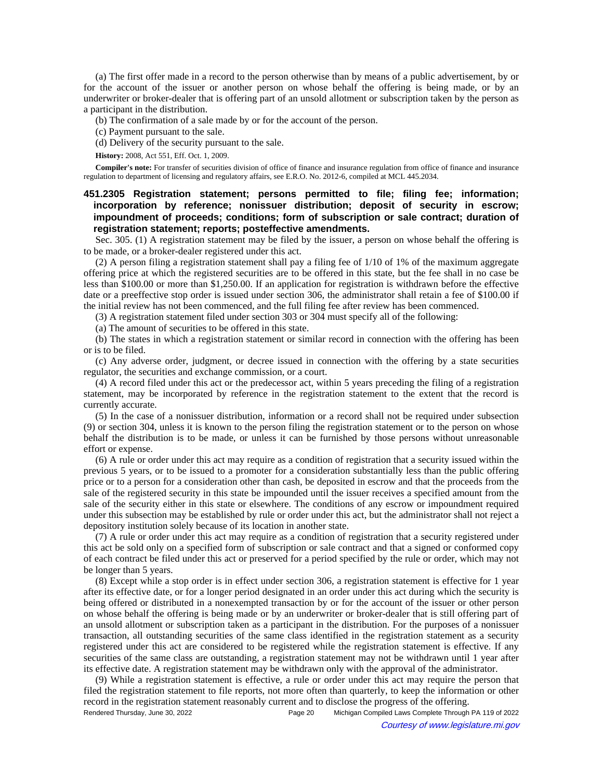(a) The first offer made in a record to the person otherwise than by means of a public advertisement, by or for the account of the issuer or another person on whose behalf the offering is being made, or by an underwriter or broker-dealer that is offering part of an unsold allotment or subscription taken by the person as a participant in the distribution.

(b) The confirmation of a sale made by or for the account of the person.

(c) Payment pursuant to the sale.

(d) Delivery of the security pursuant to the sale.

**History:** 2008, Act 551, Eff. Oct. 1, 2009.

**Compiler's note:** For transfer of securities division of office of finance and insurance regulation from office of finance and insurance regulation to department of licensing and regulatory affairs, see E.R.O. No. 2012-6, compiled at MCL 445.2034.

**451.2305 Registration statement; persons permitted to file; filing fee; information; incorporation by reference; nonissuer distribution; deposit of security in escrow; impoundment of proceeds; conditions; form of subscription or sale contract; duration of registration statement; reports; posteffective amendments.**

Sec. 305. (1) A registration statement may be filed by the issuer, a person on whose behalf the offering is to be made, or a broker-dealer registered under this act.

(2) A person filing a registration statement shall pay a filing fee of 1/10 of 1% of the maximum aggregate offering price at which the registered securities are to be offered in this state, but the fee shall in no case be less than \$100.00 or more than \$1,250.00. If an application for registration is withdrawn before the effective date or a preeffective stop order is issued under section 306, the administrator shall retain a fee of \$100.00 if the initial review has not been commenced, and the full filing fee after review has been commenced.

(3) A registration statement filed under section 303 or 304 must specify all of the following:

(a) The amount of securities to be offered in this state.

(b) The states in which a registration statement or similar record in connection with the offering has been or is to be filed.

(c) Any adverse order, judgment, or decree issued in connection with the offering by a state securities regulator, the securities and exchange commission, or a court.

(4) A record filed under this act or the predecessor act, within 5 years preceding the filing of a registration statement, may be incorporated by reference in the registration statement to the extent that the record is currently accurate.

(5) In the case of a nonissuer distribution, information or a record shall not be required under subsection (9) or section 304, unless it is known to the person filing the registration statement or to the person on whose behalf the distribution is to be made, or unless it can be furnished by those persons without unreasonable effort or expense.

(6) A rule or order under this act may require as a condition of registration that a security issued within the previous 5 years, or to be issued to a promoter for a consideration substantially less than the public offering price or to a person for a consideration other than cash, be deposited in escrow and that the proceeds from the sale of the registered security in this state be impounded until the issuer receives a specified amount from the sale of the security either in this state or elsewhere. The conditions of any escrow or impoundment required under this subsection may be established by rule or order under this act, but the administrator shall not reject a depository institution solely because of its location in another state.

(7) A rule or order under this act may require as a condition of registration that a security registered under this act be sold only on a specified form of subscription or sale contract and that a signed or conformed copy of each contract be filed under this act or preserved for a period specified by the rule or order, which may not be longer than 5 years.

(8) Except while a stop order is in effect under section 306, a registration statement is effective for 1 year after its effective date, or for a longer period designated in an order under this act during which the security is being offered or distributed in a nonexempted transaction by or for the account of the issuer or other person on whose behalf the offering is being made or by an underwriter or broker-dealer that is still offering part of an unsold allotment or subscription taken as a participant in the distribution. For the purposes of a nonissuer transaction, all outstanding securities of the same class identified in the registration statement as a security registered under this act are considered to be registered while the registration statement is effective. If any securities of the same class are outstanding, a registration statement may not be withdrawn until 1 year after its effective date. A registration statement may be withdrawn only with the approval of the administrator.

(9) While a registration statement is effective, a rule or order under this act may require the person that filed the registration statement to file reports, not more often than quarterly, to keep the information or other record in the registration statement reasonably current and to disclose the progress of the offering.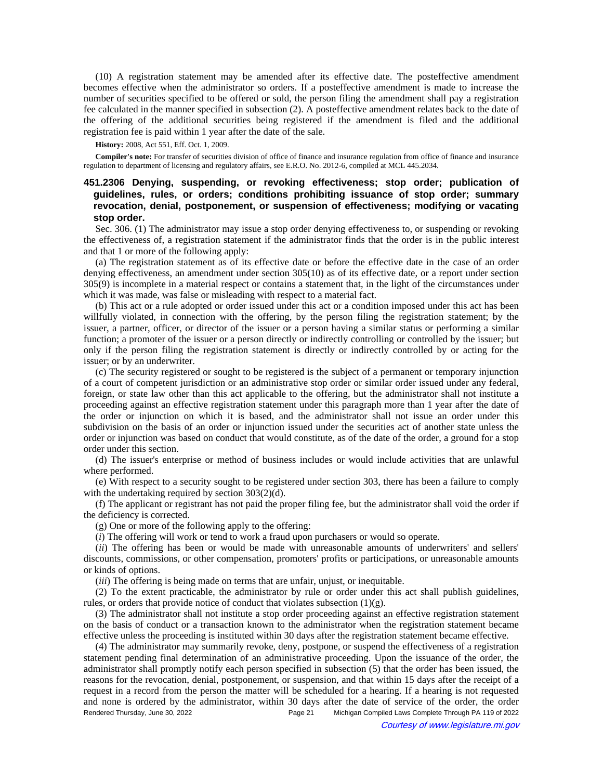(10) A registration statement may be amended after its effective date. The posteffective amendment becomes effective when the administrator so orders. If a posteffective amendment is made to increase the number of securities specified to be offered or sold, the person filing the amendment shall pay a registration fee calculated in the manner specified in subsection (2). A posteffective amendment relates back to the date of the offering of the additional securities being registered if the amendment is filed and the additional registration fee is paid within 1 year after the date of the sale.

## **History:** 2008, Act 551, Eff. Oct. 1, 2009.

**Compiler's note:** For transfer of securities division of office of finance and insurance regulation from office of finance and insurance regulation to department of licensing and regulatory affairs, see E.R.O. No. 2012-6, compiled at MCL 445.2034.

# **451.2306 Denying, suspending, or revoking effectiveness; stop order; publication of guidelines, rules, or orders; conditions prohibiting issuance of stop order; summary revocation, denial, postponement, or suspension of effectiveness; modifying or vacating stop order.**

Sec. 306. (1) The administrator may issue a stop order denying effectiveness to, or suspending or revoking the effectiveness of, a registration statement if the administrator finds that the order is in the public interest and that 1 or more of the following apply:

(a) The registration statement as of its effective date or before the effective date in the case of an order denying effectiveness, an amendment under section 305(10) as of its effective date, or a report under section 305(9) is incomplete in a material respect or contains a statement that, in the light of the circumstances under which it was made, was false or misleading with respect to a material fact.

(b) This act or a rule adopted or order issued under this act or a condition imposed under this act has been willfully violated, in connection with the offering, by the person filing the registration statement; by the issuer, a partner, officer, or director of the issuer or a person having a similar status or performing a similar function; a promoter of the issuer or a person directly or indirectly controlling or controlled by the issuer; but only if the person filing the registration statement is directly or indirectly controlled by or acting for the issuer; or by an underwriter.

(c) The security registered or sought to be registered is the subject of a permanent or temporary injunction of a court of competent jurisdiction or an administrative stop order or similar order issued under any federal, foreign, or state law other than this act applicable to the offering, but the administrator shall not institute a proceeding against an effective registration statement under this paragraph more than 1 year after the date of the order or injunction on which it is based, and the administrator shall not issue an order under this subdivision on the basis of an order or injunction issued under the securities act of another state unless the order or injunction was based on conduct that would constitute, as of the date of the order, a ground for a stop order under this section.

(d) The issuer's enterprise or method of business includes or would include activities that are unlawful where performed.

(e) With respect to a security sought to be registered under section 303, there has been a failure to comply with the undertaking required by section 303(2)(d).

(f) The applicant or registrant has not paid the proper filing fee, but the administrator shall void the order if the deficiency is corrected.

(g) One or more of the following apply to the offering:

(*i*) The offering will work or tend to work a fraud upon purchasers or would so operate.

(*ii*) The offering has been or would be made with unreasonable amounts of underwriters' and sellers' discounts, commissions, or other compensation, promoters' profits or participations, or unreasonable amounts or kinds of options.

(*iii*) The offering is being made on terms that are unfair, unjust, or inequitable.

(2) To the extent practicable, the administrator by rule or order under this act shall publish guidelines, rules, or orders that provide notice of conduct that violates subsection  $(1)(g)$ .

(3) The administrator shall not institute a stop order proceeding against an effective registration statement on the basis of conduct or a transaction known to the administrator when the registration statement became effective unless the proceeding is instituted within 30 days after the registration statement became effective.

(4) The administrator may summarily revoke, deny, postpone, or suspend the effectiveness of a registration statement pending final determination of an administrative proceeding. Upon the issuance of the order, the administrator shall promptly notify each person specified in subsection (5) that the order has been issued, the reasons for the revocation, denial, postponement, or suspension, and that within 15 days after the receipt of a request in a record from the person the matter will be scheduled for a hearing. If a hearing is not requested and none is ordered by the administrator, within 30 days after the date of service of the order, the order Rendered Thursday, June 30, 2022 Page 21 Michigan Compiled Laws Complete Through PA 119 of 2022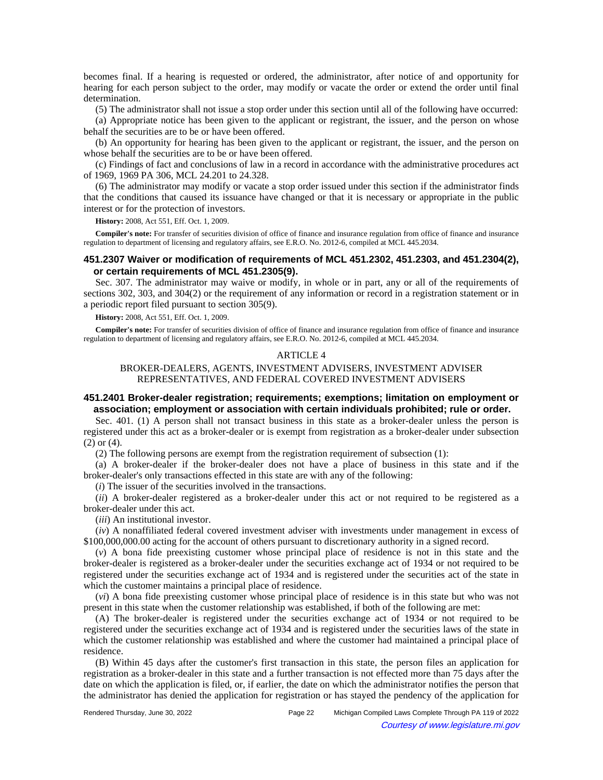becomes final. If a hearing is requested or ordered, the administrator, after notice of and opportunity for hearing for each person subject to the order, may modify or vacate the order or extend the order until final determination.

(5) The administrator shall not issue a stop order under this section until all of the following have occurred:

(a) Appropriate notice has been given to the applicant or registrant, the issuer, and the person on whose behalf the securities are to be or have been offered.

(b) An opportunity for hearing has been given to the applicant or registrant, the issuer, and the person on whose behalf the securities are to be or have been offered.

(c) Findings of fact and conclusions of law in a record in accordance with the administrative procedures act of 1969, 1969 PA 306, MCL 24.201 to 24.328.

(6) The administrator may modify or vacate a stop order issued under this section if the administrator finds that the conditions that caused its issuance have changed or that it is necessary or appropriate in the public interest or for the protection of investors.

**History:** 2008, Act 551, Eff. Oct. 1, 2009.

**Compiler's note:** For transfer of securities division of office of finance and insurance regulation from office of finance and insurance regulation to department of licensing and regulatory affairs, see E.R.O. No. 2012-6, compiled at MCL 445.2034.

# **451.2307 Waiver or modification of requirements of MCL 451.2302, 451.2303, and 451.2304(2), or certain requirements of MCL 451.2305(9).**

Sec. 307. The administrator may waive or modify, in whole or in part, any or all of the requirements of sections 302, 303, and 304(2) or the requirement of any information or record in a registration statement or in a periodic report filed pursuant to section 305(9).

**History:** 2008, Act 551, Eff. Oct. 1, 2009.

**Compiler's note:** For transfer of securities division of office of finance and insurance regulation from office of finance and insurance regulation to department of licensing and regulatory affairs, see E.R.O. No. 2012-6, compiled at MCL 445.2034.

#### ARTICLE 4

# BROKER-DEALERS, AGENTS, INVESTMENT ADVISERS, INVESTMENT ADVISER REPRESENTATIVES, AND FEDERAL COVERED INVESTMENT ADVISERS

# **451.2401 Broker-dealer registration; requirements; exemptions; limitation on employment or association; employment or association with certain individuals prohibited; rule or order.**

Sec. 401. (1) A person shall not transact business in this state as a broker-dealer unless the person is registered under this act as a broker-dealer or is exempt from registration as a broker-dealer under subsection (2) or (4).

(2) The following persons are exempt from the registration requirement of subsection (1):

(a) A broker-dealer if the broker-dealer does not have a place of business in this state and if the broker-dealer's only transactions effected in this state are with any of the following:

(*i*) The issuer of the securities involved in the transactions.

(*ii*) A broker-dealer registered as a broker-dealer under this act or not required to be registered as a broker-dealer under this act.

(*iii*) An institutional investor.

(*iv*) A nonaffiliated federal covered investment adviser with investments under management in excess of \$100,000,000.00 acting for the account of others pursuant to discretionary authority in a signed record.

(*v*) A bona fide preexisting customer whose principal place of residence is not in this state and the broker-dealer is registered as a broker-dealer under the securities exchange act of 1934 or not required to be registered under the securities exchange act of 1934 and is registered under the securities act of the state in which the customer maintains a principal place of residence.

(*vi*) A bona fide preexisting customer whose principal place of residence is in this state but who was not present in this state when the customer relationship was established, if both of the following are met:

(A) The broker-dealer is registered under the securities exchange act of 1934 or not required to be registered under the securities exchange act of 1934 and is registered under the securities laws of the state in which the customer relationship was established and where the customer had maintained a principal place of residence.

(B) Within 45 days after the customer's first transaction in this state, the person files an application for registration as a broker-dealer in this state and a further transaction is not effected more than 75 days after the date on which the application is filed, or, if earlier, the date on which the administrator notifies the person that the administrator has denied the application for registration or has stayed the pendency of the application for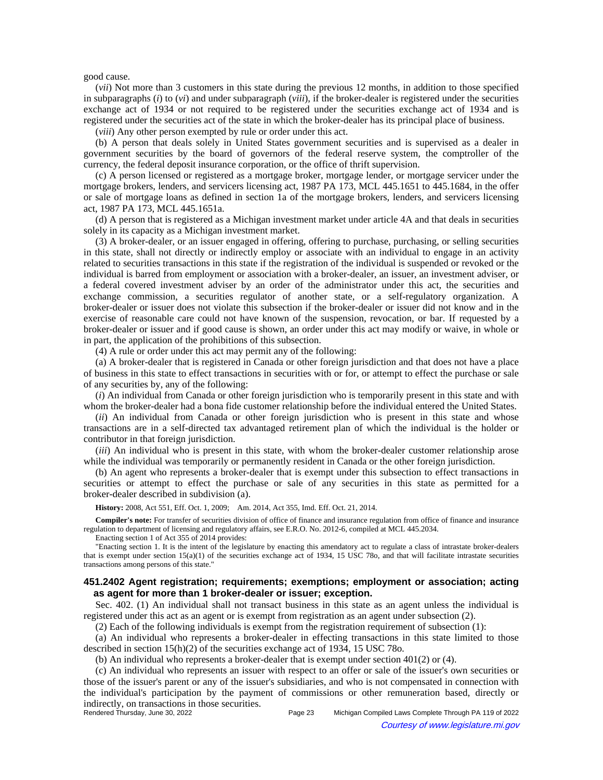#### good cause.

(*vii*) Not more than 3 customers in this state during the previous 12 months, in addition to those specified in subparagraphs (*i*) to (*vi*) and under subparagraph (*viii*), if the broker-dealer is registered under the securities exchange act of 1934 or not required to be registered under the securities exchange act of 1934 and is registered under the securities act of the state in which the broker-dealer has its principal place of business.

(*viii*) Any other person exempted by rule or order under this act.

(b) A person that deals solely in United States government securities and is supervised as a dealer in government securities by the board of governors of the federal reserve system, the comptroller of the currency, the federal deposit insurance corporation, or the office of thrift supervision.

(c) A person licensed or registered as a mortgage broker, mortgage lender, or mortgage servicer under the mortgage brokers, lenders, and servicers licensing act, 1987 PA 173, MCL 445.1651 to 445.1684, in the offer or sale of mortgage loans as defined in section 1a of the mortgage brokers, lenders, and servicers licensing act, 1987 PA 173, MCL 445.1651a.

(d) A person that is registered as a Michigan investment market under article 4A and that deals in securities solely in its capacity as a Michigan investment market.

(3) A broker-dealer, or an issuer engaged in offering, offering to purchase, purchasing, or selling securities in this state, shall not directly or indirectly employ or associate with an individual to engage in an activity related to securities transactions in this state if the registration of the individual is suspended or revoked or the individual is barred from employment or association with a broker-dealer, an issuer, an investment adviser, or a federal covered investment adviser by an order of the administrator under this act, the securities and exchange commission, a securities regulator of another state, or a self-regulatory organization. A broker-dealer or issuer does not violate this subsection if the broker-dealer or issuer did not know and in the exercise of reasonable care could not have known of the suspension, revocation, or bar. If requested by a broker-dealer or issuer and if good cause is shown, an order under this act may modify or waive, in whole or in part, the application of the prohibitions of this subsection.

(4) A rule or order under this act may permit any of the following:

(a) A broker-dealer that is registered in Canada or other foreign jurisdiction and that does not have a place of business in this state to effect transactions in securities with or for, or attempt to effect the purchase or sale of any securities by, any of the following:

(*i*) An individual from Canada or other foreign jurisdiction who is temporarily present in this state and with whom the broker-dealer had a bona fide customer relationship before the individual entered the United States.

(*ii*) An individual from Canada or other foreign jurisdiction who is present in this state and whose transactions are in a self-directed tax advantaged retirement plan of which the individual is the holder or contributor in that foreign jurisdiction.

(*iii*) An individual who is present in this state, with whom the broker-dealer customer relationship arose while the individual was temporarily or permanently resident in Canada or the other foreign jurisdiction.

(b) An agent who represents a broker-dealer that is exempt under this subsection to effect transactions in securities or attempt to effect the purchase or sale of any securities in this state as permitted for a broker-dealer described in subdivision (a).

History: 2008, Act 551, Eff. Oct. 1, 2009;- Am. 2014, Act 355, Imd. Eff. Oct. 21, 2014.

**Compiler's note:** For transfer of securities division of office of finance and insurance regulation from office of finance and insurance regulation to department of licensing and regulatory affairs, see E.R.O. No. 2012-6, compiled at MCL 445.2034.

Enacting section 1 of Act 355 of 2014 provides:

"Enacting section 1. It is the intent of the legislature by enacting this amendatory act to regulate a class of intrastate broker-dealers that is exempt under section 15(a)(1) of the securities exchange act of 1934, 15 USC 78o, and that will facilitate intrastate securities transactions among persons of this state."

# **451.2402 Agent registration; requirements; exemptions; employment or association; acting as agent for more than 1 broker-dealer or issuer; exception.**

Sec. 402. (1) An individual shall not transact business in this state as an agent unless the individual is registered under this act as an agent or is exempt from registration as an agent under subsection (2).

(2) Each of the following individuals is exempt from the registration requirement of subsection (1):

(a) An individual who represents a broker-dealer in effecting transactions in this state limited to those described in section 15(h)(2) of the securities exchange act of 1934, 15 USC 78o.

(b) An individual who represents a broker-dealer that is exempt under section 401(2) or (4).

(c) An individual who represents an issuer with respect to an offer or sale of the issuer's own securities or those of the issuer's parent or any of the issuer's subsidiaries, and who is not compensated in connection with the individual's participation by the payment of commissions or other remuneration based, directly or indirectly, on transactions in those securities.<br>Rendered Thursday, June 30, 2022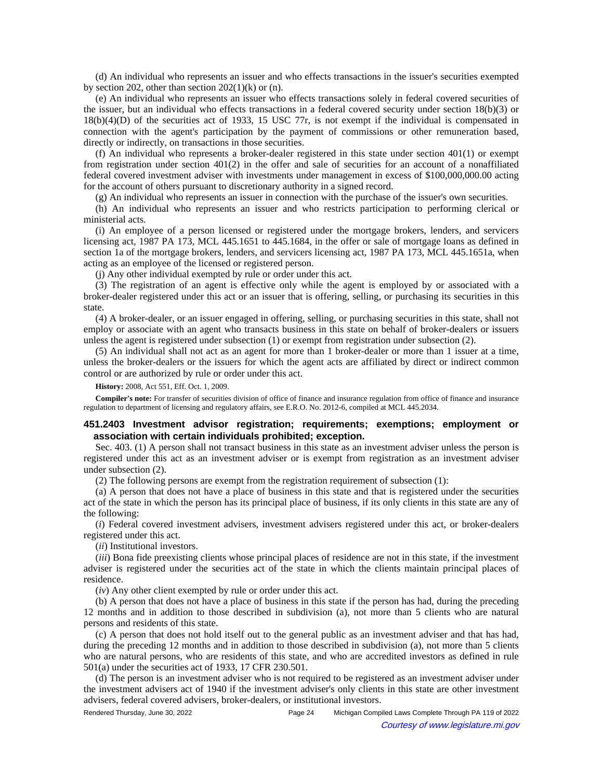(d) An individual who represents an issuer and who effects transactions in the issuer's securities exempted by section 202, other than section  $202(1)(k)$  or (n).

(e) An individual who represents an issuer who effects transactions solely in federal covered securities of the issuer, but an individual who effects transactions in a federal covered security under section 18(b)(3) or 18(b)(4)(D) of the securities act of 1933, 15 USC 77r, is not exempt if the individual is compensated in connection with the agent's participation by the payment of commissions or other remuneration based, directly or indirectly, on transactions in those securities.

(f) An individual who represents a broker-dealer registered in this state under section 401(1) or exempt from registration under section  $401(2)$  in the offer and sale of securities for an account of a nonaffiliated federal covered investment adviser with investments under management in excess of \$100,000,000.00 acting for the account of others pursuant to discretionary authority in a signed record.

(g) An individual who represents an issuer in connection with the purchase of the issuer's own securities.

(h) An individual who represents an issuer and who restricts participation to performing clerical or ministerial acts.

(i) An employee of a person licensed or registered under the mortgage brokers, lenders, and servicers licensing act, 1987 PA 173, MCL 445.1651 to 445.1684, in the offer or sale of mortgage loans as defined in section 1a of the mortgage brokers, lenders, and servicers licensing act, 1987 PA 173, MCL 445.1651a, when acting as an employee of the licensed or registered person.

(j) Any other individual exempted by rule or order under this act.

(3) The registration of an agent is effective only while the agent is employed by or associated with a broker-dealer registered under this act or an issuer that is offering, selling, or purchasing its securities in this state.

(4) A broker-dealer, or an issuer engaged in offering, selling, or purchasing securities in this state, shall not employ or associate with an agent who transacts business in this state on behalf of broker-dealers or issuers unless the agent is registered under subsection (1) or exempt from registration under subsection (2).

(5) An individual shall not act as an agent for more than 1 broker-dealer or more than 1 issuer at a time, unless the broker-dealers or the issuers for which the agent acts are affiliated by direct or indirect common control or are authorized by rule or order under this act.

**History:** 2008, Act 551, Eff. Oct. 1, 2009.

**Compiler's note:** For transfer of securities division of office of finance and insurance regulation from office of finance and insurance regulation to department of licensing and regulatory affairs, see E.R.O. No. 2012-6, compiled at MCL 445.2034.

# **451.2403 Investment advisor registration; requirements; exemptions; employment or association with certain individuals prohibited; exception.**

Sec. 403. (1) A person shall not transact business in this state as an investment adviser unless the person is registered under this act as an investment adviser or is exempt from registration as an investment adviser under subsection (2).

(2) The following persons are exempt from the registration requirement of subsection (1):

(a) A person that does not have a place of business in this state and that is registered under the securities act of the state in which the person has its principal place of business, if its only clients in this state are any of the following:

(*i*) Federal covered investment advisers, investment advisers registered under this act, or broker-dealers registered under this act.

(*ii*) Institutional investors.

(*iii*) Bona fide preexisting clients whose principal places of residence are not in this state, if the investment adviser is registered under the securities act of the state in which the clients maintain principal places of residence.

(*iv*) Any other client exempted by rule or order under this act.

(b) A person that does not have a place of business in this state if the person has had, during the preceding 12 months and in addition to those described in subdivision (a), not more than 5 clients who are natural persons and residents of this state.

(c) A person that does not hold itself out to the general public as an investment adviser and that has had, during the preceding 12 months and in addition to those described in subdivision (a), not more than 5 clients who are natural persons, who are residents of this state, and who are accredited investors as defined in rule 501(a) under the securities act of 1933, 17 CFR 230.501.

(d) The person is an investment adviser who is not required to be registered as an investment adviser under the investment advisers act of 1940 if the investment adviser's only clients in this state are other investment advisers, federal covered advisers, broker-dealers, or institutional investors.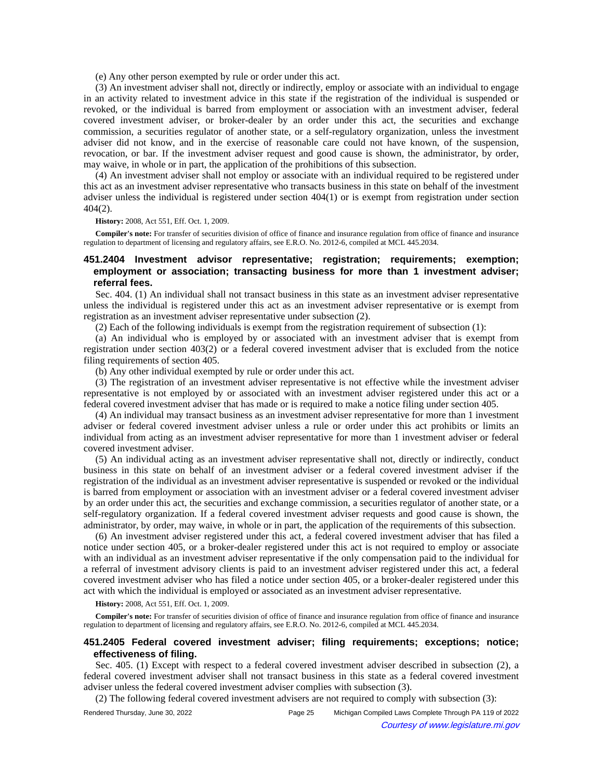(e) Any other person exempted by rule or order under this act.

(3) An investment adviser shall not, directly or indirectly, employ or associate with an individual to engage in an activity related to investment advice in this state if the registration of the individual is suspended or revoked, or the individual is barred from employment or association with an investment adviser, federal covered investment adviser, or broker-dealer by an order under this act, the securities and exchange commission, a securities regulator of another state, or a self-regulatory organization, unless the investment adviser did not know, and in the exercise of reasonable care could not have known, of the suspension, revocation, or bar. If the investment adviser request and good cause is shown, the administrator, by order, may waive, in whole or in part, the application of the prohibitions of this subsection.

(4) An investment adviser shall not employ or associate with an individual required to be registered under this act as an investment adviser representative who transacts business in this state on behalf of the investment adviser unless the individual is registered under section 404(1) or is exempt from registration under section 404(2).

**History:** 2008, Act 551, Eff. Oct. 1, 2009.

**Compiler's note:** For transfer of securities division of office of finance and insurance regulation from office of finance and insurance regulation to department of licensing and regulatory affairs, see E.R.O. No. 2012-6, compiled at MCL 445.2034.

# **451.2404 Investment advisor representative; registration; requirements; exemption; employment or association; transacting business for more than 1 investment adviser; referral fees.**

Sec. 404. (1) An individual shall not transact business in this state as an investment adviser representative unless the individual is registered under this act as an investment adviser representative or is exempt from registration as an investment adviser representative under subsection (2).

(2) Each of the following individuals is exempt from the registration requirement of subsection (1):

(a) An individual who is employed by or associated with an investment adviser that is exempt from registration under section 403(2) or a federal covered investment adviser that is excluded from the notice filing requirements of section 405.

(b) Any other individual exempted by rule or order under this act.

(3) The registration of an investment adviser representative is not effective while the investment adviser representative is not employed by or associated with an investment adviser registered under this act or a federal covered investment adviser that has made or is required to make a notice filing under section 405.

(4) An individual may transact business as an investment adviser representative for more than 1 investment adviser or federal covered investment adviser unless a rule or order under this act prohibits or limits an individual from acting as an investment adviser representative for more than 1 investment adviser or federal covered investment adviser.

(5) An individual acting as an investment adviser representative shall not, directly or indirectly, conduct business in this state on behalf of an investment adviser or a federal covered investment adviser if the registration of the individual as an investment adviser representative is suspended or revoked or the individual is barred from employment or association with an investment adviser or a federal covered investment adviser by an order under this act, the securities and exchange commission, a securities regulator of another state, or a self-regulatory organization. If a federal covered investment adviser requests and good cause is shown, the administrator, by order, may waive, in whole or in part, the application of the requirements of this subsection.

(6) An investment adviser registered under this act, a federal covered investment adviser that has filed a notice under section 405, or a broker-dealer registered under this act is not required to employ or associate with an individual as an investment adviser representative if the only compensation paid to the individual for a referral of investment advisory clients is paid to an investment adviser registered under this act, a federal covered investment adviser who has filed a notice under section 405, or a broker-dealer registered under this act with which the individual is employed or associated as an investment adviser representative.

**History:** 2008, Act 551, Eff. Oct. 1, 2009.

**Compiler's note:** For transfer of securities division of office of finance and insurance regulation from office of finance and insurance regulation to department of licensing and regulatory affairs, see E.R.O. No. 2012-6, compiled at MCL 445.2034.

# **451.2405 Federal covered investment adviser; filing requirements; exceptions; notice; effectiveness of filing.**

Sec. 405. (1) Except with respect to a federal covered investment adviser described in subsection (2), a federal covered investment adviser shall not transact business in this state as a federal covered investment adviser unless the federal covered investment adviser complies with subsection (3).

(2) The following federal covered investment advisers are not required to comply with subsection (3):

Rendered Thursday, June 30, 2022 Page 25 Michigan Compiled Laws Complete Through PA 119 of 2022 Courtesy of www.legislature.mi.gov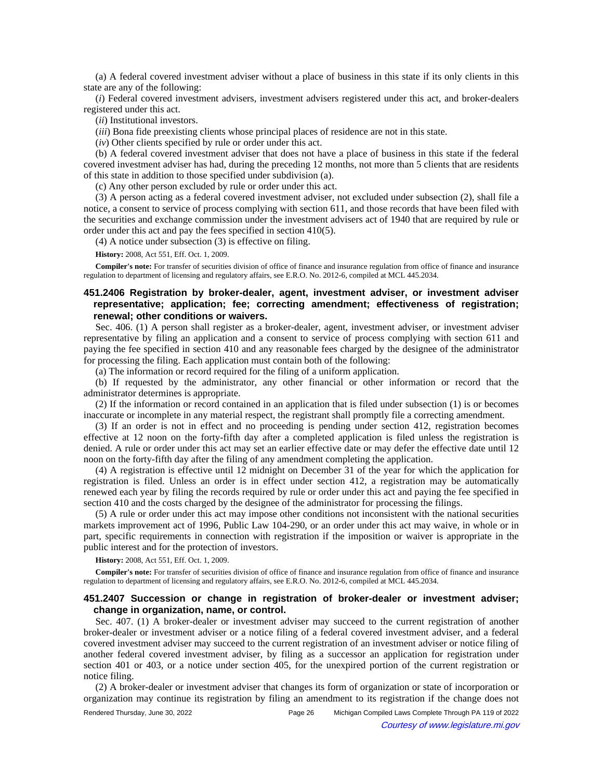(a) A federal covered investment adviser without a place of business in this state if its only clients in this state are any of the following:

(*i*) Federal covered investment advisers, investment advisers registered under this act, and broker-dealers registered under this act.

(*ii*) Institutional investors.

(*iii*) Bona fide preexisting clients whose principal places of residence are not in this state.

(*iv*) Other clients specified by rule or order under this act.

(b) A federal covered investment adviser that does not have a place of business in this state if the federal covered investment adviser has had, during the preceding 12 months, not more than 5 clients that are residents of this state in addition to those specified under subdivision (a).

(c) Any other person excluded by rule or order under this act.

(3) A person acting as a federal covered investment adviser, not excluded under subsection (2), shall file a notice, a consent to service of process complying with section 611, and those records that have been filed with the securities and exchange commission under the investment advisers act of 1940 that are required by rule or order under this act and pay the fees specified in section 410(5).

(4) A notice under subsection (3) is effective on filing.

**History:** 2008, Act 551, Eff. Oct. 1, 2009.

**Compiler's note:** For transfer of securities division of office of finance and insurance regulation from office of finance and insurance regulation to department of licensing and regulatory affairs, see E.R.O. No. 2012-6, compiled at MCL 445.2034.

# **451.2406 Registration by broker-dealer, agent, investment adviser, or investment adviser representative; application; fee; correcting amendment; effectiveness of registration; renewal; other conditions or waivers.**

Sec. 406. (1) A person shall register as a broker-dealer, agent, investment adviser, or investment adviser representative by filing an application and a consent to service of process complying with section 611 and paying the fee specified in section 410 and any reasonable fees charged by the designee of the administrator for processing the filing. Each application must contain both of the following:

(a) The information or record required for the filing of a uniform application.

(b) If requested by the administrator, any other financial or other information or record that the administrator determines is appropriate.

(2) If the information or record contained in an application that is filed under subsection (1) is or becomes inaccurate or incomplete in any material respect, the registrant shall promptly file a correcting amendment.

(3) If an order is not in effect and no proceeding is pending under section 412, registration becomes effective at 12 noon on the forty-fifth day after a completed application is filed unless the registration is denied. A rule or order under this act may set an earlier effective date or may defer the effective date until 12 noon on the forty-fifth day after the filing of any amendment completing the application.

(4) A registration is effective until 12 midnight on December 31 of the year for which the application for registration is filed. Unless an order is in effect under section 412, a registration may be automatically renewed each year by filing the records required by rule or order under this act and paying the fee specified in section 410 and the costs charged by the designee of the administrator for processing the filings.

(5) A rule or order under this act may impose other conditions not inconsistent with the national securities markets improvement act of 1996, Public Law 104-290, or an order under this act may waive, in whole or in part, specific requirements in connection with registration if the imposition or waiver is appropriate in the public interest and for the protection of investors.

**History:** 2008, Act 551, Eff. Oct. 1, 2009.

**Compiler's note:** For transfer of securities division of office of finance and insurance regulation from office of finance and insurance regulation to department of licensing and regulatory affairs, see E.R.O. No. 2012-6, compiled at MCL 445.2034.

# **451.2407 Succession or change in registration of broker-dealer or investment adviser; change in organization, name, or control.**

Sec. 407. (1) A broker-dealer or investment adviser may succeed to the current registration of another broker-dealer or investment adviser or a notice filing of a federal covered investment adviser, and a federal covered investment adviser may succeed to the current registration of an investment adviser or notice filing of another federal covered investment adviser, by filing as a successor an application for registration under section 401 or 403, or a notice under section 405, for the unexpired portion of the current registration or notice filing.

(2) A broker-dealer or investment adviser that changes its form of organization or state of incorporation or organization may continue its registration by filing an amendment to its registration if the change does not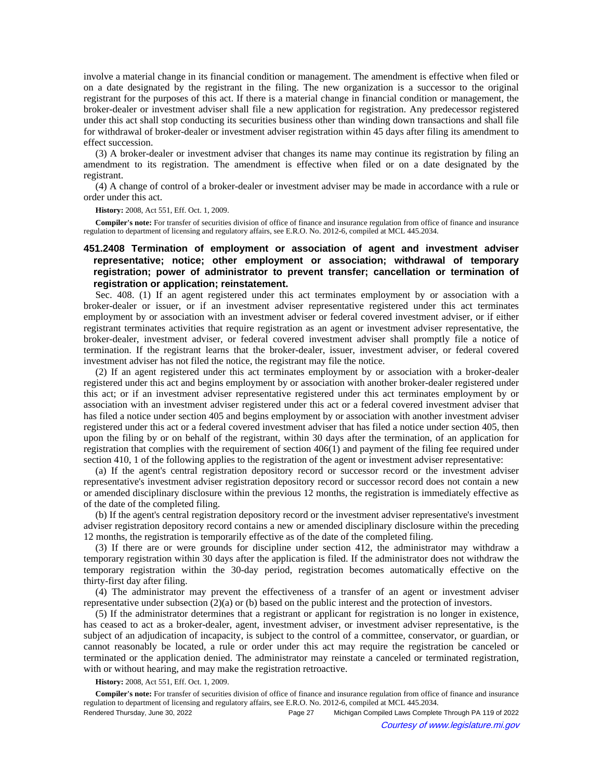involve a material change in its financial condition or management. The amendment is effective when filed or on a date designated by the registrant in the filing. The new organization is a successor to the original registrant for the purposes of this act. If there is a material change in financial condition or management, the broker-dealer or investment adviser shall file a new application for registration. Any predecessor registered under this act shall stop conducting its securities business other than winding down transactions and shall file for withdrawal of broker-dealer or investment adviser registration within 45 days after filing its amendment to effect succession.

(3) A broker-dealer or investment adviser that changes its name may continue its registration by filing an amendment to its registration. The amendment is effective when filed or on a date designated by the registrant.

(4) A change of control of a broker-dealer or investment adviser may be made in accordance with a rule or order under this act.

**History:** 2008, Act 551, Eff. Oct. 1, 2009.

**Compiler's note:** For transfer of securities division of office of finance and insurance regulation from office of finance and insurance regulation to department of licensing and regulatory affairs, see E.R.O. No. 2012-6, compiled at MCL 445.2034.

# **451.2408 Termination of employment or association of agent and investment adviser representative; notice; other employment or association; withdrawal of temporary registration; power of administrator to prevent transfer; cancellation or termination of registration or application; reinstatement.**

Sec. 408. (1) If an agent registered under this act terminates employment by or association with a broker-dealer or issuer, or if an investment adviser representative registered under this act terminates employment by or association with an investment adviser or federal covered investment adviser, or if either registrant terminates activities that require registration as an agent or investment adviser representative, the broker-dealer, investment adviser, or federal covered investment adviser shall promptly file a notice of termination. If the registrant learns that the broker-dealer, issuer, investment adviser, or federal covered investment adviser has not filed the notice, the registrant may file the notice.

(2) If an agent registered under this act terminates employment by or association with a broker-dealer registered under this act and begins employment by or association with another broker-dealer registered under this act; or if an investment adviser representative registered under this act terminates employment by or association with an investment adviser registered under this act or a federal covered investment adviser that has filed a notice under section 405 and begins employment by or association with another investment adviser registered under this act or a federal covered investment adviser that has filed a notice under section 405, then upon the filing by or on behalf of the registrant, within 30 days after the termination, of an application for registration that complies with the requirement of section 406(1) and payment of the filing fee required under section 410, 1 of the following applies to the registration of the agent or investment adviser representative:

(a) If the agent's central registration depository record or successor record or the investment adviser representative's investment adviser registration depository record or successor record does not contain a new or amended disciplinary disclosure within the previous 12 months, the registration is immediately effective as of the date of the completed filing.

(b) If the agent's central registration depository record or the investment adviser representative's investment adviser registration depository record contains a new or amended disciplinary disclosure within the preceding 12 months, the registration is temporarily effective as of the date of the completed filing.

(3) If there are or were grounds for discipline under section 412, the administrator may withdraw a temporary registration within 30 days after the application is filed. If the administrator does not withdraw the temporary registration within the 30-day period, registration becomes automatically effective on the thirty-first day after filing.

(4) The administrator may prevent the effectiveness of a transfer of an agent or investment adviser representative under subsection (2)(a) or (b) based on the public interest and the protection of investors.

(5) If the administrator determines that a registrant or applicant for registration is no longer in existence, has ceased to act as a broker-dealer, agent, investment adviser, or investment adviser representative, is the subject of an adjudication of incapacity, is subject to the control of a committee, conservator, or guardian, or cannot reasonably be located, a rule or order under this act may require the registration be canceled or terminated or the application denied. The administrator may reinstate a canceled or terminated registration, with or without hearing, and may make the registration retroactive.

**History:** 2008, Act 551, Eff. Oct. 1, 2009.

**Compiler's note:** For transfer of securities division of office of finance and insurance regulation from office of finance and insurance regulation to department of licensing and regulatory affairs, see E.R.O. No. 2012-6, compiled at MCL 445.2034.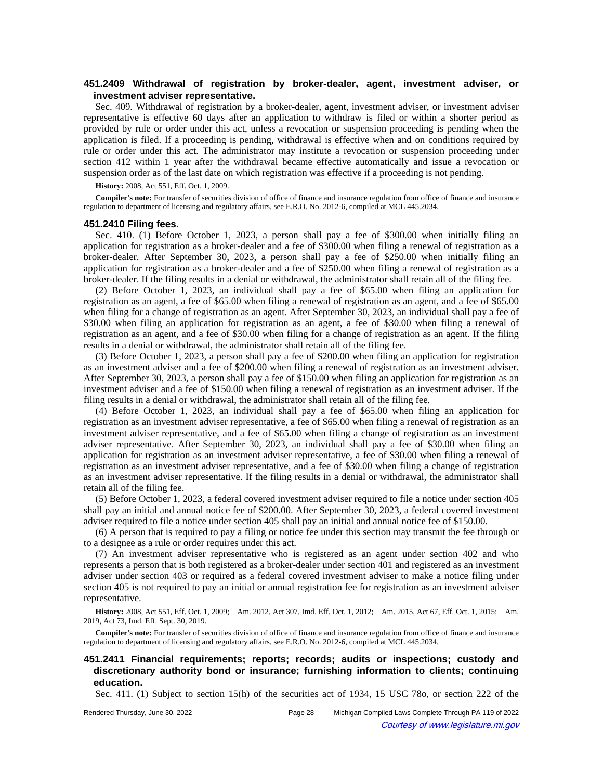# **451.2409 Withdrawal of registration by broker-dealer, agent, investment adviser, or investment adviser representative.**

Sec. 409. Withdrawal of registration by a broker-dealer, agent, investment adviser, or investment adviser representative is effective 60 days after an application to withdraw is filed or within a shorter period as provided by rule or order under this act, unless a revocation or suspension proceeding is pending when the application is filed. If a proceeding is pending, withdrawal is effective when and on conditions required by rule or order under this act. The administrator may institute a revocation or suspension proceeding under section 412 within 1 year after the withdrawal became effective automatically and issue a revocation or suspension order as of the last date on which registration was effective if a proceeding is not pending.

**History:** 2008, Act 551, Eff. Oct. 1, 2009.

**Compiler's note:** For transfer of securities division of office of finance and insurance regulation from office of finance and insurance regulation to department of licensing and regulatory affairs, see E.R.O. No. 2012-6, compiled at MCL 445.2034.

### **451.2410 Filing fees.**

Sec. 410. (1) Before October 1, 2023, a person shall pay a fee of \$300.00 when initially filing an application for registration as a broker-dealer and a fee of \$300.00 when filing a renewal of registration as a broker-dealer. After September 30, 2023, a person shall pay a fee of \$250.00 when initially filing an application for registration as a broker-dealer and a fee of \$250.00 when filing a renewal of registration as a broker-dealer. If the filing results in a denial or withdrawal, the administrator shall retain all of the filing fee.

(2) Before October 1, 2023, an individual shall pay a fee of \$65.00 when filing an application for registration as an agent, a fee of \$65.00 when filing a renewal of registration as an agent, and a fee of \$65.00 when filing for a change of registration as an agent. After September 30, 2023, an individual shall pay a fee of \$30.00 when filing an application for registration as an agent, a fee of \$30.00 when filing a renewal of registration as an agent, and a fee of \$30.00 when filing for a change of registration as an agent. If the filing results in a denial or withdrawal, the administrator shall retain all of the filing fee.

(3) Before October 1, 2023, a person shall pay a fee of \$200.00 when filing an application for registration as an investment adviser and a fee of \$200.00 when filing a renewal of registration as an investment adviser. After September 30, 2023, a person shall pay a fee of \$150.00 when filing an application for registration as an investment adviser and a fee of \$150.00 when filing a renewal of registration as an investment adviser. If the filing results in a denial or withdrawal, the administrator shall retain all of the filing fee.

(4) Before October 1, 2023, an individual shall pay a fee of \$65.00 when filing an application for registration as an investment adviser representative, a fee of \$65.00 when filing a renewal of registration as an investment adviser representative, and a fee of \$65.00 when filing a change of registration as an investment adviser representative. After September 30, 2023, an individual shall pay a fee of \$30.00 when filing an application for registration as an investment adviser representative, a fee of \$30.00 when filing a renewal of registration as an investment adviser representative, and a fee of \$30.00 when filing a change of registration as an investment adviser representative. If the filing results in a denial or withdrawal, the administrator shall retain all of the filing fee.

(5) Before October 1, 2023, a federal covered investment adviser required to file a notice under section 405 shall pay an initial and annual notice fee of \$200.00. After September 30, 2023, a federal covered investment adviser required to file a notice under section 405 shall pay an initial and annual notice fee of \$150.00.

(6) A person that is required to pay a filing or notice fee under this section may transmit the fee through or to a designee as a rule or order requires under this act.

(7) An investment adviser representative who is registered as an agent under section 402 and who represents a person that is both registered as a broker-dealer under section 401 and registered as an investment adviser under section 403 or required as a federal covered investment adviser to make a notice filing under section 405 is not required to pay an initial or annual registration fee for registration as an investment adviser representative.

History: 2008, Act 551, Eff. Oct. 1, 2009;—Am. 2012, Act 307, Imd. Eff. Oct. 1, 2012;—Am. 2015, Act 67, Eff. Oct. 1, 2015;—Am. 2019, Act 73, Imd. Eff. Sept. 30, 2019.

**Compiler's note:** For transfer of securities division of office of finance and insurance regulation from office of finance and insurance regulation to department of licensing and regulatory affairs, see E.R.O. No. 2012-6, compiled at MCL 445.2034.

**451.2411 Financial requirements; reports; records; audits or inspections; custody and discretionary authority bond or insurance; furnishing information to clients; continuing education.**

Sec. 411. (1) Subject to section 15(h) of the securities act of 1934, 15 USC 78o, or section 222 of the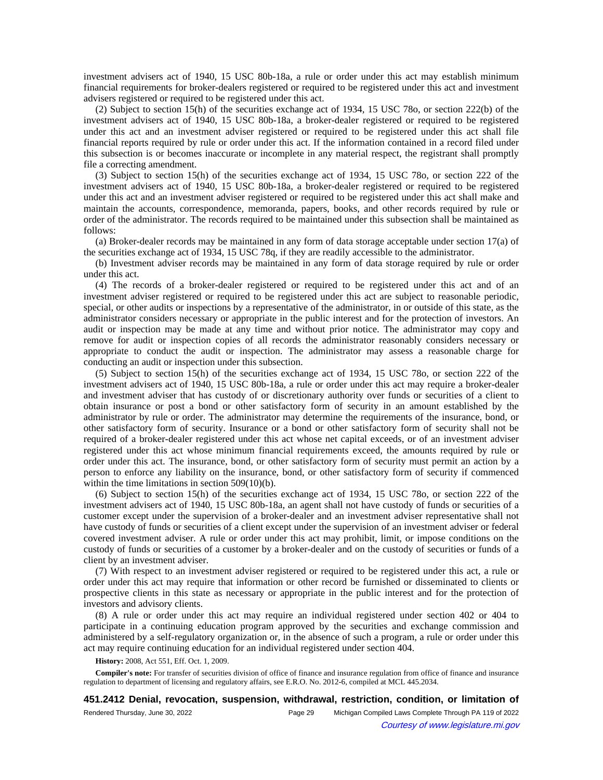investment advisers act of 1940, 15 USC 80b-18a, a rule or order under this act may establish minimum financial requirements for broker-dealers registered or required to be registered under this act and investment advisers registered or required to be registered under this act.

(2) Subject to section 15(h) of the securities exchange act of 1934, 15 USC 78o, or section 222(b) of the investment advisers act of 1940, 15 USC 80b-18a, a broker-dealer registered or required to be registered under this act and an investment adviser registered or required to be registered under this act shall file financial reports required by rule or order under this act. If the information contained in a record filed under this subsection is or becomes inaccurate or incomplete in any material respect, the registrant shall promptly file a correcting amendment.

(3) Subject to section 15(h) of the securities exchange act of 1934, 15 USC 78o, or section 222 of the investment advisers act of 1940, 15 USC 80b-18a, a broker-dealer registered or required to be registered under this act and an investment adviser registered or required to be registered under this act shall make and maintain the accounts, correspondence, memoranda, papers, books, and other records required by rule or order of the administrator. The records required to be maintained under this subsection shall be maintained as follows:

(a) Broker-dealer records may be maintained in any form of data storage acceptable under section 17(a) of the securities exchange act of 1934, 15 USC 78q, if they are readily accessible to the administrator.

(b) Investment adviser records may be maintained in any form of data storage required by rule or order under this act.

(4) The records of a broker-dealer registered or required to be registered under this act and of an investment adviser registered or required to be registered under this act are subject to reasonable periodic, special, or other audits or inspections by a representative of the administrator, in or outside of this state, as the administrator considers necessary or appropriate in the public interest and for the protection of investors. An audit or inspection may be made at any time and without prior notice. The administrator may copy and remove for audit or inspection copies of all records the administrator reasonably considers necessary or appropriate to conduct the audit or inspection. The administrator may assess a reasonable charge for conducting an audit or inspection under this subsection.

(5) Subject to section 15(h) of the securities exchange act of 1934, 15 USC 78o, or section 222 of the investment advisers act of 1940, 15 USC 80b-18a, a rule or order under this act may require a broker-dealer and investment adviser that has custody of or discretionary authority over funds or securities of a client to obtain insurance or post a bond or other satisfactory form of security in an amount established by the administrator by rule or order. The administrator may determine the requirements of the insurance, bond, or other satisfactory form of security. Insurance or a bond or other satisfactory form of security shall not be required of a broker-dealer registered under this act whose net capital exceeds, or of an investment adviser registered under this act whose minimum financial requirements exceed, the amounts required by rule or order under this act. The insurance, bond, or other satisfactory form of security must permit an action by a person to enforce any liability on the insurance, bond, or other satisfactory form of security if commenced within the time limitations in section 509(10)(b).

(6) Subject to section 15(h) of the securities exchange act of 1934, 15 USC 78o, or section 222 of the investment advisers act of 1940, 15 USC 80b-18a, an agent shall not have custody of funds or securities of a customer except under the supervision of a broker-dealer and an investment adviser representative shall not have custody of funds or securities of a client except under the supervision of an investment adviser or federal covered investment adviser. A rule or order under this act may prohibit, limit, or impose conditions on the custody of funds or securities of a customer by a broker-dealer and on the custody of securities or funds of a client by an investment adviser.

(7) With respect to an investment adviser registered or required to be registered under this act, a rule or order under this act may require that information or other record be furnished or disseminated to clients or prospective clients in this state as necessary or appropriate in the public interest and for the protection of investors and advisory clients.

(8) A rule or order under this act may require an individual registered under section 402 or 404 to participate in a continuing education program approved by the securities and exchange commission and administered by a self-regulatory organization or, in the absence of such a program, a rule or order under this act may require continuing education for an individual registered under section 404.

**History:** 2008, Act 551, Eff. Oct. 1, 2009.

**Compiler's note:** For transfer of securities division of office of finance and insurance regulation from office of finance and insurance regulation to department of licensing and regulatory affairs, see E.R.O. No. 2012-6, compiled at MCL 445.2034.

**451.2412 Denial, revocation, suspension, withdrawal, restriction, condition, or limitation of**

| Rendered Thursday, June 30, 2022 | Page 29 | Michigan Compiled Laws Complete Through PA 119 of 2022 |
|----------------------------------|---------|--------------------------------------------------------|
|                                  |         | Courtesy of www.legislature.mi.gov                     |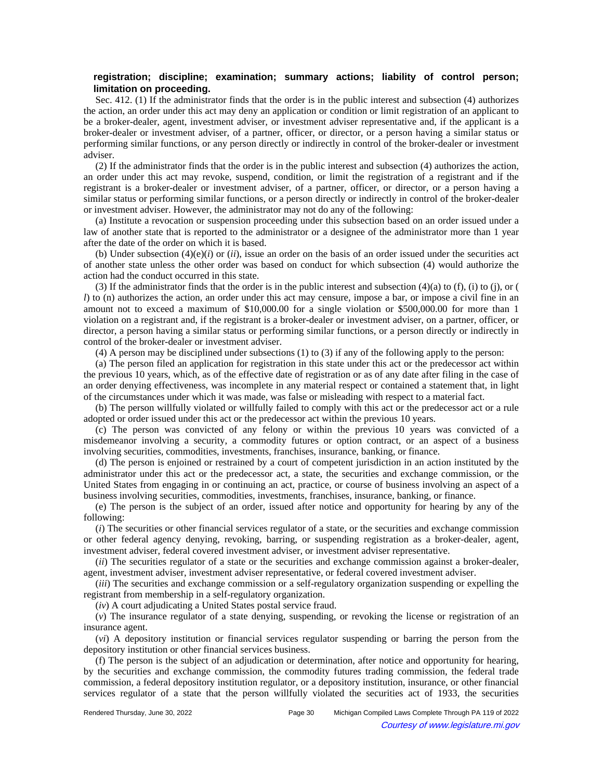# **registration; discipline; examination; summary actions; liability of control person; limitation on proceeding.**

Sec. 412. (1) If the administrator finds that the order is in the public interest and subsection (4) authorizes the action, an order under this act may deny an application or condition or limit registration of an applicant to be a broker-dealer, agent, investment adviser, or investment adviser representative and, if the applicant is a broker-dealer or investment adviser, of a partner, officer, or director, or a person having a similar status or performing similar functions, or any person directly or indirectly in control of the broker-dealer or investment adviser.

(2) If the administrator finds that the order is in the public interest and subsection (4) authorizes the action, an order under this act may revoke, suspend, condition, or limit the registration of a registrant and if the registrant is a broker-dealer or investment adviser, of a partner, officer, or director, or a person having a similar status or performing similar functions, or a person directly or indirectly in control of the broker-dealer or investment adviser. However, the administrator may not do any of the following:

(a) Institute a revocation or suspension proceeding under this subsection based on an order issued under a law of another state that is reported to the administrator or a designee of the administrator more than 1 year after the date of the order on which it is based.

(b) Under subsection  $(4)(e)(i)$  or  $(ii)$ , issue an order on the basis of an order issued under the securities act of another state unless the other order was based on conduct for which subsection (4) would authorize the action had the conduct occurred in this state.

(3) If the administrator finds that the order is in the public interest and subsection  $(4)(a)$  to  $(f)$ ,  $(i)$  to  $(j)$ , or  $(j)$ *l*) to (n) authorizes the action, an order under this act may censure, impose a bar, or impose a civil fine in an amount not to exceed a maximum of \$10,000.00 for a single violation or \$500,000.00 for more than 1 violation on a registrant and, if the registrant is a broker-dealer or investment adviser, on a partner, officer, or director, a person having a similar status or performing similar functions, or a person directly or indirectly in control of the broker-dealer or investment adviser.

(4) A person may be disciplined under subsections (1) to (3) if any of the following apply to the person:

(a) The person filed an application for registration in this state under this act or the predecessor act within the previous 10 years, which, as of the effective date of registration or as of any date after filing in the case of an order denying effectiveness, was incomplete in any material respect or contained a statement that, in light of the circumstances under which it was made, was false or misleading with respect to a material fact.

(b) The person willfully violated or willfully failed to comply with this act or the predecessor act or a rule adopted or order issued under this act or the predecessor act within the previous 10 years.

(c) The person was convicted of any felony or within the previous 10 years was convicted of a misdemeanor involving a security, a commodity futures or option contract, or an aspect of a business involving securities, commodities, investments, franchises, insurance, banking, or finance.

(d) The person is enjoined or restrained by a court of competent jurisdiction in an action instituted by the administrator under this act or the predecessor act, a state, the securities and exchange commission, or the United States from engaging in or continuing an act, practice, or course of business involving an aspect of a business involving securities, commodities, investments, franchises, insurance, banking, or finance.

(e) The person is the subject of an order, issued after notice and opportunity for hearing by any of the following:

(*i*) The securities or other financial services regulator of a state, or the securities and exchange commission or other federal agency denying, revoking, barring, or suspending registration as a broker-dealer, agent, investment adviser, federal covered investment adviser, or investment adviser representative.

(*ii*) The securities regulator of a state or the securities and exchange commission against a broker-dealer, agent, investment adviser, investment adviser representative, or federal covered investment adviser.

(*iii*) The securities and exchange commission or a self-regulatory organization suspending or expelling the registrant from membership in a self-regulatory organization.

(*iv*) A court adjudicating a United States postal service fraud.

(*v*) The insurance regulator of a state denying, suspending, or revoking the license or registration of an insurance agent.

(*vi*) A depository institution or financial services regulator suspending or barring the person from the depository institution or other financial services business.

(f) The person is the subject of an adjudication or determination, after notice and opportunity for hearing, by the securities and exchange commission, the commodity futures trading commission, the federal trade commission, a federal depository institution regulator, or a depository institution, insurance, or other financial services regulator of a state that the person willfully violated the securities act of 1933, the securities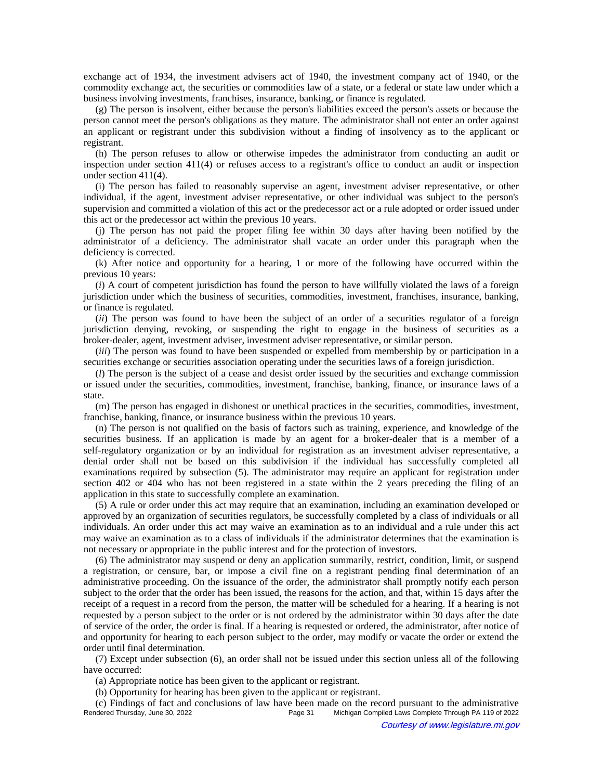exchange act of 1934, the investment advisers act of 1940, the investment company act of 1940, or the commodity exchange act, the securities or commodities law of a state, or a federal or state law under which a business involving investments, franchises, insurance, banking, or finance is regulated.

(g) The person is insolvent, either because the person's liabilities exceed the person's assets or because the person cannot meet the person's obligations as they mature. The administrator shall not enter an order against an applicant or registrant under this subdivision without a finding of insolvency as to the applicant or registrant.

(h) The person refuses to allow or otherwise impedes the administrator from conducting an audit or inspection under section 411(4) or refuses access to a registrant's office to conduct an audit or inspection under section 411(4).

(i) The person has failed to reasonably supervise an agent, investment adviser representative, or other individual, if the agent, investment adviser representative, or other individual was subject to the person's supervision and committed a violation of this act or the predecessor act or a rule adopted or order issued under this act or the predecessor act within the previous 10 years.

(j) The person has not paid the proper filing fee within 30 days after having been notified by the administrator of a deficiency. The administrator shall vacate an order under this paragraph when the deficiency is corrected.

(k) After notice and opportunity for a hearing, 1 or more of the following have occurred within the previous 10 years:

(*i*) A court of competent jurisdiction has found the person to have willfully violated the laws of a foreign jurisdiction under which the business of securities, commodities, investment, franchises, insurance, banking, or finance is regulated.

(*ii*) The person was found to have been the subject of an order of a securities regulator of a foreign jurisdiction denying, revoking, or suspending the right to engage in the business of securities as a broker-dealer, agent, investment adviser, investment adviser representative, or similar person.

(*iii*) The person was found to have been suspended or expelled from membership by or participation in a securities exchange or securities association operating under the securities laws of a foreign jurisdiction.

(*l*) The person is the subject of a cease and desist order issued by the securities and exchange commission or issued under the securities, commodities, investment, franchise, banking, finance, or insurance laws of a state.

(m) The person has engaged in dishonest or unethical practices in the securities, commodities, investment, franchise, banking, finance, or insurance business within the previous 10 years.

(n) The person is not qualified on the basis of factors such as training, experience, and knowledge of the securities business. If an application is made by an agent for a broker-dealer that is a member of a self-regulatory organization or by an individual for registration as an investment adviser representative, a denial order shall not be based on this subdivision if the individual has successfully completed all examinations required by subsection (5). The administrator may require an applicant for registration under section 402 or 404 who has not been registered in a state within the 2 years preceding the filing of an application in this state to successfully complete an examination.

(5) A rule or order under this act may require that an examination, including an examination developed or approved by an organization of securities regulators, be successfully completed by a class of individuals or all individuals. An order under this act may waive an examination as to an individual and a rule under this act may waive an examination as to a class of individuals if the administrator determines that the examination is not necessary or appropriate in the public interest and for the protection of investors.

(6) The administrator may suspend or deny an application summarily, restrict, condition, limit, or suspend a registration, or censure, bar, or impose a civil fine on a registrant pending final determination of an administrative proceeding. On the issuance of the order, the administrator shall promptly notify each person subject to the order that the order has been issued, the reasons for the action, and that, within 15 days after the receipt of a request in a record from the person, the matter will be scheduled for a hearing. If a hearing is not requested by a person subject to the order or is not ordered by the administrator within 30 days after the date of service of the order, the order is final. If a hearing is requested or ordered, the administrator, after notice of and opportunity for hearing to each person subject to the order, may modify or vacate the order or extend the order until final determination.

(7) Except under subsection (6), an order shall not be issued under this section unless all of the following have occurred:

(a) Appropriate notice has been given to the applicant or registrant.

(b) Opportunity for hearing has been given to the applicant or registrant.

(c) Findings of fact and conclusions of law have been made on the record pursuant to the administrative Michigan Compiled Laws Complete Through PA 119 of 2022 Courtesy of www.legislature.mi.gov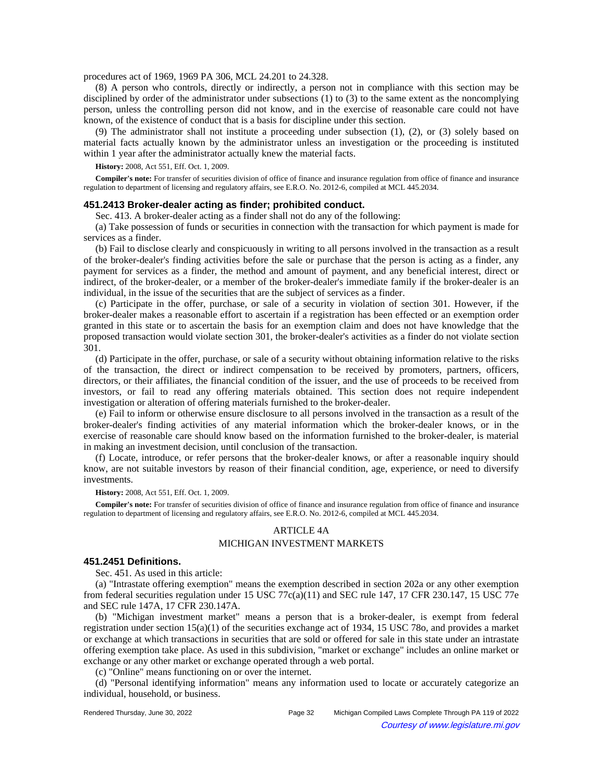procedures act of 1969, 1969 PA 306, MCL 24.201 to 24.328.

(8) A person who controls, directly or indirectly, a person not in compliance with this section may be disciplined by order of the administrator under subsections (1) to (3) to the same extent as the noncomplying person, unless the controlling person did not know, and in the exercise of reasonable care could not have known, of the existence of conduct that is a basis for discipline under this section.

(9) The administrator shall not institute a proceeding under subsection (1), (2), or (3) solely based on material facts actually known by the administrator unless an investigation or the proceeding is instituted within 1 year after the administrator actually knew the material facts.

**History:** 2008, Act 551, Eff. Oct. 1, 2009.

**Compiler's note:** For transfer of securities division of office of finance and insurance regulation from office of finance and insurance regulation to department of licensing and regulatory affairs, see E.R.O. No. 2012-6, compiled at MCL 445.2034.

## **451.2413 Broker-dealer acting as finder; prohibited conduct.**

Sec. 413. A broker-dealer acting as a finder shall not do any of the following:

(a) Take possession of funds or securities in connection with the transaction for which payment is made for services as a finder.

(b) Fail to disclose clearly and conspicuously in writing to all persons involved in the transaction as a result of the broker-dealer's finding activities before the sale or purchase that the person is acting as a finder, any payment for services as a finder, the method and amount of payment, and any beneficial interest, direct or indirect, of the broker-dealer, or a member of the broker-dealer's immediate family if the broker-dealer is an individual, in the issue of the securities that are the subject of services as a finder.

(c) Participate in the offer, purchase, or sale of a security in violation of section 301. However, if the broker-dealer makes a reasonable effort to ascertain if a registration has been effected or an exemption order granted in this state or to ascertain the basis for an exemption claim and does not have knowledge that the proposed transaction would violate section 301, the broker-dealer's activities as a finder do not violate section 301.

(d) Participate in the offer, purchase, or sale of a security without obtaining information relative to the risks of the transaction, the direct or indirect compensation to be received by promoters, partners, officers, directors, or their affiliates, the financial condition of the issuer, and the use of proceeds to be received from investors, or fail to read any offering materials obtained. This section does not require independent investigation or alteration of offering materials furnished to the broker-dealer.

(e) Fail to inform or otherwise ensure disclosure to all persons involved in the transaction as a result of the broker-dealer's finding activities of any material information which the broker-dealer knows, or in the exercise of reasonable care should know based on the information furnished to the broker-dealer, is material in making an investment decision, until conclusion of the transaction.

(f) Locate, introduce, or refer persons that the broker-dealer knows, or after a reasonable inquiry should know, are not suitable investors by reason of their financial condition, age, experience, or need to diversify investments.

**History:** 2008, Act 551, Eff. Oct. 1, 2009.

**Compiler's note:** For transfer of securities division of office of finance and insurance regulation from office of finance and insurance regulation to department of licensing and regulatory affairs, see E.R.O. No. 2012-6, compiled at MCL 445.2034.

# ARTICLE 4A MICHIGAN INVESTMENT MARKETS

#### **451.2451 Definitions.**

Sec. 451. As used in this article:

(a) "Intrastate offering exemption" means the exemption described in section 202a or any other exemption from federal securities regulation under 15 USC 77c(a)(11) and SEC rule 147, 17 CFR 230.147, 15 USC 77e and SEC rule 147A, 17 CFR 230.147A.

(b) "Michigan investment market" means a person that is a broker-dealer, is exempt from federal registration under section 15(a)(1) of the securities exchange act of 1934, 15 USC 78o, and provides a market or exchange at which transactions in securities that are sold or offered for sale in this state under an intrastate offering exemption take place. As used in this subdivision, "market or exchange" includes an online market or exchange or any other market or exchange operated through a web portal.

(c) "Online" means functioning on or over the internet.

(d) "Personal identifying information" means any information used to locate or accurately categorize an individual, household, or business.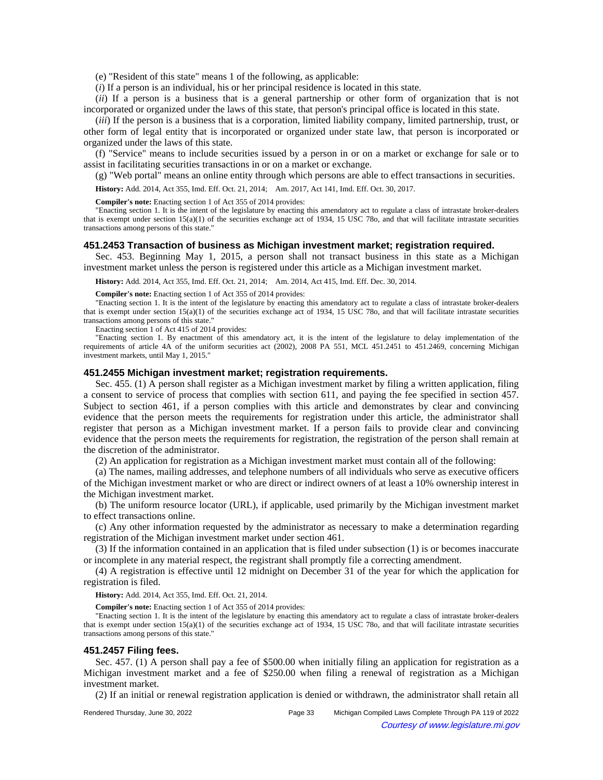(e) "Resident of this state" means 1 of the following, as applicable:

(*i*) If a person is an individual, his or her principal residence is located in this state.

(*ii*) If a person is a business that is a general partnership or other form of organization that is not incorporated or organized under the laws of this state, that person's principal office is located in this state.

(*iii*) If the person is a business that is a corporation, limited liability company, limited partnership, trust, or other form of legal entity that is incorporated or organized under state law, that person is incorporated or organized under the laws of this state.

(f) "Service" means to include securities issued by a person in or on a market or exchange for sale or to assist in facilitating securities transactions in or on a market or exchange.

(g) "Web portal" means an online entity through which persons are able to effect transactions in securities.

History: Add. 2014, Act 355, Imd. Eff. Oct. 21, 2014;—Am. 2017, Act 141, Imd. Eff. Oct. 30, 2017.

**Compiler's note:** Enacting section 1 of Act 355 of 2014 provides:

"Enacting section 1. It is the intent of the legislature by enacting this amendatory act to regulate a class of intrastate broker-dealers that is exempt under section 15(a)(1) of the securities exchange act of 1934, 15 USC 78o, and that will facilitate intrastate securities transactions among persons of this state."

#### **451.2453 Transaction of business as Michigan investment market; registration required.**

Sec. 453. Beginning May 1, 2015, a person shall not transact business in this state as a Michigan investment market unless the person is registered under this article as a Michigan investment market.

**History:** Add. 2014, Act 355, Imd. Eff. Oct. 21, 2014; —Am. 2014, Act 415, Imd. Eff. Dec. 30, 2014.

**Compiler's note:** Enacting section 1 of Act 355 of 2014 provides:

"Enacting section 1. It is the intent of the legislature by enacting this amendatory act to regulate a class of intrastate broker-dealers that is exempt under section  $15(a)(1)$  of the securities exchange act of 1934, 15 USC 78o, and that will facilitate intrastate securities transactions among persons of this state."

Enacting section 1 of Act 415 of 2014 provides:

"Enacting section 1. By enactment of this amendatory act, it is the intent of the legislature to delay implementation of the requirements of article 4A of the uniform securities act (2002), 2008 PA 551, MCL 451.2451 to 451.2469, concerning Michigan investment markets, until May 1, 2015."

### **451.2455 Michigan investment market; registration requirements.**

Sec. 455. (1) A person shall register as a Michigan investment market by filing a written application, filing a consent to service of process that complies with section 611, and paying the fee specified in section 457. Subject to section 461, if a person complies with this article and demonstrates by clear and convincing evidence that the person meets the requirements for registration under this article, the administrator shall register that person as a Michigan investment market. If a person fails to provide clear and convincing evidence that the person meets the requirements for registration, the registration of the person shall remain at the discretion of the administrator.

(2) An application for registration as a Michigan investment market must contain all of the following:

(a) The names, mailing addresses, and telephone numbers of all individuals who serve as executive officers of the Michigan investment market or who are direct or indirect owners of at least a 10% ownership interest in the Michigan investment market.

(b) The uniform resource locator (URL), if applicable, used primarily by the Michigan investment market to effect transactions online.

(c) Any other information requested by the administrator as necessary to make a determination regarding registration of the Michigan investment market under section 461.

(3) If the information contained in an application that is filed under subsection (1) is or becomes inaccurate or incomplete in any material respect, the registrant shall promptly file a correcting amendment.

(4) A registration is effective until 12 midnight on December 31 of the year for which the application for registration is filed.

**History:** Add. 2014, Act 355, Imd. Eff. Oct. 21, 2014.

**Compiler's note:** Enacting section 1 of Act 355 of 2014 provides:

"Enacting section 1. It is the intent of the legislature by enacting this amendatory act to regulate a class of intrastate broker-dealers that is exempt under section 15(a)(1) of the securities exchange act of 1934, 15 USC 78o, and that will facilitate intrastate securities transactions among persons of this state."

#### **451.2457 Filing fees.**

Sec. 457. (1) A person shall pay a fee of \$500.00 when initially filing an application for registration as a Michigan investment market and a fee of \$250.00 when filing a renewal of registration as a Michigan investment market.

(2) If an initial or renewal registration application is denied or withdrawn, the administrator shall retain all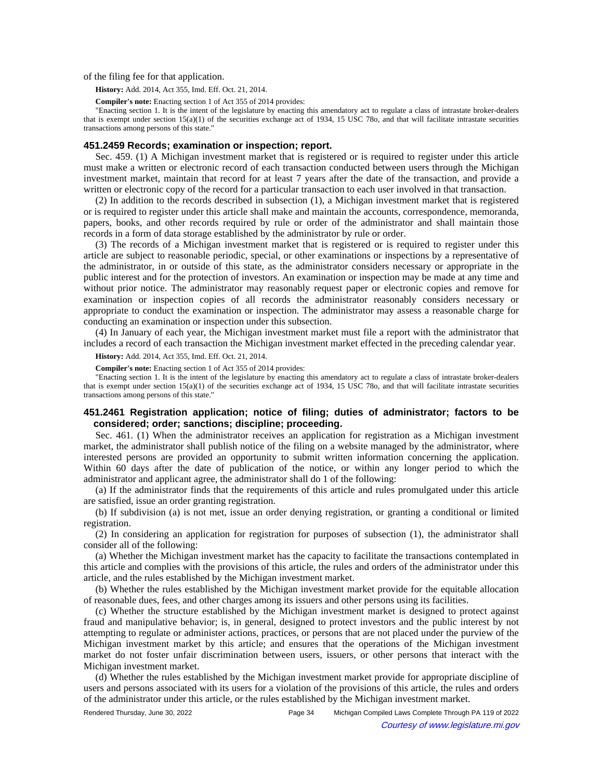of the filing fee for that application.

**History:** Add. 2014, Act 355, Imd. Eff. Oct. 21, 2014.

**Compiler's note:** Enacting section 1 of Act 355 of 2014 provides:

"Enacting section 1. It is the intent of the legislature by enacting this amendatory act to regulate a class of intrastate broker-dealers that is exempt under section 15(a)(1) of the securities exchange act of 1934, 15 USC 78o, and that will facilitate intrastate securities transactions among persons of this state."

### **451.2459 Records; examination or inspection; report.**

Sec. 459. (1) A Michigan investment market that is registered or is required to register under this article must make a written or electronic record of each transaction conducted between users through the Michigan investment market, maintain that record for at least 7 years after the date of the transaction, and provide a written or electronic copy of the record for a particular transaction to each user involved in that transaction.

(2) In addition to the records described in subsection (1), a Michigan investment market that is registered or is required to register under this article shall make and maintain the accounts, correspondence, memoranda, papers, books, and other records required by rule or order of the administrator and shall maintain those records in a form of data storage established by the administrator by rule or order.

(3) The records of a Michigan investment market that is registered or is required to register under this article are subject to reasonable periodic, special, or other examinations or inspections by a representative of the administrator, in or outside of this state, as the administrator considers necessary or appropriate in the public interest and for the protection of investors. An examination or inspection may be made at any time and without prior notice. The administrator may reasonably request paper or electronic copies and remove for examination or inspection copies of all records the administrator reasonably considers necessary or appropriate to conduct the examination or inspection. The administrator may assess a reasonable charge for conducting an examination or inspection under this subsection.

(4) In January of each year, the Michigan investment market must file a report with the administrator that includes a record of each transaction the Michigan investment market effected in the preceding calendar year.

**History:** Add. 2014, Act 355, Imd. Eff. Oct. 21, 2014.

**Compiler's note:** Enacting section 1 of Act 355 of 2014 provides:

"Enacting section 1. It is the intent of the legislature by enacting this amendatory act to regulate a class of intrastate broker-dealers that is exempt under section  $15(a)(1)$  of the securities exchange act of 1934, 15 USC 78o, and that will facilitate intrastate securities transactions among persons of this state."

# **451.2461 Registration application; notice of filing; duties of administrator; factors to be considered; order; sanctions; discipline; proceeding.**

Sec. 461. (1) When the administrator receives an application for registration as a Michigan investment market, the administrator shall publish notice of the filing on a website managed by the administrator, where interested persons are provided an opportunity to submit written information concerning the application. Within 60 days after the date of publication of the notice, or within any longer period to which the administrator and applicant agree, the administrator shall do 1 of the following:

(a) If the administrator finds that the requirements of this article and rules promulgated under this article are satisfied, issue an order granting registration.

(b) If subdivision (a) is not met, issue an order denying registration, or granting a conditional or limited registration.

(2) In considering an application for registration for purposes of subsection (1), the administrator shall consider all of the following:

(a) Whether the Michigan investment market has the capacity to facilitate the transactions contemplated in this article and complies with the provisions of this article, the rules and orders of the administrator under this article, and the rules established by the Michigan investment market.

(b) Whether the rules established by the Michigan investment market provide for the equitable allocation of reasonable dues, fees, and other charges among its issuers and other persons using its facilities.

(c) Whether the structure established by the Michigan investment market is designed to protect against fraud and manipulative behavior; is, in general, designed to protect investors and the public interest by not attempting to regulate or administer actions, practices, or persons that are not placed under the purview of the Michigan investment market by this article; and ensures that the operations of the Michigan investment market do not foster unfair discrimination between users, issuers, or other persons that interact with the Michigan investment market.

(d) Whether the rules established by the Michigan investment market provide for appropriate discipline of users and persons associated with its users for a violation of the provisions of this article, the rules and orders of the administrator under this article, or the rules established by the Michigan investment market.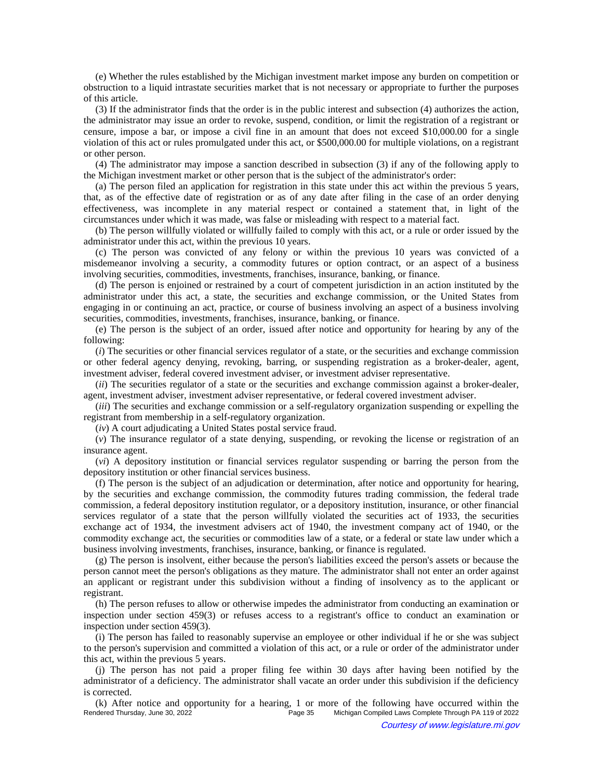(e) Whether the rules established by the Michigan investment market impose any burden on competition or obstruction to a liquid intrastate securities market that is not necessary or appropriate to further the purposes of this article.

(3) If the administrator finds that the order is in the public interest and subsection (4) authorizes the action, the administrator may issue an order to revoke, suspend, condition, or limit the registration of a registrant or censure, impose a bar, or impose a civil fine in an amount that does not exceed \$10,000.00 for a single violation of this act or rules promulgated under this act, or \$500,000.00 for multiple violations, on a registrant or other person.

(4) The administrator may impose a sanction described in subsection (3) if any of the following apply to the Michigan investment market or other person that is the subject of the administrator's order:

(a) The person filed an application for registration in this state under this act within the previous 5 years, that, as of the effective date of registration or as of any date after filing in the case of an order denying effectiveness, was incomplete in any material respect or contained a statement that, in light of the circumstances under which it was made, was false or misleading with respect to a material fact.

(b) The person willfully violated or willfully failed to comply with this act, or a rule or order issued by the administrator under this act, within the previous 10 years.

(c) The person was convicted of any felony or within the previous 10 years was convicted of a misdemeanor involving a security, a commodity futures or option contract, or an aspect of a business involving securities, commodities, investments, franchises, insurance, banking, or finance.

(d) The person is enjoined or restrained by a court of competent jurisdiction in an action instituted by the administrator under this act, a state, the securities and exchange commission, or the United States from engaging in or continuing an act, practice, or course of business involving an aspect of a business involving securities, commodities, investments, franchises, insurance, banking, or finance.

(e) The person is the subject of an order, issued after notice and opportunity for hearing by any of the following:

(*i*) The securities or other financial services regulator of a state, or the securities and exchange commission or other federal agency denying, revoking, barring, or suspending registration as a broker-dealer, agent, investment adviser, federal covered investment adviser, or investment adviser representative.

(*ii*) The securities regulator of a state or the securities and exchange commission against a broker-dealer, agent, investment adviser, investment adviser representative, or federal covered investment adviser.

(*iii*) The securities and exchange commission or a self-regulatory organization suspending or expelling the registrant from membership in a self-regulatory organization.

(*iv*) A court adjudicating a United States postal service fraud.

(*v*) The insurance regulator of a state denying, suspending, or revoking the license or registration of an insurance agent.

(*vi*) A depository institution or financial services regulator suspending or barring the person from the depository institution or other financial services business.

(f) The person is the subject of an adjudication or determination, after notice and opportunity for hearing, by the securities and exchange commission, the commodity futures trading commission, the federal trade commission, a federal depository institution regulator, or a depository institution, insurance, or other financial services regulator of a state that the person willfully violated the securities act of 1933, the securities exchange act of 1934, the investment advisers act of 1940, the investment company act of 1940, or the commodity exchange act, the securities or commodities law of a state, or a federal or state law under which a business involving investments, franchises, insurance, banking, or finance is regulated.

(g) The person is insolvent, either because the person's liabilities exceed the person's assets or because the person cannot meet the person's obligations as they mature. The administrator shall not enter an order against an applicant or registrant under this subdivision without a finding of insolvency as to the applicant or registrant.

(h) The person refuses to allow or otherwise impedes the administrator from conducting an examination or inspection under section 459(3) or refuses access to a registrant's office to conduct an examination or inspection under section 459(3).

(i) The person has failed to reasonably supervise an employee or other individual if he or she was subject to the person's supervision and committed a violation of this act, or a rule or order of the administrator under this act, within the previous 5 years.

(j) The person has not paid a proper filing fee within 30 days after having been notified by the administrator of a deficiency. The administrator shall vacate an order under this subdivision if the deficiency is corrected.

(k) After notice and opportunity for a hearing, 1 or more of the following have occurred within the Rendered Thursday, June 30, 2022<br>Page 35 Michigan Compiled Laws Complete Through PA 119 of 2022 Michigan Compiled Laws Complete Through PA 119 of 2022 Courtesy of www.legislature.mi.gov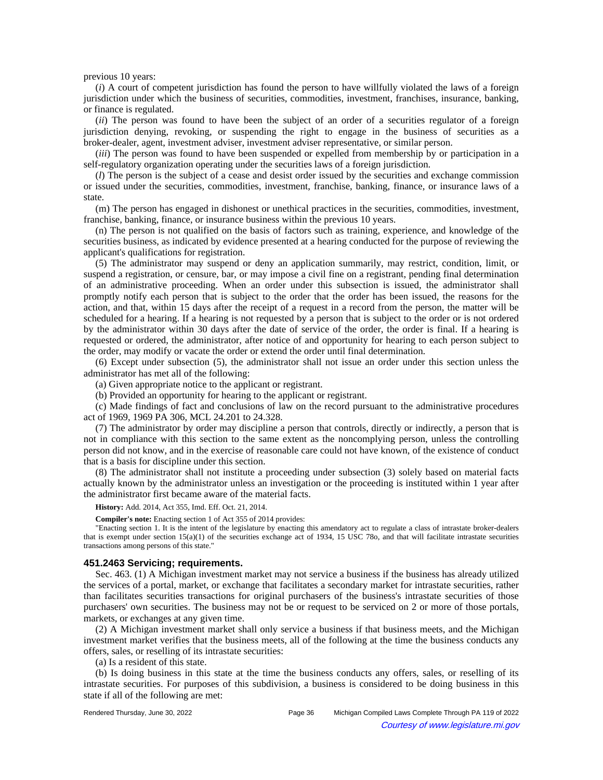previous 10 years:

(*i*) A court of competent jurisdiction has found the person to have willfully violated the laws of a foreign jurisdiction under which the business of securities, commodities, investment, franchises, insurance, banking, or finance is regulated.

(*ii*) The person was found to have been the subject of an order of a securities regulator of a foreign jurisdiction denying, revoking, or suspending the right to engage in the business of securities as a broker-dealer, agent, investment adviser, investment adviser representative, or similar person.

(*iii*) The person was found to have been suspended or expelled from membership by or participation in a self-regulatory organization operating under the securities laws of a foreign jurisdiction.

(*l*) The person is the subject of a cease and desist order issued by the securities and exchange commission or issued under the securities, commodities, investment, franchise, banking, finance, or insurance laws of a state.

(m) The person has engaged in dishonest or unethical practices in the securities, commodities, investment, franchise, banking, finance, or insurance business within the previous 10 years.

(n) The person is not qualified on the basis of factors such as training, experience, and knowledge of the securities business, as indicated by evidence presented at a hearing conducted for the purpose of reviewing the applicant's qualifications for registration.

(5) The administrator may suspend or deny an application summarily, may restrict, condition, limit, or suspend a registration, or censure, bar, or may impose a civil fine on a registrant, pending final determination of an administrative proceeding. When an order under this subsection is issued, the administrator shall promptly notify each person that is subject to the order that the order has been issued, the reasons for the action, and that, within 15 days after the receipt of a request in a record from the person, the matter will be scheduled for a hearing. If a hearing is not requested by a person that is subject to the order or is not ordered by the administrator within 30 days after the date of service of the order, the order is final. If a hearing is requested or ordered, the administrator, after notice of and opportunity for hearing to each person subject to the order, may modify or vacate the order or extend the order until final determination.

(6) Except under subsection (5), the administrator shall not issue an order under this section unless the administrator has met all of the following:

(a) Given appropriate notice to the applicant or registrant.

(b) Provided an opportunity for hearing to the applicant or registrant.

(c) Made findings of fact and conclusions of law on the record pursuant to the administrative procedures act of 1969, 1969 PA 306, MCL 24.201 to 24.328.

(7) The administrator by order may discipline a person that controls, directly or indirectly, a person that is not in compliance with this section to the same extent as the noncomplying person, unless the controlling person did not know, and in the exercise of reasonable care could not have known, of the existence of conduct that is a basis for discipline under this section.

(8) The administrator shall not institute a proceeding under subsection (3) solely based on material facts actually known by the administrator unless an investigation or the proceeding is instituted within 1 year after the administrator first became aware of the material facts.

**History:** Add. 2014, Act 355, Imd. Eff. Oct. 21, 2014.

**Compiler's note:** Enacting section 1 of Act 355 of 2014 provides:

"Enacting section 1. It is the intent of the legislature by enacting this amendatory act to regulate a class of intrastate broker-dealers that is exempt under section 15(a)(1) of the securities exchange act of 1934, 15 USC 78o, and that will facilitate intrastate securities transactions among persons of this state."

### **451.2463 Servicing; requirements.**

Sec. 463. (1) A Michigan investment market may not service a business if the business has already utilized the services of a portal, market, or exchange that facilitates a secondary market for intrastate securities, rather than facilitates securities transactions for original purchasers of the business's intrastate securities of those purchasers' own securities. The business may not be or request to be serviced on 2 or more of those portals, markets, or exchanges at any given time.

(2) A Michigan investment market shall only service a business if that business meets, and the Michigan investment market verifies that the business meets, all of the following at the time the business conducts any offers, sales, or reselling of its intrastate securities:

(a) Is a resident of this state.

(b) Is doing business in this state at the time the business conducts any offers, sales, or reselling of its intrastate securities. For purposes of this subdivision, a business is considered to be doing business in this state if all of the following are met: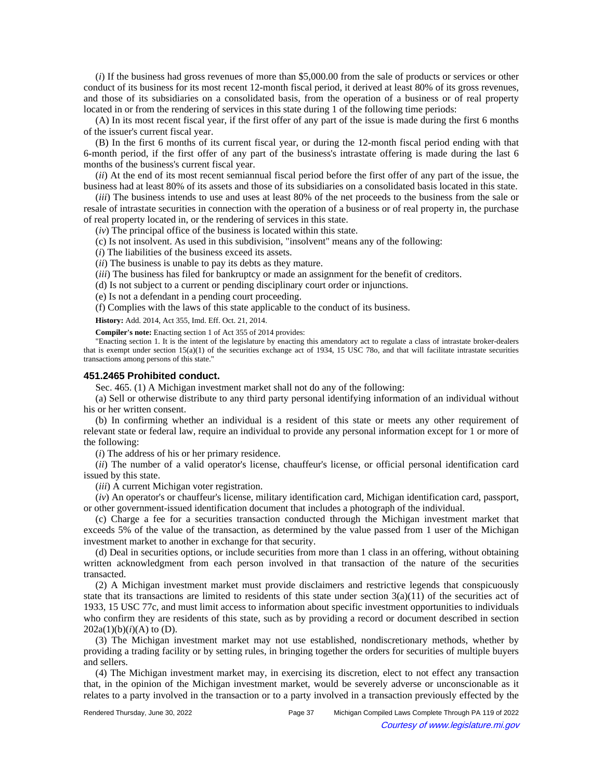(*i*) If the business had gross revenues of more than \$5,000.00 from the sale of products or services or other conduct of its business for its most recent 12-month fiscal period, it derived at least 80% of its gross revenues, and those of its subsidiaries on a consolidated basis, from the operation of a business or of real property located in or from the rendering of services in this state during 1 of the following time periods:

(A) In its most recent fiscal year, if the first offer of any part of the issue is made during the first 6 months of the issuer's current fiscal year.

(B) In the first 6 months of its current fiscal year, or during the 12-month fiscal period ending with that 6-month period, if the first offer of any part of the business's intrastate offering is made during the last 6 months of the business's current fiscal year.

(*ii*) At the end of its most recent semiannual fiscal period before the first offer of any part of the issue, the business had at least 80% of its assets and those of its subsidiaries on a consolidated basis located in this state.

(*iii*) The business intends to use and uses at least 80% of the net proceeds to the business from the sale or resale of intrastate securities in connection with the operation of a business or of real property in, the purchase of real property located in, or the rendering of services in this state.

(*iv*) The principal office of the business is located within this state.

(c) Is not insolvent. As used in this subdivision, "insolvent" means any of the following:

(*i*) The liabilities of the business exceed its assets.

(*ii*) The business is unable to pay its debts as they mature.

(*iii*) The business has filed for bankruptcy or made an assignment for the benefit of creditors.

(d) Is not subject to a current or pending disciplinary court order or injunctions.

(e) Is not a defendant in a pending court proceeding.

(f) Complies with the laws of this state applicable to the conduct of its business.

**History:** Add. 2014, Act 355, Imd. Eff. Oct. 21, 2014.

**Compiler's note:** Enacting section 1 of Act 355 of 2014 provides:

"Enacting section 1. It is the intent of the legislature by enacting this amendatory act to regulate a class of intrastate broker-dealers that is exempt under section  $15(a)(1)$  of the securities exchange act of 1934, 15 USC 78o, and that will facilitate intrastate securities transactions among persons of this state."

#### **451.2465 Prohibited conduct.**

Sec. 465. (1) A Michigan investment market shall not do any of the following:

(a) Sell or otherwise distribute to any third party personal identifying information of an individual without his or her written consent.

(b) In confirming whether an individual is a resident of this state or meets any other requirement of relevant state or federal law, require an individual to provide any personal information except for 1 or more of the following:

(*i*) The address of his or her primary residence.

(*ii*) The number of a valid operator's license, chauffeur's license, or official personal identification card issued by this state.

(*iii*) A current Michigan voter registration.

(*iv*) An operator's or chauffeur's license, military identification card, Michigan identification card, passport, or other government-issued identification document that includes a photograph of the individual.

(c) Charge a fee for a securities transaction conducted through the Michigan investment market that exceeds 5% of the value of the transaction, as determined by the value passed from 1 user of the Michigan investment market to another in exchange for that security.

(d) Deal in securities options, or include securities from more than 1 class in an offering, without obtaining written acknowledgment from each person involved in that transaction of the nature of the securities transacted.

(2) A Michigan investment market must provide disclaimers and restrictive legends that conspicuously state that its transactions are limited to residents of this state under section  $3(a)(11)$  of the securities act of 1933, 15 USC 77c, and must limit access to information about specific investment opportunities to individuals who confirm they are residents of this state, such as by providing a record or document described in section  $202a(1)(b)(i)(A)$  to (D).

(3) The Michigan investment market may not use established, nondiscretionary methods, whether by providing a trading facility or by setting rules, in bringing together the orders for securities of multiple buyers and sellers.

(4) The Michigan investment market may, in exercising its discretion, elect to not effect any transaction that, in the opinion of the Michigan investment market, would be severely adverse or unconscionable as it relates to a party involved in the transaction or to a party involved in a transaction previously effected by the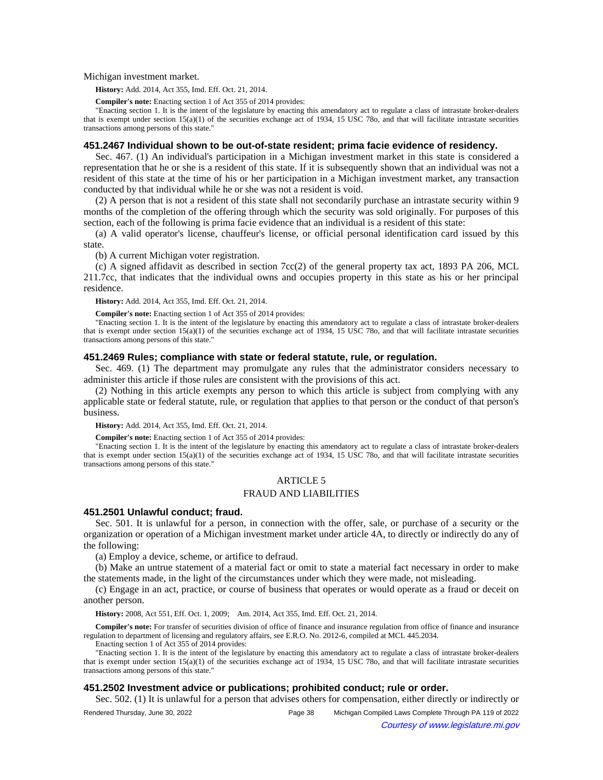Michigan investment market.

**History:** Add. 2014, Act 355, Imd. Eff. Oct. 21, 2014.

**Compiler's note:** Enacting section 1 of Act 355 of 2014 provides:

"Enacting section 1. It is the intent of the legislature by enacting this amendatory act to regulate a class of intrastate broker-dealers that is exempt under section 15(a)(1) of the securities exchange act of 1934, 15 USC 78o, and that will facilitate intrastate securities transactions among persons of this state."

### **451.2467 Individual shown to be out-of-state resident; prima facie evidence of residency.**

Sec. 467. (1) An individual's participation in a Michigan investment market in this state is considered a representation that he or she is a resident of this state. If it is subsequently shown that an individual was not a resident of this state at the time of his or her participation in a Michigan investment market, any transaction conducted by that individual while he or she was not a resident is void.

(2) A person that is not a resident of this state shall not secondarily purchase an intrastate security within 9 months of the completion of the offering through which the security was sold originally. For purposes of this section, each of the following is prima facie evidence that an individual is a resident of this state:

(a) A valid operator's license, chauffeur's license, or official personal identification card issued by this state.

(b) A current Michigan voter registration.

(c) A signed affidavit as described in section 7cc(2) of the general property tax act, 1893 PA 206, MCL 211.7cc, that indicates that the individual owns and occupies property in this state as his or her principal residence.

**History:** Add. 2014, Act 355, Imd. Eff. Oct. 21, 2014.

**Compiler's note:** Enacting section 1 of Act 355 of 2014 provides:

"Enacting section 1. It is the intent of the legislature by enacting this amendatory act to regulate a class of intrastate broker-dealers that is exempt under section 15(a)(1) of the securities exchange act of 1934, 15 USC 78o, and that will facilitate intrastate securities transactions among persons of this state."

## **451.2469 Rules; compliance with state or federal statute, rule, or regulation.**

Sec. 469. (1) The department may promulgate any rules that the administrator considers necessary to administer this article if those rules are consistent with the provisions of this act.

(2) Nothing in this article exempts any person to which this article is subject from complying with any applicable state or federal statute, rule, or regulation that applies to that person or the conduct of that person's business.

**History:** Add. 2014, Act 355, Imd. Eff. Oct. 21, 2014.

**Compiler's note:** Enacting section 1 of Act 355 of 2014 provides:

"Enacting section 1. It is the intent of the legislature by enacting this amendatory act to regulate a class of intrastate broker-dealers that is exempt under section 15(a)(1) of the securities exchange act of 1934, 15 USC 78o, and that will facilitate intrastate securities transactions among persons of this state."

## ARTICLE 5

## FRAUD AND LIABILITIES

#### **451.2501 Unlawful conduct; fraud.**

Sec. 501. It is unlawful for a person, in connection with the offer, sale, or purchase of a security or the organization or operation of a Michigan investment market under article 4A, to directly or indirectly do any of the following:

(a) Employ a device, scheme, or artifice to defraud.

(b) Make an untrue statement of a material fact or omit to state a material fact necessary in order to make the statements made, in the light of the circumstances under which they were made, not misleading.

(c) Engage in an act, practice, or course of business that operates or would operate as a fraud or deceit on another person.

History: 2008, Act 551, Eff. Oct. 1, 2009;—Am. 2014, Act 355, Imd. Eff. Oct. 21, 2014.

**Compiler's note:** For transfer of securities division of office of finance and insurance regulation from office of finance and insurance regulation to department of licensing and regulatory affairs, see E.R.O. No. 2012-6, compiled at MCL 445.2034.

Enacting section 1 of Act 355 of 2014 provides:

"Enacting section 1. It is the intent of the legislature by enacting this amendatory act to regulate a class of intrastate broker-dealers that is exempt under section 15(a)(1) of the securities exchange act of 1934, 15 USC 78o, and that will facilitate intrastate securities transactions among persons of this state."

### **451.2502 Investment advice or publications; prohibited conduct; rule or order.**

Sec. 502. (1) It is unlawful for a person that advises others for compensation, either directly or indirectly or

Rendered Thursday, June 30, 2022 Page 38 Michigan Compiled Laws Complete Through PA 119 of 2022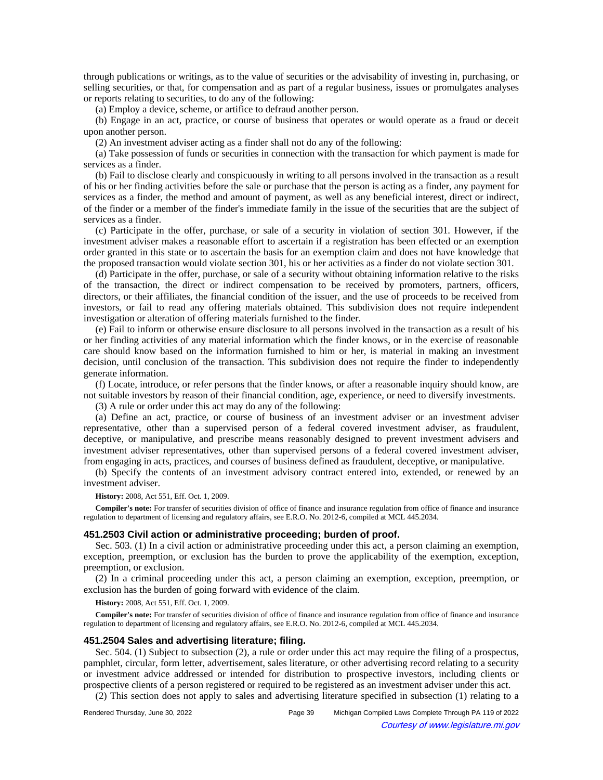through publications or writings, as to the value of securities or the advisability of investing in, purchasing, or selling securities, or that, for compensation and as part of a regular business, issues or promulgates analyses or reports relating to securities, to do any of the following:

(a) Employ a device, scheme, or artifice to defraud another person.

(b) Engage in an act, practice, or course of business that operates or would operate as a fraud or deceit upon another person.

(2) An investment adviser acting as a finder shall not do any of the following:

(a) Take possession of funds or securities in connection with the transaction for which payment is made for services as a finder.

(b) Fail to disclose clearly and conspicuously in writing to all persons involved in the transaction as a result of his or her finding activities before the sale or purchase that the person is acting as a finder, any payment for services as a finder, the method and amount of payment, as well as any beneficial interest, direct or indirect, of the finder or a member of the finder's immediate family in the issue of the securities that are the subject of services as a finder.

(c) Participate in the offer, purchase, or sale of a security in violation of section 301. However, if the investment adviser makes a reasonable effort to ascertain if a registration has been effected or an exemption order granted in this state or to ascertain the basis for an exemption claim and does not have knowledge that the proposed transaction would violate section 301, his or her activities as a finder do not violate section 301.

(d) Participate in the offer, purchase, or sale of a security without obtaining information relative to the risks of the transaction, the direct or indirect compensation to be received by promoters, partners, officers, directors, or their affiliates, the financial condition of the issuer, and the use of proceeds to be received from investors, or fail to read any offering materials obtained. This subdivision does not require independent investigation or alteration of offering materials furnished to the finder.

(e) Fail to inform or otherwise ensure disclosure to all persons involved in the transaction as a result of his or her finding activities of any material information which the finder knows, or in the exercise of reasonable care should know based on the information furnished to him or her, is material in making an investment decision, until conclusion of the transaction. This subdivision does not require the finder to independently generate information.

(f) Locate, introduce, or refer persons that the finder knows, or after a reasonable inquiry should know, are not suitable investors by reason of their financial condition, age, experience, or need to diversify investments.

(3) A rule or order under this act may do any of the following:

(a) Define an act, practice, or course of business of an investment adviser or an investment adviser representative, other than a supervised person of a federal covered investment adviser, as fraudulent, deceptive, or manipulative, and prescribe means reasonably designed to prevent investment advisers and investment adviser representatives, other than supervised persons of a federal covered investment adviser, from engaging in acts, practices, and courses of business defined as fraudulent, deceptive, or manipulative.

(b) Specify the contents of an investment advisory contract entered into, extended, or renewed by an investment adviser.

**History:** 2008, Act 551, Eff. Oct. 1, 2009.

**Compiler's note:** For transfer of securities division of office of finance and insurance regulation from office of finance and insurance regulation to department of licensing and regulatory affairs, see E.R.O. No. 2012-6, compiled at MCL 445.2034.

### **451.2503 Civil action or administrative proceeding; burden of proof.**

Sec. 503. (1) In a civil action or administrative proceeding under this act, a person claiming an exemption, exception, preemption, or exclusion has the burden to prove the applicability of the exemption, exception, preemption, or exclusion.

(2) In a criminal proceeding under this act, a person claiming an exemption, exception, preemption, or exclusion has the burden of going forward with evidence of the claim.

**History:** 2008, Act 551, Eff. Oct. 1, 2009.

**Compiler's note:** For transfer of securities division of office of finance and insurance regulation from office of finance and insurance regulation to department of licensing and regulatory affairs, see E.R.O. No. 2012-6, compiled at MCL 445.2034.

## **451.2504 Sales and advertising literature; filing.**

Sec. 504. (1) Subject to subsection (2), a rule or order under this act may require the filing of a prospectus, pamphlet, circular, form letter, advertisement, sales literature, or other advertising record relating to a security or investment advice addressed or intended for distribution to prospective investors, including clients or prospective clients of a person registered or required to be registered as an investment adviser under this act.

(2) This section does not apply to sales and advertising literature specified in subsection (1) relating to a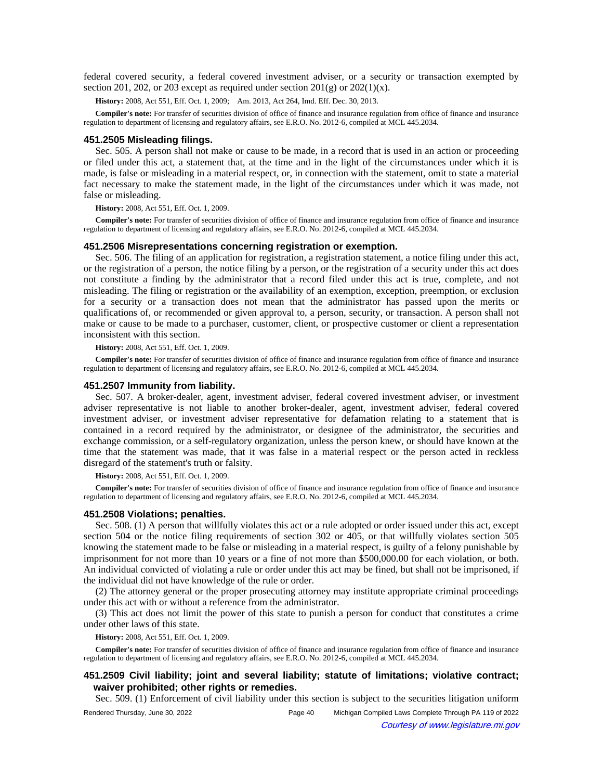federal covered security, a federal covered investment adviser, or a security or transaction exempted by section 201, 202, or 203 except as required under section  $201(g)$  or  $202(1)(x)$ .

History: 2008, Act 551, Eff. Oct. 1, 2009;—Am. 2013, Act 264, Imd. Eff. Dec. 30, 2013.

**Compiler's note:** For transfer of securities division of office of finance and insurance regulation from office of finance and insurance regulation to department of licensing and regulatory affairs, see E.R.O. No. 2012-6, compiled at MCL 445.2034.

### **451.2505 Misleading filings.**

Sec. 505. A person shall not make or cause to be made, in a record that is used in an action or proceeding or filed under this act, a statement that, at the time and in the light of the circumstances under which it is made, is false or misleading in a material respect, or, in connection with the statement, omit to state a material fact necessary to make the statement made, in the light of the circumstances under which it was made, not false or misleading.

**History:** 2008, Act 551, Eff. Oct. 1, 2009.

**Compiler's note:** For transfer of securities division of office of finance and insurance regulation from office of finance and insurance regulation to department of licensing and regulatory affairs, see E.R.O. No. 2012-6, compiled at MCL 445.2034.

### **451.2506 Misrepresentations concerning registration or exemption.**

Sec. 506. The filing of an application for registration, a registration statement, a notice filing under this act, or the registration of a person, the notice filing by a person, or the registration of a security under this act does not constitute a finding by the administrator that a record filed under this act is true, complete, and not misleading. The filing or registration or the availability of an exemption, exception, preemption, or exclusion for a security or a transaction does not mean that the administrator has passed upon the merits or qualifications of, or recommended or given approval to, a person, security, or transaction. A person shall not make or cause to be made to a purchaser, customer, client, or prospective customer or client a representation inconsistent with this section.

#### **History:** 2008, Act 551, Eff. Oct. 1, 2009.

**Compiler's note:** For transfer of securities division of office of finance and insurance regulation from office of finance and insurance regulation to department of licensing and regulatory affairs, see E.R.O. No. 2012-6, compiled at MCL 445.2034.

### **451.2507 Immunity from liability.**

Sec. 507. A broker-dealer, agent, investment adviser, federal covered investment adviser, or investment adviser representative is not liable to another broker-dealer, agent, investment adviser, federal covered investment adviser, or investment adviser representative for defamation relating to a statement that is contained in a record required by the administrator, or designee of the administrator, the securities and exchange commission, or a self-regulatory organization, unless the person knew, or should have known at the time that the statement was made, that it was false in a material respect or the person acted in reckless disregard of the statement's truth or falsity.

**History:** 2008, Act 551, Eff. Oct. 1, 2009.

**Compiler's note:** For transfer of securities division of office of finance and insurance regulation from office of finance and insurance regulation to department of licensing and regulatory affairs, see E.R.O. No. 2012-6, compiled at MCL 445.2034.

#### **451.2508 Violations; penalties.**

Sec. 508. (1) A person that willfully violates this act or a rule adopted or order issued under this act, except section 504 or the notice filing requirements of section 302 or 405, or that willfully violates section 505 knowing the statement made to be false or misleading in a material respect, is guilty of a felony punishable by imprisonment for not more than 10 years or a fine of not more than \$500,000.00 for each violation, or both. An individual convicted of violating a rule or order under this act may be fined, but shall not be imprisoned, if the individual did not have knowledge of the rule or order.

(2) The attorney general or the proper prosecuting attorney may institute appropriate criminal proceedings under this act with or without a reference from the administrator.

(3) This act does not limit the power of this state to punish a person for conduct that constitutes a crime under other laws of this state.

**History:** 2008, Act 551, Eff. Oct. 1, 2009.

**Compiler's note:** For transfer of securities division of office of finance and insurance regulation from office of finance and insurance regulation to department of licensing and regulatory affairs, see E.R.O. No. 2012-6, compiled at MCL 445.2034.

# **451.2509 Civil liability; joint and several liability; statute of limitations; violative contract; waiver prohibited; other rights or remedies.**

Sec. 509. (1) Enforcement of civil liability under this section is subject to the securities litigation uniform

Rendered Thursday, June 30, 2022 Page 40 Michigan Compiled Laws Complete Through PA 119 of 2022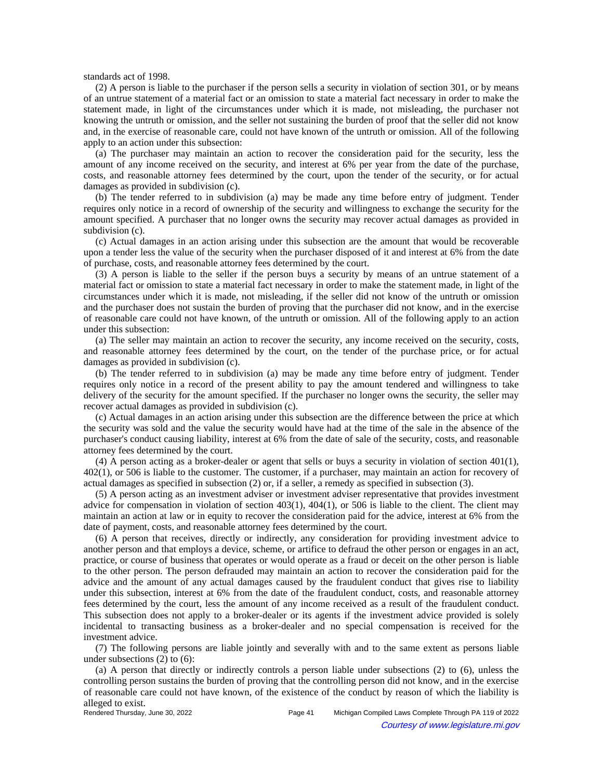standards act of 1998.

(2) A person is liable to the purchaser if the person sells a security in violation of section 301, or by means of an untrue statement of a material fact or an omission to state a material fact necessary in order to make the statement made, in light of the circumstances under which it is made, not misleading, the purchaser not knowing the untruth or omission, and the seller not sustaining the burden of proof that the seller did not know and, in the exercise of reasonable care, could not have known of the untruth or omission. All of the following apply to an action under this subsection:

(a) The purchaser may maintain an action to recover the consideration paid for the security, less the amount of any income received on the security, and interest at 6% per year from the date of the purchase, costs, and reasonable attorney fees determined by the court, upon the tender of the security, or for actual damages as provided in subdivision (c).

(b) The tender referred to in subdivision (a) may be made any time before entry of judgment. Tender requires only notice in a record of ownership of the security and willingness to exchange the security for the amount specified. A purchaser that no longer owns the security may recover actual damages as provided in subdivision (c).

(c) Actual damages in an action arising under this subsection are the amount that would be recoverable upon a tender less the value of the security when the purchaser disposed of it and interest at 6% from the date of purchase, costs, and reasonable attorney fees determined by the court.

(3) A person is liable to the seller if the person buys a security by means of an untrue statement of a material fact or omission to state a material fact necessary in order to make the statement made, in light of the circumstances under which it is made, not misleading, if the seller did not know of the untruth or omission and the purchaser does not sustain the burden of proving that the purchaser did not know, and in the exercise of reasonable care could not have known, of the untruth or omission. All of the following apply to an action under this subsection:

(a) The seller may maintain an action to recover the security, any income received on the security, costs, and reasonable attorney fees determined by the court, on the tender of the purchase price, or for actual damages as provided in subdivision (c).

(b) The tender referred to in subdivision (a) may be made any time before entry of judgment. Tender requires only notice in a record of the present ability to pay the amount tendered and willingness to take delivery of the security for the amount specified. If the purchaser no longer owns the security, the seller may recover actual damages as provided in subdivision (c).

(c) Actual damages in an action arising under this subsection are the difference between the price at which the security was sold and the value the security would have had at the time of the sale in the absence of the purchaser's conduct causing liability, interest at 6% from the date of sale of the security, costs, and reasonable attorney fees determined by the court.

(4) A person acting as a broker-dealer or agent that sells or buys a security in violation of section 401(1), 402(1), or 506 is liable to the customer. The customer, if a purchaser, may maintain an action for recovery of actual damages as specified in subsection (2) or, if a seller, a remedy as specified in subsection (3).

(5) A person acting as an investment adviser or investment adviser representative that provides investment advice for compensation in violation of section 403(1), 404(1), or 506 is liable to the client. The client may maintain an action at law or in equity to recover the consideration paid for the advice, interest at 6% from the date of payment, costs, and reasonable attorney fees determined by the court.

(6) A person that receives, directly or indirectly, any consideration for providing investment advice to another person and that employs a device, scheme, or artifice to defraud the other person or engages in an act, practice, or course of business that operates or would operate as a fraud or deceit on the other person is liable to the other person. The person defrauded may maintain an action to recover the consideration paid for the advice and the amount of any actual damages caused by the fraudulent conduct that gives rise to liability under this subsection, interest at 6% from the date of the fraudulent conduct, costs, and reasonable attorney fees determined by the court, less the amount of any income received as a result of the fraudulent conduct. This subsection does not apply to a broker-dealer or its agents if the investment advice provided is solely incidental to transacting business as a broker-dealer and no special compensation is received for the investment advice.

(7) The following persons are liable jointly and severally with and to the same extent as persons liable under subsections (2) to (6):

(a) A person that directly or indirectly controls a person liable under subsections (2) to (6), unless the controlling person sustains the burden of proving that the controlling person did not know, and in the exercise of reasonable care could not have known, of the existence of the conduct by reason of which the liability is alleged to exist.<br>Rendered Thursday, June 30, 2022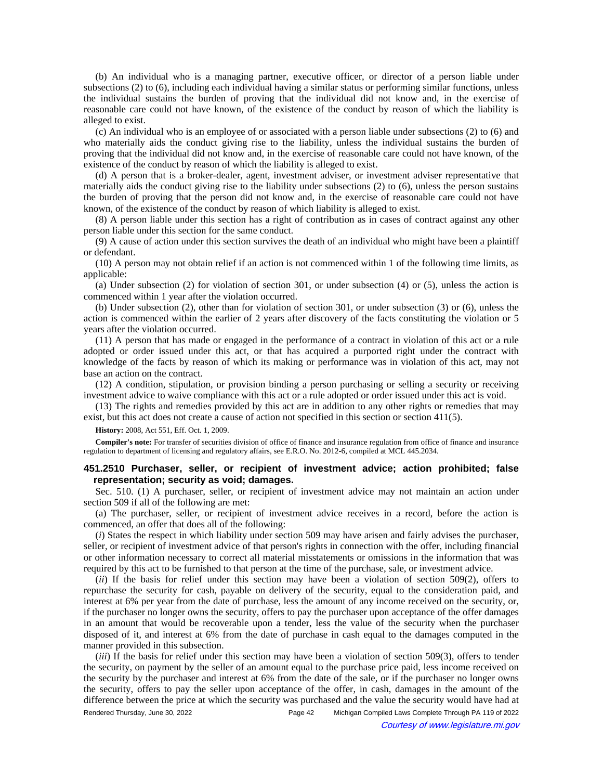(b) An individual who is a managing partner, executive officer, or director of a person liable under subsections (2) to (6), including each individual having a similar status or performing similar functions, unless the individual sustains the burden of proving that the individual did not know and, in the exercise of reasonable care could not have known, of the existence of the conduct by reason of which the liability is alleged to exist.

(c) An individual who is an employee of or associated with a person liable under subsections (2) to (6) and who materially aids the conduct giving rise to the liability, unless the individual sustains the burden of proving that the individual did not know and, in the exercise of reasonable care could not have known, of the existence of the conduct by reason of which the liability is alleged to exist.

(d) A person that is a broker-dealer, agent, investment adviser, or investment adviser representative that materially aids the conduct giving rise to the liability under subsections (2) to (6), unless the person sustains the burden of proving that the person did not know and, in the exercise of reasonable care could not have known, of the existence of the conduct by reason of which liability is alleged to exist.

(8) A person liable under this section has a right of contribution as in cases of contract against any other person liable under this section for the same conduct.

(9) A cause of action under this section survives the death of an individual who might have been a plaintiff or defendant.

(10) A person may not obtain relief if an action is not commenced within 1 of the following time limits, as applicable:

(a) Under subsection (2) for violation of section 301, or under subsection (4) or (5), unless the action is commenced within 1 year after the violation occurred.

(b) Under subsection (2), other than for violation of section 301, or under subsection (3) or (6), unless the action is commenced within the earlier of 2 years after discovery of the facts constituting the violation or 5 years after the violation occurred.

(11) A person that has made or engaged in the performance of a contract in violation of this act or a rule adopted or order issued under this act, or that has acquired a purported right under the contract with knowledge of the facts by reason of which its making or performance was in violation of this act, may not base an action on the contract.

(12) A condition, stipulation, or provision binding a person purchasing or selling a security or receiving investment advice to waive compliance with this act or a rule adopted or order issued under this act is void.

(13) The rights and remedies provided by this act are in addition to any other rights or remedies that may exist, but this act does not create a cause of action not specified in this section or section 411(5).

**History:** 2008, Act 551, Eff. Oct. 1, 2009.

**Compiler's note:** For transfer of securities division of office of finance and insurance regulation from office of finance and insurance regulation to department of licensing and regulatory affairs, see E.R.O. No. 2012-6, compiled at MCL 445.2034.

# **451.2510 Purchaser, seller, or recipient of investment advice; action prohibited; false representation; security as void; damages.**

Sec. 510. (1) A purchaser, seller, or recipient of investment advice may not maintain an action under section 509 if all of the following are met:

(a) The purchaser, seller, or recipient of investment advice receives in a record, before the action is commenced, an offer that does all of the following:

(*i*) States the respect in which liability under section 509 may have arisen and fairly advises the purchaser, seller, or recipient of investment advice of that person's rights in connection with the offer, including financial or other information necessary to correct all material misstatements or omissions in the information that was required by this act to be furnished to that person at the time of the purchase, sale, or investment advice.

(*ii*) If the basis for relief under this section may have been a violation of section 509(2), offers to repurchase the security for cash, payable on delivery of the security, equal to the consideration paid, and interest at 6% per year from the date of purchase, less the amount of any income received on the security, or, if the purchaser no longer owns the security, offers to pay the purchaser upon acceptance of the offer damages in an amount that would be recoverable upon a tender, less the value of the security when the purchaser disposed of it, and interest at 6% from the date of purchase in cash equal to the damages computed in the manner provided in this subsection.

(*iii*) If the basis for relief under this section may have been a violation of section 509(3), offers to tender the security, on payment by the seller of an amount equal to the purchase price paid, less income received on the security by the purchaser and interest at 6% from the date of the sale, or if the purchaser no longer owns the security, offers to pay the seller upon acceptance of the offer, in cash, damages in the amount of the difference between the price at which the security was purchased and the value the security would have had at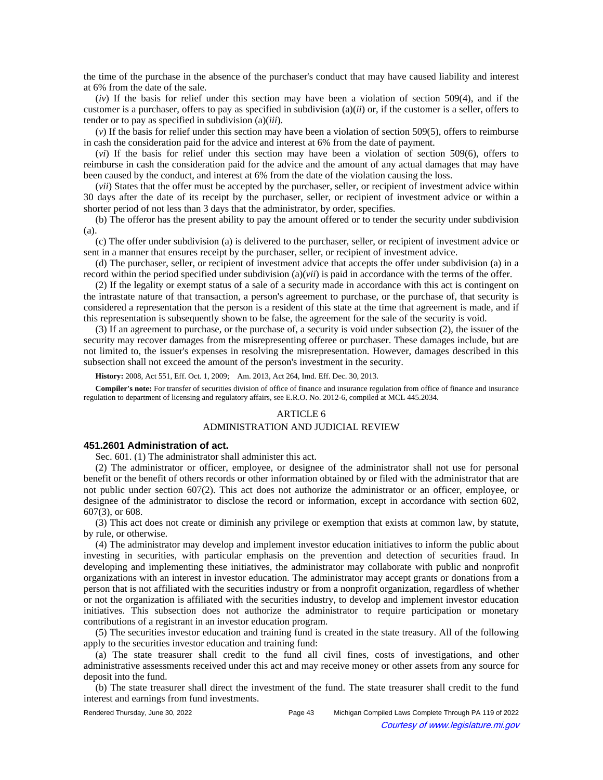the time of the purchase in the absence of the purchaser's conduct that may have caused liability and interest at 6% from the date of the sale.

(*iv*) If the basis for relief under this section may have been a violation of section 509(4), and if the customer is a purchaser, offers to pay as specified in subdivision (a)(*ii*) or, if the customer is a seller, offers to tender or to pay as specified in subdivision (a)(*iii*).

(*v*) If the basis for relief under this section may have been a violation of section 509(5), offers to reimburse in cash the consideration paid for the advice and interest at 6% from the date of payment.

(*vi*) If the basis for relief under this section may have been a violation of section 509(6), offers to reimburse in cash the consideration paid for the advice and the amount of any actual damages that may have been caused by the conduct, and interest at 6% from the date of the violation causing the loss.

(*vii*) States that the offer must be accepted by the purchaser, seller, or recipient of investment advice within 30 days after the date of its receipt by the purchaser, seller, or recipient of investment advice or within a shorter period of not less than 3 days that the administrator, by order, specifies.

(b) The offeror has the present ability to pay the amount offered or to tender the security under subdivision (a).

(c) The offer under subdivision (a) is delivered to the purchaser, seller, or recipient of investment advice or sent in a manner that ensures receipt by the purchaser, seller, or recipient of investment advice.

(d) The purchaser, seller, or recipient of investment advice that accepts the offer under subdivision (a) in a record within the period specified under subdivision (a)(*vii*) is paid in accordance with the terms of the offer.

(2) If the legality or exempt status of a sale of a security made in accordance with this act is contingent on the intrastate nature of that transaction, a person's agreement to purchase, or the purchase of, that security is considered a representation that the person is a resident of this state at the time that agreement is made, and if this representation is subsequently shown to be false, the agreement for the sale of the security is void.

(3) If an agreement to purchase, or the purchase of, a security is void under subsection (2), the issuer of the security may recover damages from the misrepresenting offeree or purchaser. These damages include, but are not limited to, the issuer's expenses in resolving the misrepresentation. However, damages described in this subsection shall not exceed the amount of the person's investment in the security.

History: 2008, Act 551, Eff. Oct. 1, 2009;—Am. 2013, Act 264, Imd. Eff. Dec. 30, 2013.

**Compiler's note:** For transfer of securities division of office of finance and insurance regulation from office of finance and insurance regulation to department of licensing and regulatory affairs, see E.R.O. No. 2012-6, compiled at MCL 445.2034.

# ARTICLE 6

# ADMINISTRATION AND JUDICIAL REVIEW

## **451.2601 Administration of act.**

Sec. 601. (1) The administrator shall administer this act.

(2) The administrator or officer, employee, or designee of the administrator shall not use for personal benefit or the benefit of others records or other information obtained by or filed with the administrator that are not public under section 607(2). This act does not authorize the administrator or an officer, employee, or designee of the administrator to disclose the record or information, except in accordance with section 602, 607(3), or 608.

(3) This act does not create or diminish any privilege or exemption that exists at common law, by statute, by rule, or otherwise.

(4) The administrator may develop and implement investor education initiatives to inform the public about investing in securities, with particular emphasis on the prevention and detection of securities fraud. In developing and implementing these initiatives, the administrator may collaborate with public and nonprofit organizations with an interest in investor education. The administrator may accept grants or donations from a person that is not affiliated with the securities industry or from a nonprofit organization, regardless of whether or not the organization is affiliated with the securities industry, to develop and implement investor education initiatives. This subsection does not authorize the administrator to require participation or monetary contributions of a registrant in an investor education program.

(5) The securities investor education and training fund is created in the state treasury. All of the following apply to the securities investor education and training fund:

(a) The state treasurer shall credit to the fund all civil fines, costs of investigations, and other administrative assessments received under this act and may receive money or other assets from any source for deposit into the fund.

(b) The state treasurer shall direct the investment of the fund. The state treasurer shall credit to the fund interest and earnings from fund investments.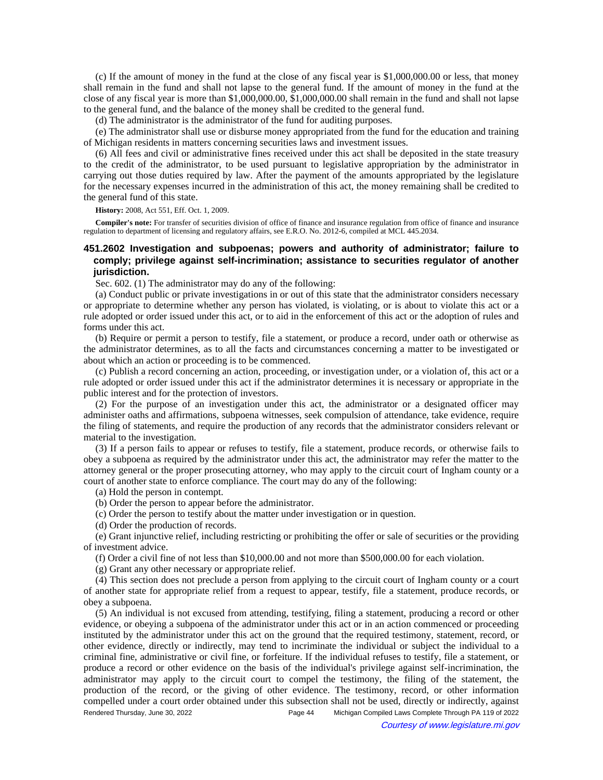(c) If the amount of money in the fund at the close of any fiscal year is \$1,000,000.00 or less, that money shall remain in the fund and shall not lapse to the general fund. If the amount of money in the fund at the close of any fiscal year is more than \$1,000,000.00, \$1,000,000.00 shall remain in the fund and shall not lapse to the general fund, and the balance of the money shall be credited to the general fund.

(d) The administrator is the administrator of the fund for auditing purposes.

(e) The administrator shall use or disburse money appropriated from the fund for the education and training of Michigan residents in matters concerning securities laws and investment issues.

(6) All fees and civil or administrative fines received under this act shall be deposited in the state treasury to the credit of the administrator, to be used pursuant to legislative appropriation by the administrator in carrying out those duties required by law. After the payment of the amounts appropriated by the legislature for the necessary expenses incurred in the administration of this act, the money remaining shall be credited to the general fund of this state.

**History:** 2008, Act 551, Eff. Oct. 1, 2009.

**Compiler's note:** For transfer of securities division of office of finance and insurance regulation from office of finance and insurance regulation to department of licensing and regulatory affairs, see E.R.O. No. 2012-6, compiled at MCL 445.2034.

# **451.2602 Investigation and subpoenas; powers and authority of administrator; failure to comply; privilege against self-incrimination; assistance to securities regulator of another jurisdiction.**

Sec. 602. (1) The administrator may do any of the following:

(a) Conduct public or private investigations in or out of this state that the administrator considers necessary or appropriate to determine whether any person has violated, is violating, or is about to violate this act or a rule adopted or order issued under this act, or to aid in the enforcement of this act or the adoption of rules and forms under this act.

(b) Require or permit a person to testify, file a statement, or produce a record, under oath or otherwise as the administrator determines, as to all the facts and circumstances concerning a matter to be investigated or about which an action or proceeding is to be commenced.

(c) Publish a record concerning an action, proceeding, or investigation under, or a violation of, this act or a rule adopted or order issued under this act if the administrator determines it is necessary or appropriate in the public interest and for the protection of investors.

(2) For the purpose of an investigation under this act, the administrator or a designated officer may administer oaths and affirmations, subpoena witnesses, seek compulsion of attendance, take evidence, require the filing of statements, and require the production of any records that the administrator considers relevant or material to the investigation.

(3) If a person fails to appear or refuses to testify, file a statement, produce records, or otherwise fails to obey a subpoena as required by the administrator under this act, the administrator may refer the matter to the attorney general or the proper prosecuting attorney, who may apply to the circuit court of Ingham county or a court of another state to enforce compliance. The court may do any of the following:

(a) Hold the person in contempt.

- (b) Order the person to appear before the administrator.
- (c) Order the person to testify about the matter under investigation or in question.
- (d) Order the production of records.

(e) Grant injunctive relief, including restricting or prohibiting the offer or sale of securities or the providing of investment advice.

(f) Order a civil fine of not less than \$10,000.00 and not more than \$500,000.00 for each violation.

(g) Grant any other necessary or appropriate relief.

(4) This section does not preclude a person from applying to the circuit court of Ingham county or a court of another state for appropriate relief from a request to appear, testify, file a statement, produce records, or obey a subpoena.

(5) An individual is not excused from attending, testifying, filing a statement, producing a record or other evidence, or obeying a subpoena of the administrator under this act or in an action commenced or proceeding instituted by the administrator under this act on the ground that the required testimony, statement, record, or other evidence, directly or indirectly, may tend to incriminate the individual or subject the individual to a criminal fine, administrative or civil fine, or forfeiture. If the individual refuses to testify, file a statement, or produce a record or other evidence on the basis of the individual's privilege against self-incrimination, the administrator may apply to the circuit court to compel the testimony, the filing of the statement, the production of the record, or the giving of other evidence. The testimony, record, or other information compelled under a court order obtained under this subsection shall not be used, directly or indirectly, against Rendered Thursday, June 30, 2022 Page 44 Michigan Compiled Laws Complete Through PA 119 of 2022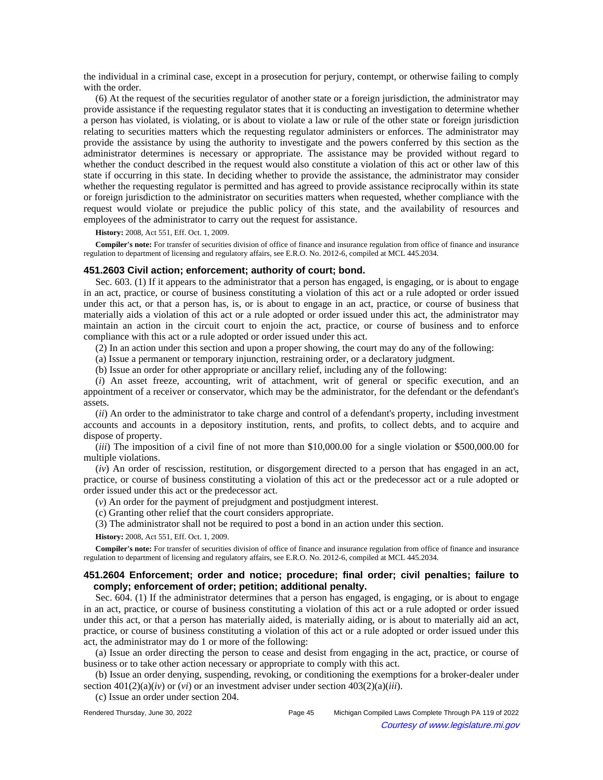the individual in a criminal case, except in a prosecution for perjury, contempt, or otherwise failing to comply with the order.

(6) At the request of the securities regulator of another state or a foreign jurisdiction, the administrator may provide assistance if the requesting regulator states that it is conducting an investigation to determine whether a person has violated, is violating, or is about to violate a law or rule of the other state or foreign jurisdiction relating to securities matters which the requesting regulator administers or enforces. The administrator may provide the assistance by using the authority to investigate and the powers conferred by this section as the administrator determines is necessary or appropriate. The assistance may be provided without regard to whether the conduct described in the request would also constitute a violation of this act or other law of this state if occurring in this state. In deciding whether to provide the assistance, the administrator may consider whether the requesting regulator is permitted and has agreed to provide assistance reciprocally within its state or foreign jurisdiction to the administrator on securities matters when requested, whether compliance with the request would violate or prejudice the public policy of this state, and the availability of resources and employees of the administrator to carry out the request for assistance.

**History:** 2008, Act 551, Eff. Oct. 1, 2009.

**Compiler's note:** For transfer of securities division of office of finance and insurance regulation from office of finance and insurance regulation to department of licensing and regulatory affairs, see E.R.O. No. 2012-6, compiled at MCL 445.2034.

### **451.2603 Civil action; enforcement; authority of court; bond.**

Sec. 603. (1) If it appears to the administrator that a person has engaged, is engaging, or is about to engage in an act, practice, or course of business constituting a violation of this act or a rule adopted or order issued under this act, or that a person has, is, or is about to engage in an act, practice, or course of business that materially aids a violation of this act or a rule adopted or order issued under this act, the administrator may maintain an action in the circuit court to enjoin the act, practice, or course of business and to enforce compliance with this act or a rule adopted or order issued under this act.

(2) In an action under this section and upon a proper showing, the court may do any of the following:

(a) Issue a permanent or temporary injunction, restraining order, or a declaratory judgment.

(b) Issue an order for other appropriate or ancillary relief, including any of the following:

(*i*) An asset freeze, accounting, writ of attachment, writ of general or specific execution, and an appointment of a receiver or conservator, which may be the administrator, for the defendant or the defendant's assets.

(*ii*) An order to the administrator to take charge and control of a defendant's property, including investment accounts and accounts in a depository institution, rents, and profits, to collect debts, and to acquire and dispose of property.

(*iii*) The imposition of a civil fine of not more than \$10,000.00 for a single violation or \$500,000.00 for multiple violations.

(*iv*) An order of rescission, restitution, or disgorgement directed to a person that has engaged in an act, practice, or course of business constituting a violation of this act or the predecessor act or a rule adopted or order issued under this act or the predecessor act.

(*v*) An order for the payment of prejudgment and postjudgment interest.

(c) Granting other relief that the court considers appropriate.

(3) The administrator shall not be required to post a bond in an action under this section.

**History:** 2008, Act 551, Eff. Oct. 1, 2009.

**Compiler's note:** For transfer of securities division of office of finance and insurance regulation from office of finance and insurance regulation to department of licensing and regulatory affairs, see E.R.O. No. 2012-6, compiled at MCL 445.2034.

# **451.2604 Enforcement; order and notice; procedure; final order; civil penalties; failure to comply; enforcement of order; petition; additional penalty.**

Sec. 604. (1) If the administrator determines that a person has engaged, is engaging, or is about to engage in an act, practice, or course of business constituting a violation of this act or a rule adopted or order issued under this act, or that a person has materially aided, is materially aiding, or is about to materially aid an act, practice, or course of business constituting a violation of this act or a rule adopted or order issued under this act, the administrator may do 1 or more of the following:

(a) Issue an order directing the person to cease and desist from engaging in the act, practice, or course of business or to take other action necessary or appropriate to comply with this act.

(b) Issue an order denying, suspending, revoking, or conditioning the exemptions for a broker-dealer under section  $401(2)(a)(iv)$  or  $(vi)$  or an investment adviser under section  $403(2)(a)(iii)$ .

(c) Issue an order under section 204.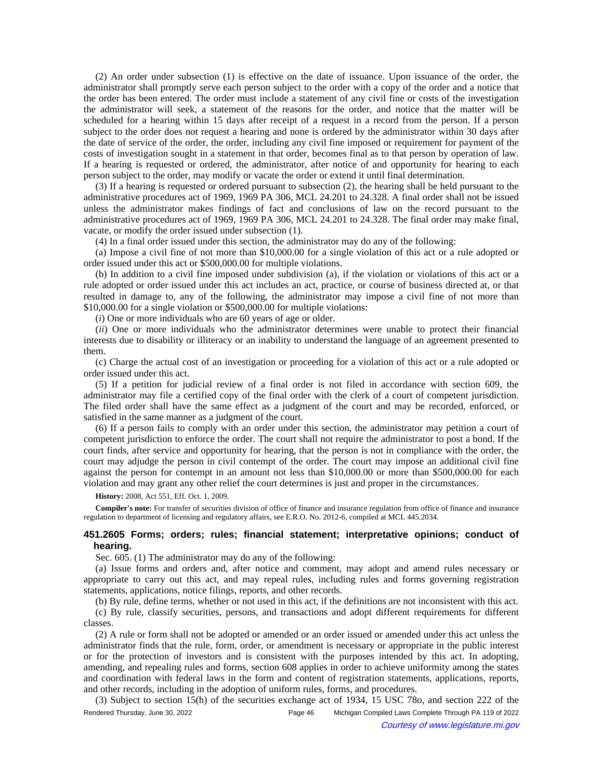(2) An order under subsection (1) is effective on the date of issuance. Upon issuance of the order, the administrator shall promptly serve each person subject to the order with a copy of the order and a notice that the order has been entered. The order must include a statement of any civil fine or costs of the investigation the administrator will seek, a statement of the reasons for the order, and notice that the matter will be scheduled for a hearing within 15 days after receipt of a request in a record from the person. If a person subject to the order does not request a hearing and none is ordered by the administrator within 30 days after the date of service of the order, the order, including any civil fine imposed or requirement for payment of the costs of investigation sought in a statement in that order, becomes final as to that person by operation of law. If a hearing is requested or ordered, the administrator, after notice of and opportunity for hearing to each person subject to the order, may modify or vacate the order or extend it until final determination.

(3) If a hearing is requested or ordered pursuant to subsection (2), the hearing shall be held pursuant to the administrative procedures act of 1969, 1969 PA 306, MCL 24.201 to 24.328. A final order shall not be issued unless the administrator makes findings of fact and conclusions of law on the record pursuant to the administrative procedures act of 1969, 1969 PA 306, MCL 24.201 to 24.328. The final order may make final, vacate, or modify the order issued under subsection (1).

(4) In a final order issued under this section, the administrator may do any of the following:

(a) Impose a civil fine of not more than \$10,000.00 for a single violation of this act or a rule adopted or order issued under this act or \$500,000.00 for multiple violations.

(b) In addition to a civil fine imposed under subdivision (a), if the violation or violations of this act or a rule adopted or order issued under this act includes an act, practice, or course of business directed at, or that resulted in damage to, any of the following, the administrator may impose a civil fine of not more than \$10,000.00 for a single violation or \$500,000.00 for multiple violations:

(*i*) One or more individuals who are 60 years of age or older.

(*ii*) One or more individuals who the administrator determines were unable to protect their financial interests due to disability or illiteracy or an inability to understand the language of an agreement presented to them.

(c) Charge the actual cost of an investigation or proceeding for a violation of this act or a rule adopted or order issued under this act.

(5) If a petition for judicial review of a final order is not filed in accordance with section 609, the administrator may file a certified copy of the final order with the clerk of a court of competent jurisdiction. The filed order shall have the same effect as a judgment of the court and may be recorded, enforced, or satisfied in the same manner as a judgment of the court.

(6) If a person fails to comply with an order under this section, the administrator may petition a court of competent jurisdiction to enforce the order. The court shall not require the administrator to post a bond. If the court finds, after service and opportunity for hearing, that the person is not in compliance with the order, the court may adjudge the person in civil contempt of the order. The court may impose an additional civil fine against the person for contempt in an amount not less than \$10,000.00 or more than \$500,000.00 for each violation and may grant any other relief the court determines is just and proper in the circumstances.

**History:** 2008, Act 551, Eff. Oct. 1, 2009.

**Compiler's note:** For transfer of securities division of office of finance and insurance regulation from office of finance and insurance regulation to department of licensing and regulatory affairs, see E.R.O. No. 2012-6, compiled at MCL 445.2034.

## **451.2605 Forms; orders; rules; financial statement; interpretative opinions; conduct of hearing.**

Sec. 605. (1) The administrator may do any of the following:

(a) Issue forms and orders and, after notice and comment, may adopt and amend rules necessary or appropriate to carry out this act, and may repeal rules, including rules and forms governing registration statements, applications, notice filings, reports, and other records.

(b) By rule, define terms, whether or not used in this act, if the definitions are not inconsistent with this act.

(c) By rule, classify securities, persons, and transactions and adopt different requirements for different classes.

(2) A rule or form shall not be adopted or amended or an order issued or amended under this act unless the administrator finds that the rule, form, order, or amendment is necessary or appropriate in the public interest or for the protection of investors and is consistent with the purposes intended by this act. In adopting, amending, and repealing rules and forms, section 608 applies in order to achieve uniformity among the states and coordination with federal laws in the form and content of registration statements, applications, reports, and other records, including in the adoption of uniform rules, forms, and procedures.

(3) Subject to section 15(h) of the securities exchange act of 1934, 15 USC 78o, and section 222 of the Rendered Thursday, June 30, 2022 Page 46 Michigan Compiled Laws Complete Through PA 119 of 2022 Courtesy of www.legislature.mi.gov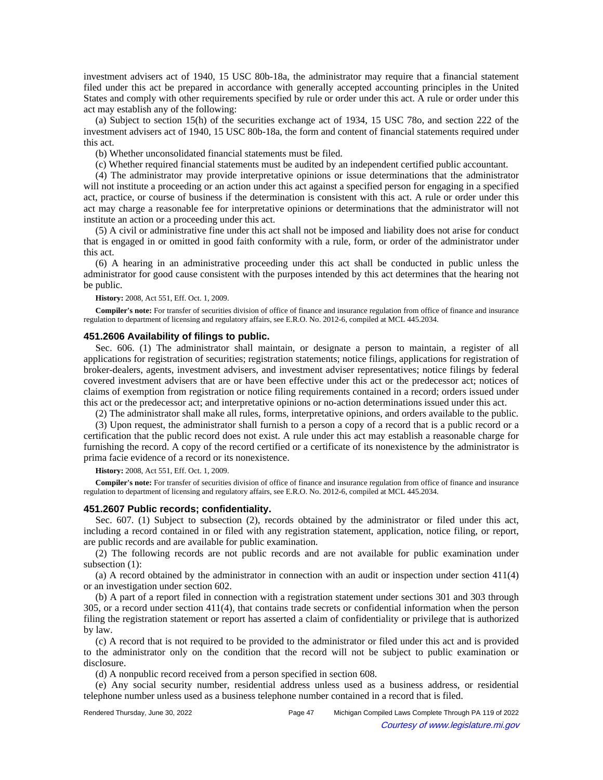investment advisers act of 1940, 15 USC 80b-18a, the administrator may require that a financial statement filed under this act be prepared in accordance with generally accepted accounting principles in the United States and comply with other requirements specified by rule or order under this act. A rule or order under this act may establish any of the following:

(a) Subject to section 15(h) of the securities exchange act of 1934, 15 USC 78o, and section 222 of the investment advisers act of 1940, 15 USC 80b-18a, the form and content of financial statements required under this act.

(b) Whether unconsolidated financial statements must be filed.

(c) Whether required financial statements must be audited by an independent certified public accountant.

(4) The administrator may provide interpretative opinions or issue determinations that the administrator will not institute a proceeding or an action under this act against a specified person for engaging in a specified act, practice, or course of business if the determination is consistent with this act. A rule or order under this act may charge a reasonable fee for interpretative opinions or determinations that the administrator will not institute an action or a proceeding under this act.

(5) A civil or administrative fine under this act shall not be imposed and liability does not arise for conduct that is engaged in or omitted in good faith conformity with a rule, form, or order of the administrator under this act.

(6) A hearing in an administrative proceeding under this act shall be conducted in public unless the administrator for good cause consistent with the purposes intended by this act determines that the hearing not be public.

**History:** 2008, Act 551, Eff. Oct. 1, 2009.

**Compiler's note:** For transfer of securities division of office of finance and insurance regulation from office of finance and insurance regulation to department of licensing and regulatory affairs, see E.R.O. No. 2012-6, compiled at MCL 445.2034.

### **451.2606 Availability of filings to public.**

Sec. 606. (1) The administrator shall maintain, or designate a person to maintain, a register of all applications for registration of securities; registration statements; notice filings, applications for registration of broker-dealers, agents, investment advisers, and investment adviser representatives; notice filings by federal covered investment advisers that are or have been effective under this act or the predecessor act; notices of claims of exemption from registration or notice filing requirements contained in a record; orders issued under this act or the predecessor act; and interpretative opinions or no-action determinations issued under this act.

(2) The administrator shall make all rules, forms, interpretative opinions, and orders available to the public.

(3) Upon request, the administrator shall furnish to a person a copy of a record that is a public record or a certification that the public record does not exist. A rule under this act may establish a reasonable charge for furnishing the record. A copy of the record certified or a certificate of its nonexistence by the administrator is prima facie evidence of a record or its nonexistence.

**History:** 2008, Act 551, Eff. Oct. 1, 2009.

**Compiler's note:** For transfer of securities division of office of finance and insurance regulation from office of finance and insurance regulation to department of licensing and regulatory affairs, see E.R.O. No. 2012-6, compiled at MCL 445.2034.

### **451.2607 Public records; confidentiality.**

Sec. 607. (1) Subject to subsection (2), records obtained by the administrator or filed under this act, including a record contained in or filed with any registration statement, application, notice filing, or report, are public records and are available for public examination.

(2) The following records are not public records and are not available for public examination under subsection (1):

(a) A record obtained by the administrator in connection with an audit or inspection under section 411(4) or an investigation under section 602.

(b) A part of a report filed in connection with a registration statement under sections 301 and 303 through 305, or a record under section 411(4), that contains trade secrets or confidential information when the person filing the registration statement or report has asserted a claim of confidentiality or privilege that is authorized by law.

(c) A record that is not required to be provided to the administrator or filed under this act and is provided to the administrator only on the condition that the record will not be subject to public examination or disclosure.

(d) A nonpublic record received from a person specified in section 608.

(e) Any social security number, residential address unless used as a business address, or residential telephone number unless used as a business telephone number contained in a record that is filed.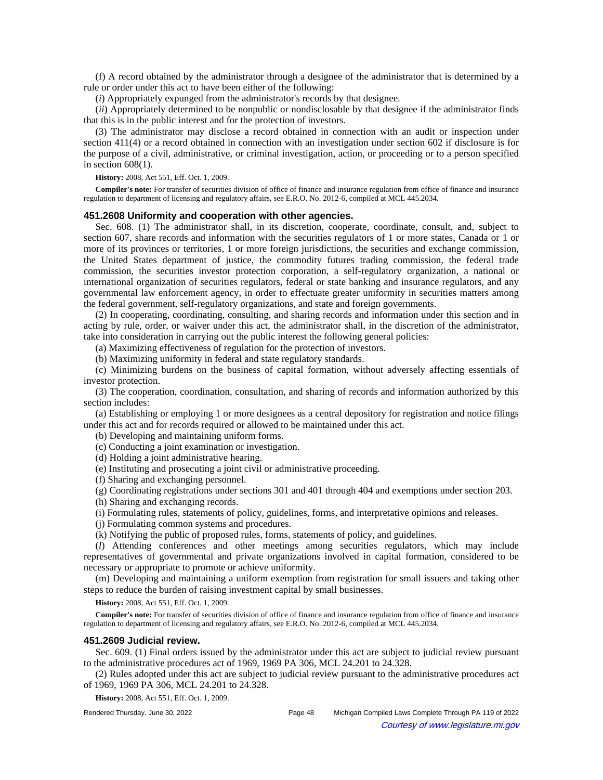(f) A record obtained by the administrator through a designee of the administrator that is determined by a rule or order under this act to have been either of the following:

(*i*) Appropriately expunged from the administrator's records by that designee.

(*ii*) Appropriately determined to be nonpublic or nondisclosable by that designee if the administrator finds that this is in the public interest and for the protection of investors.

(3) The administrator may disclose a record obtained in connection with an audit or inspection under section 411(4) or a record obtained in connection with an investigation under section 602 if disclosure is for the purpose of a civil, administrative, or criminal investigation, action, or proceeding or to a person specified in section  $608(1)$ .

**History:** 2008, Act 551, Eff. Oct. 1, 2009.

**Compiler's note:** For transfer of securities division of office of finance and insurance regulation from office of finance and insurance regulation to department of licensing and regulatory affairs, see E.R.O. No. 2012-6, compiled at MCL 445.2034.

## **451.2608 Uniformity and cooperation with other agencies.**

Sec. 608. (1) The administrator shall, in its discretion, cooperate, coordinate, consult, and, subject to section 607, share records and information with the securities regulators of 1 or more states, Canada or 1 or more of its provinces or territories, 1 or more foreign jurisdictions, the securities and exchange commission, the United States department of justice, the commodity futures trading commission, the federal trade commission, the securities investor protection corporation, a self-regulatory organization, a national or international organization of securities regulators, federal or state banking and insurance regulators, and any governmental law enforcement agency, in order to effectuate greater uniformity in securities matters among the federal government, self-regulatory organizations, and state and foreign governments.

(2) In cooperating, coordinating, consulting, and sharing records and information under this section and in acting by rule, order, or waiver under this act, the administrator shall, in the discretion of the administrator, take into consideration in carrying out the public interest the following general policies:

(a) Maximizing effectiveness of regulation for the protection of investors.

(b) Maximizing uniformity in federal and state regulatory standards.

(c) Minimizing burdens on the business of capital formation, without adversely affecting essentials of investor protection.

(3) The cooperation, coordination, consultation, and sharing of records and information authorized by this section includes:

(a) Establishing or employing 1 or more designees as a central depository for registration and notice filings under this act and for records required or allowed to be maintained under this act.

(b) Developing and maintaining uniform forms.

(c) Conducting a joint examination or investigation.

(d) Holding a joint administrative hearing.

(e) Instituting and prosecuting a joint civil or administrative proceeding.

(f) Sharing and exchanging personnel.

(g) Coordinating registrations under sections 301 and 401 through 404 and exemptions under section 203.

(h) Sharing and exchanging records.

(i) Formulating rules, statements of policy, guidelines, forms, and interpretative opinions and releases.

(j) Formulating common systems and procedures.

(k) Notifying the public of proposed rules, forms, statements of policy, and guidelines.

(*l*) Attending conferences and other meetings among securities regulators, which may include representatives of governmental and private organizations involved in capital formation, considered to be necessary or appropriate to promote or achieve uniformity.

(m) Developing and maintaining a uniform exemption from registration for small issuers and taking other steps to reduce the burden of raising investment capital by small businesses.

**History:** 2008, Act 551, Eff. Oct. 1, 2009.

**Compiler's note:** For transfer of securities division of office of finance and insurance regulation from office of finance and insurance regulation to department of licensing and regulatory affairs, see E.R.O. No. 2012-6, compiled at MCL 445.2034.

## **451.2609 Judicial review.**

Sec. 609. (1) Final orders issued by the administrator under this act are subject to judicial review pursuant to the administrative procedures act of 1969, 1969 PA 306, MCL 24.201 to 24.328.

(2) Rules adopted under this act are subject to judicial review pursuant to the administrative procedures act of 1969, 1969 PA 306, MCL 24.201 to 24.328.

**History:** 2008, Act 551, Eff. Oct. 1, 2009.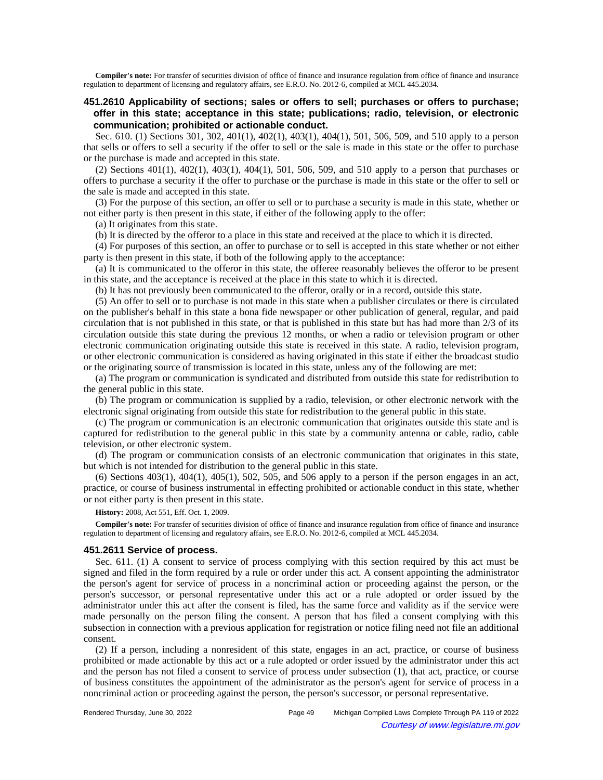**Compiler's note:** For transfer of securities division of office of finance and insurance regulation from office of finance and insurance regulation to department of licensing and regulatory affairs, see E.R.O. No. 2012-6, compiled at MCL 445.2034.

# **451.2610 Applicability of sections; sales or offers to sell; purchases or offers to purchase; offer in this state; acceptance in this state; publications; radio, television, or electronic communication; prohibited or actionable conduct.**

Sec. 610. (1) Sections 301, 302, 401(1), 402(1), 403(1), 404(1), 501, 506, 509, and 510 apply to a person that sells or offers to sell a security if the offer to sell or the sale is made in this state or the offer to purchase or the purchase is made and accepted in this state.

(2) Sections 401(1), 402(1), 403(1), 404(1), 501, 506, 509, and 510 apply to a person that purchases or offers to purchase a security if the offer to purchase or the purchase is made in this state or the offer to sell or the sale is made and accepted in this state.

(3) For the purpose of this section, an offer to sell or to purchase a security is made in this state, whether or not either party is then present in this state, if either of the following apply to the offer:

(a) It originates from this state.

(b) It is directed by the offeror to a place in this state and received at the place to which it is directed.

(4) For purposes of this section, an offer to purchase or to sell is accepted in this state whether or not either party is then present in this state, if both of the following apply to the acceptance:

(a) It is communicated to the offeror in this state, the offeree reasonably believes the offeror to be present in this state, and the acceptance is received at the place in this state to which it is directed.

(b) It has not previously been communicated to the offeror, orally or in a record, outside this state.

(5) An offer to sell or to purchase is not made in this state when a publisher circulates or there is circulated on the publisher's behalf in this state a bona fide newspaper or other publication of general, regular, and paid circulation that is not published in this state, or that is published in this state but has had more than 2/3 of its circulation outside this state during the previous 12 months, or when a radio or television program or other electronic communication originating outside this state is received in this state. A radio, television program, or other electronic communication is considered as having originated in this state if either the broadcast studio or the originating source of transmission is located in this state, unless any of the following are met:

(a) The program or communication is syndicated and distributed from outside this state for redistribution to the general public in this state.

(b) The program or communication is supplied by a radio, television, or other electronic network with the electronic signal originating from outside this state for redistribution to the general public in this state.

(c) The program or communication is an electronic communication that originates outside this state and is captured for redistribution to the general public in this state by a community antenna or cable, radio, cable television, or other electronic system.

(d) The program or communication consists of an electronic communication that originates in this state, but which is not intended for distribution to the general public in this state.

(6) Sections 403(1), 404(1), 405(1), 502, 505, and 506 apply to a person if the person engages in an act, practice, or course of business instrumental in effecting prohibited or actionable conduct in this state, whether or not either party is then present in this state.

**History:** 2008, Act 551, Eff. Oct. 1, 2009.

**Compiler's note:** For transfer of securities division of office of finance and insurance regulation from office of finance and insurance regulation to department of licensing and regulatory affairs, see E.R.O. No. 2012-6, compiled at MCL 445.2034.

#### **451.2611 Service of process.**

Sec. 611. (1) A consent to service of process complying with this section required by this act must be signed and filed in the form required by a rule or order under this act. A consent appointing the administrator the person's agent for service of process in a noncriminal action or proceeding against the person, or the person's successor, or personal representative under this act or a rule adopted or order issued by the administrator under this act after the consent is filed, has the same force and validity as if the service were made personally on the person filing the consent. A person that has filed a consent complying with this subsection in connection with a previous application for registration or notice filing need not file an additional consent.

(2) If a person, including a nonresident of this state, engages in an act, practice, or course of business prohibited or made actionable by this act or a rule adopted or order issued by the administrator under this act and the person has not filed a consent to service of process under subsection (1), that act, practice, or course of business constitutes the appointment of the administrator as the person's agent for service of process in a noncriminal action or proceeding against the person, the person's successor, or personal representative.